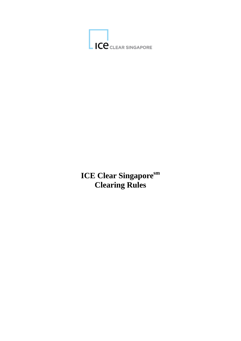

# **ICE Clear Singapore**sm **Clearing Rules**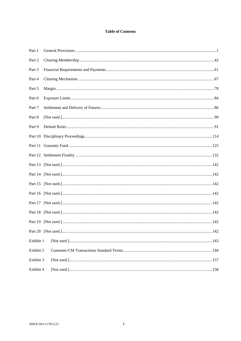#### **Table of Contents**

| Part 1    |                                                                                                                                                                                                                                                                                                                                                                                                                                                                                                                                                                |  |
|-----------|----------------------------------------------------------------------------------------------------------------------------------------------------------------------------------------------------------------------------------------------------------------------------------------------------------------------------------------------------------------------------------------------------------------------------------------------------------------------------------------------------------------------------------------------------------------|--|
| Part 2    |                                                                                                                                                                                                                                                                                                                                                                                                                                                                                                                                                                |  |
| Part 3    |                                                                                                                                                                                                                                                                                                                                                                                                                                                                                                                                                                |  |
| Part 4    |                                                                                                                                                                                                                                                                                                                                                                                                                                                                                                                                                                |  |
| Part 5    |                                                                                                                                                                                                                                                                                                                                                                                                                                                                                                                                                                |  |
| Part 6    |                                                                                                                                                                                                                                                                                                                                                                                                                                                                                                                                                                |  |
| Part 7    |                                                                                                                                                                                                                                                                                                                                                                                                                                                                                                                                                                |  |
| Part 8    |                                                                                                                                                                                                                                                                                                                                                                                                                                                                                                                                                                |  |
| Part 9    |                                                                                                                                                                                                                                                                                                                                                                                                                                                                                                                                                                |  |
|           |                                                                                                                                                                                                                                                                                                                                                                                                                                                                                                                                                                |  |
|           |                                                                                                                                                                                                                                                                                                                                                                                                                                                                                                                                                                |  |
|           |                                                                                                                                                                                                                                                                                                                                                                                                                                                                                                                                                                |  |
|           |                                                                                                                                                                                                                                                                                                                                                                                                                                                                                                                                                                |  |
|           |                                                                                                                                                                                                                                                                                                                                                                                                                                                                                                                                                                |  |
|           |                                                                                                                                                                                                                                                                                                                                                                                                                                                                                                                                                                |  |
|           |                                                                                                                                                                                                                                                                                                                                                                                                                                                                                                                                                                |  |
|           |                                                                                                                                                                                                                                                                                                                                                                                                                                                                                                                                                                |  |
|           |                                                                                                                                                                                                                                                                                                                                                                                                                                                                                                                                                                |  |
|           |                                                                                                                                                                                                                                                                                                                                                                                                                                                                                                                                                                |  |
|           |                                                                                                                                                                                                                                                                                                                                                                                                                                                                                                                                                                |  |
| Exhibit 1 |                                                                                                                                                                                                                                                                                                                                                                                                                                                                                                                                                                |  |
| Exhibit 2 |                                                                                                                                                                                                                                                                                                                                                                                                                                                                                                                                                                |  |
| Exhibit 3 |                                                                                                                                                                                                                                                                                                                                                                                                                                                                                                                                                                |  |
| Exhibit 4 | $[Not used.] \label{def:1} \begin{minipage}{0.99\textwidth} \centering \begin{minipage}{0.99\textwidth} \centering \centering \end{minipage} \begin{minipage}{0.99\textwidth} \centering \begin{minipage}{0.99\textwidth} \centering \centering \end{minipage} \begin{minipage}{0.99\textwidth} \centering \end{minipage} \begin{minipage}{0.99\textwidth} \centering \begin{minipage}{0.99\textwidth} \centering \centering \end{minipage} \end{minipage} \begin{minipage}{0.99\textwidth} \centering \begin{minipage}{0.99\textwidth} \centering \centering$ |  |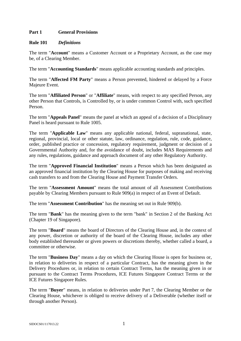## **Part 1 General Provisions**

#### **Rule 101** *Definitions*

The term "**Account**" means a Customer Account or a Proprietary Account, as the case may be, of a Clearing Member.

The term "**Accounting Standards**" means applicable accounting standards and principles.

The term "**Affected FM Party**" means a Person prevented, hindered or delayed by a Force Majeure Event.

The term "**Affiliated Person**" or "**Affiliate**" means, with respect to any specified Person, any other Person that Controls, is Controlled by, or is under common Control with, such specified Person.

The term "**Appeals Panel**" means the panel at which an appeal of a decision of a Disciplinary Panel is heard pursuant to Rule 1005.

The term "**Applicable Law**" means any applicable national, federal, supranational, state, regional, provincial, local or other statute, law, ordinance, regulation, rule, code, guidance, order, published practice or concession, regulatory requirement, judgment or decision of a Governmental Authority and, for the avoidance of doubt, includes MAS Requirements and any rules, regulations, guidance and approach document of any other Regulatory Authority.

The term "**Approved Financial Institution**" means a Person which has been designated as an approved financial institution by the Clearing House for purposes of making and receiving cash transfers to and from the Clearing House and Payment Transfer Orders.

The term "**Assessment Amount**" means the total amount of all Assessment Contributions payable by Clearing Members pursuant to Rule 909(a) in respect of an Event of Default.

The term "**Assessment Contribution**" has the meaning set out in Rule 909(b).

The term "**Bank**" has the meaning given to the term "bank" in Section 2 of the Banking Act (Chapter 19 of Singapore).

The term "**Board**" means the board of Directors of the Clearing House and, in the context of any power, discretion or authority of the board of the Clearing House, includes any other body established thereunder or given powers or discretions thereby, whether called a board, a committee or otherwise.

The term "**Business Day**" means a day on which the Clearing House is open for business or, in relation to deliveries in respect of a particular Contract, has the meaning given in the Delivery Procedures or, in relation to certain Contract Terms, has the meaning given in or pursuant to the Contract Terms Procedures, ICE Futures Singapore Contract Terms or the ICE Futures Singapore Rules.

The term "**Buyer**" means, in relation to deliveries under Part 7, the Clearing Member or the Clearing House, whichever is obliged to receive delivery of a Deliverable (whether itself or through another Person).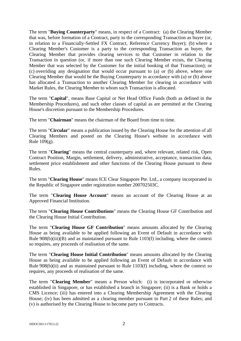The term "**Buying Counterparty**" means, in respect of a Contract: (a) the Clearing Member that was, before formation of a Contract, party to the corresponding Transaction as buyer (or, in relation to a Financially-Settled FX Contract, Reference Currency Buyer); (b) where a Clearing Member's Customer is a party to the corresponding Transaction as buyer, the Clearing Member that provides clearing services to that Customer in relation to the Transaction in question (or, if more than one such Clearing Member exists, the Clearing Member that was selected by the Customer for the initial booking of that Transaction); or (c) overriding any designation that would occur pursuant to (a) or (b) above, where one Clearing Member that would be the Buying Counterparty in accordance with (a) or (b) above has allocated a Transaction to another Clearing Member for clearing in accordance with Market Rules, the Clearing Member to whom such Transaction is allocated.

The term "**Capital**", means Base Capital or Net Head Office Funds (both as defined in the Membership Procedures), and such other classes of capital as are permitted at the Clearing House's discretion pursuant to the Membership Procedures.

The term "**Chairman**" means the chairman of the Board from time to time.

The term "**Circular**" means a publication issued by the Clearing House for the attention of all Clearing Members and posted on the Clearing House's website in accordance with Rule  $109(g)$ .

The term "**Clearing**" means the central counterparty and, where relevant, related risk, Open Contract Position, Margin, settlement, delivery, administrative, acceptance, transaction data, settlement price establishment and other functions of the Clearing House pursuant to these Rules.

The term "**Clearing House**" means ICE Clear Singapore Pte. Ltd., a company incorporated in the Republic of Singapore under registration number 200702503C.

The term "**Clearing House Account**" means an account of the Clearing House at an Approved Financial Institution.

The term "**Clearing House Contributions**" means the Clearing House GF Contribution and the Clearing House Initial Contribution.

The term "**Clearing House GF Contribution**" means amounts allocated by the Clearing House as being available to be applied following an Event of Default in accordance with Rule 908(b)(iii)(B) and as maintained pursuant to Rule 1103(f) including, where the context so requires, any proceeds of realisation of the same.

The term "**Clearing House Initial Contribution**" means amounts allocated by the Clearing House as being available to be applied following an Event of Default in accordance with Rule 908(b)(ii) and as maintained pursuant to Rule 1103(f) including, where the context so requires, any proceeds of realisation of the same.

The term "**Clearing Member**" means a Person which: (i) is incorporated or otherwise established in Singapore, or has established a branch in Singapore; (ii) is a Bank or holds a CMS Licence; (iii) has entered into a Clearing Membership Agreement with the Clearing House; (iv) has been admitted as a clearing member pursuant to Part 2 of these Rules; and (v) is authorised by the Clearing House to become party to Contracts.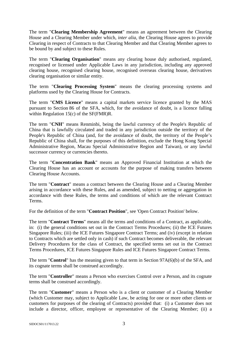The term "**Clearing Membership Agreement**" means an agreement between the Clearing House and a Clearing Member under which, *inter alia*, the Clearing House agrees to provide Clearing in respect of Contracts to that Clearing Member and that Clearing Member agrees to be bound by and subject to these Rules.

The term "**Clearing Organisation**" means any clearing house duly authorised, regulated, recognised or licensed under Applicable Laws in any jurisdiction, including any approved clearing house, recognised clearing house, recognised overseas clearing house, derivatives clearing organisation or similar entity.

The term "**Clearing Processing System**" means the clearing processing systems and platforms used by the Clearing House for Contracts.

The term "**CMS Licence**" means a capital markets service licence granted by the MAS pursuant to Section 86 of the SFA, which, for the avoidance of doubt, is a licence falling within Regulation 15(c) of the SF(FMR)R.

The term "**CNH**" means Renminbi, being the lawful currency of the People's Republic of China that is lawfully circulated and traded in any jurisdiction outside the territory of the People's Republic of China (and, for the avoidance of doubt, the territory of the People's Republic of China shall, for the purposes of this definition, exclude the Hong Kong Special Administrative Region, Macau Special Administrative Region and Taiwan), or any lawful successor currency or currencies thereto.

The term "**Concentration Bank**" means an Approved Financial Institution at which the Clearing House has an account or accounts for the purpose of making transfers between Clearing House Accounts.

The term "**Contract**" means a contract between the Clearing House and a Clearing Member arising in accordance with these Rules, and as amended, subject to netting or aggregation in accordance with these Rules, the terms and conditions of which are the relevant Contract Terms.

For the definition of the term "**Contract Position**", see 'Open Contract Position' below.

The term "**Contract Terms**" means all the terms and conditions of a Contract, as applicable, in: (i) the general conditions set out in the Contract Terms Procedures; (ii) the ICE Futures Singapore Rules; (iii) the ICE Futures Singapore Contract Terms; and (iv) (except in relation to Contracts which are settled only in cash) if such Contract becomes deliverable, the relevant Delivery Procedures for the class of Contract, the specified terms set out in the Contract Terms Procedures, ICE Futures Singapore Rules and ICE Futures Singapore Contract Terms.

The term "**Control**" has the meaning given to that term in Section 97A(6)(b) of the SFA, and its cognate terms shall be construed accordingly.

The term "**Controller**" means a Person who exercises Control over a Person, and its cognate terms shall be construed accordingly.

The term "**Customer**" means a Person who is a client or customer of a Clearing Member (which Customer may, subject to Applicable Law, be acting for one or more other clients or customers for purposes of the clearing of Contracts) provided that: (i) a Customer does not include a director, officer, employee or representative of the Clearing Member; (ii) a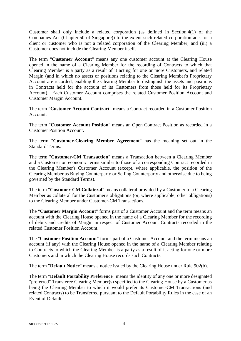Customer shall only include a related corporation (as defined in Section 4(1) of the Companies Act (Chapter 50 of Singapore)) to the extent such related corporation acts for a client or customer who is not a related corporation of the Clearing Member; and (iii) a Customer does not include the Clearing Member itself.

The term "**Customer Account**" means any one customer account at the Clearing House opened in the name of a Clearing Member for the recording of Contracts to which that Clearing Member is a party as a result of it acting for one or more Customers, and related Margin (and in which no assets or positions relating to the Clearing Member's Proprietary Account are recorded, enabling the Clearing Member to distinguish the assets and positions in Contracts held for the account of its Customers from those held for its Proprietary Account). Each Customer Account comprises the related Customer Position Account and Customer Margin Account.

The term "**Customer Account Contract**" means a Contract recorded in a Customer Position Account.

The term "**Customer Account Position**" means an Open Contract Position as recorded in a Customer Position Account.

The term "**Customer-Clearing Member Agreement**" has the meaning set out in the Standard Terms.

The term "**Customer-CM Transaction**" means a Transaction between a Clearing Member and a Customer on economic terms similar to those of a corresponding Contract recorded in the Clearing Member's Customer Account (except, where applicable, the position of the Clearing Member as Buying Counterparty or Selling Counterparty and otherwise due to being governed by the Standard Terms).

The term "**Customer-CM Collateral**" means collateral provided by a Customer to a Clearing Member as collateral for the Customer's obligations (or, where applicable, other obligations) to the Clearing Member under Customer-CM Transactions.

The "**Customer Margin Account**" forms part of a Customer Account and the term means an account with the Clearing House opened in the name of a Clearing Member for the recording of debits and credits of Margin in respect of Customer Account Contracts recorded in the related Customer Position Account.

The "**Customer Position Account**" forms part of a Customer Account and the term means an account (if any) with the Clearing House opened in the name of a Clearing Member relating to Contracts to which the Clearing Member is a party as a result of it acting for one or more Customers and in which the Clearing House records such Contracts.

The term "**Default Notice**" means a notice issued by the Clearing House under Rule 902(b).

The term "**Default Portability Preference**" means the identity of any one or more designated "preferred" Transferee Clearing Member(s) specified to the Clearing House by a Customer as being the Clearing Member to which it would prefer its Customer-CM Transactions (and related Contracts) to be Transferred pursuant to the Default Portability Rules in the case of an Event of Default.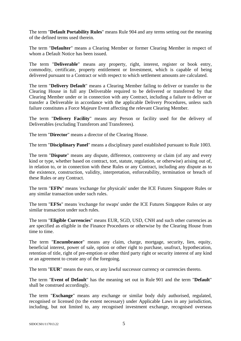The term "**Default Portability Rules**" means Rule 904 and any terms setting out the meaning of the defined terms used therein.

The term "**Defaulter**" means a Clearing Member or former Clearing Member in respect of whom a Default Notice has been issued.

The term "**Deliverable**" means any property, right, interest, register or book entry, commodity, certificate, property entitlement or Investment, which is capable of being delivered pursuant to a Contract or with respect to which settlement amounts are calculated.

The term "**Delivery Default**" means a Clearing Member failing to deliver or transfer to the Clearing House in full any Deliverable required to be delivered or transferred by that Clearing Member under or in connection with any Contract, including a failure to deliver or transfer a Deliverable in accordance with the applicable Delivery Procedures, unless such failure constitutes a Force Majeure Event affecting the relevant Clearing Member.

The term "**Delivery Facility**" means any Person or facility used for the delivery of Deliverables (excluding Transferors and Transferees).

The term "**Director**" means a director of the Clearing House.

The term "**Disciplinary Panel**" means a disciplinary panel established pursuant to Rule 1003.

The term "**Dispute**" means any dispute, difference, controversy or claim (of any and every kind or type, whether based on contract, tort, statute, regulation, or otherwise) arising out of, in relation to, or in connection with these Rules or any Contract, including any dispute as to the existence, construction, validity, interpretation, enforceability, termination or breach of these Rules or any Contract.

The term "**EFPs**" means 'exchange for physicals' under the ICE Futures Singapore Rules or any similar transaction under such rules.

The term "**EFSs**" means 'exchange for swaps' under the ICE Futures Singapore Rules or any similar transaction under such rules.

The term "**Eligible Currencies**" means EUR, SGD, USD, CNH and such other currencies as are specified as eligible in the Finance Procedures or otherwise by the Clearing House from time to time.

The term "**Encumbrance**" means any claim, charge, mortgage, security, lien, equity, beneficial interest, power of sale, option or other right to purchase, usufruct, hypothecation, retention of title, right of pre-emption or other third party right or security interest of any kind or an agreement to create any of the foregoing.

The term "**EUR**" means the euro, or any lawful successor currency or currencies thereto.

The term "**Event of Default**" has the meaning set out in Rule 901 and the term "**Default**" shall be construed accordingly.

The term "**Exchange**" means any exchange or similar body duly authorised, regulated, recognised or licensed (to the extent necessary) under Applicable Laws in any jurisdiction, including, but not limited to, any recognised investment exchange, recognised overseas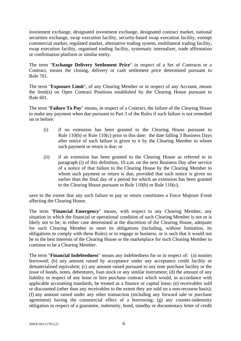investment exchange, designated investment exchange, designated contract market, national securities exchange, swap execution facility, security-based swap execution facility, exempt commercial market, regulated market, alternative trading system, multilateral trading facility, swap execution facility, organised trading facility, systematic internaliser, trade affirmation or confirmation platform or similar entity.

The term "**Exchange Delivery Settlement Price**" in respect of a Set of Contracts or a Contract, means the closing, delivery or cash settlement price determined pursuant to Rule 701.

The term "**Exposure Limit**", of any Clearing Member or in respect of any Account, means the limit(s) on Open Contract Positions established by the Clearing House pursuant to Rule 601.

The term "**Failure To Pay**" means, in respect of a Contract, the failure of the Clearing House to make any payment when due pursuant to Part 3 of the Rules if such failure is not remedied on or before:

- (i) if no extension has been granted to the Clearing House pursuant to Rule 110(b) or Rule 110(c) prior to this date: the date falling 3 Business Days after notice of such failure is given to it by the Clearing Member to whom such payment or return is due; or
- (ii) if an extension has been granted to the Clearing House as referred to in paragraph (i) of this definition, 10 a.m. on the next Business Day after service of a notice of that failure to the Clearing House by the Clearing Member to whom such payment or return is due, provided that such notice is given no earlier than the final day of a period for which an extension has been granted to the Clearing House pursuant to Rule 110(b) or Rule 110(c),

save to the extent that any such failure to pay or return constitutes a Force Majeure Event affecting the Clearing House.

The term "**Financial Emergency**" means, with respect to any Clearing Member, any situation in which the financial or operational condition of such Clearing Member is not or is likely not to be, in either case determined at the discretion of the Clearing House, adequate for such Clearing Member to meet its obligations (including, without limitation, its obligations to comply with these Rules) or to engage in business, or is such that it would not be in the best interests of the Clearing House or the marketplace for such Clearing Member to continue to be a Clearing Member.

The term "**Financial Indebtedness**" means any indebtedness for or in respect of: (a) monies borrowed; (b) any amount raised by acceptance under any acceptance credit facility or dematerialised equivalent; (c) any amount raised pursuant to any note purchase facility or the issue of bonds, notes, debentures, loan stock or any similar instrument; (d) the amount of any liability in respect of any lease or hire purchase contract which would, in accordance with applicable accounting standards, be treated as a finance or capital lease; (e) receivables sold or discounted (other than any receivables to the extent they are sold on a non-recourse basis); (f) any amount raised under any other transaction (including any forward sale or purchase agreement) having the commercial effect of a borrowing; (g) any counter-indemnity obligation in respect of a guarantee, indemnity, bond, standby or documentary letter of credit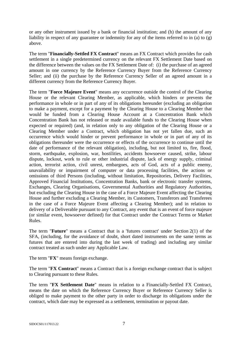or any other instrument issued by a bank or financial institution; and (h) the amount of any liability in respect of any guarantee or indemnity for any of the items referred to in (a) to (g) above.

The term "**Financially-Settled FX Contract**" means an FX Contract which provides for cash settlement in a single predetermined currency on the relevant FX Settlement Date based on the difference between the values on the FX Settlement Date of: (i) the purchase of an agreed amount in one currency by the Reference Currency Buyer from the Reference Currency Seller; and (ii) the purchase by the Reference Currency Seller of an agreed amount in a different currency from the Reference Currency Buyer.

The term "**Force Majeure Event**" means any occurrence outside the control of the Clearing House or the relevant Clearing Member, as applicable, which hinders or prevents the performance in whole or in part of any of its obligations hereunder (excluding an obligation to make a payment, except for a payment by the Clearing House to a Clearing Member that would be funded from a Clearing House Account at a Concentration Bank which Concentration Bank has not released or made available funds to the Clearing House when expected or required) (and, in relation only to any obligation of the Clearing House or a Clearing Member under a Contract, which obligation has not yet fallen due, such an occurrence which would hinder or prevent performance in whole or in part of any of its obligations thereunder were the occurrence or effects of the occurrence to continue until the date of performance of the relevant obligation), including, but not limited to, fire, flood, storm, earthquake, explosion, war, hostilities, accidents howsoever caused, strike, labour dispute, lockout, work to rule or other industrial dispute, lack of energy supply, criminal action, terrorist action, civil unrest, embargoes, acts of God, acts of a public enemy, unavailability or impairment of computer or data processing facilities, the actions or omissions of third Persons (including, without limitation, Repositories, Delivery Facilities, Approved Financial Institutions, Concentration Banks, bank or electronic transfer systems, Exchanges, Clearing Organisations, Governmental Authorities and Regulatory Authorities, but excluding the Clearing House in the case of a Force Majeure Event affecting the Clearing House and further excluding a Clearing Member, its Customers, Transferors and Transferees in the case of a Force Majeure Event affecting a Clearing Member); and in relation to delivery of a Deliverable pursuant to any Contract, any event that is an event of force majeure (or similar event, howsoever defined) for that Contract under the Contract Terms or Market Rules.

The term "**Future**" means a Contract that is a 'futures contract' under Section 2(1) of the SFA, (including, for the avoidance of doubt, short dated instruments on the same terms as futures that are entered into during the last week of trading) and including any similar contract treated as such under any Applicable Law.

The term "**FX**" means foreign exchange.

The term "**FX Contract**" means a Contract that is a foreign exchange contract that is subject to Clearing pursuant to these Rules.

The term "**FX Settlement Date**" means in relation to a Financially-Settled FX Contract, means the date on which the Reference Currency Buyer or Reference Currency Seller is obliged to make payment to the other party in order to discharge its obligations under the contract, which date may be expressed as a settlement, termination or payout date.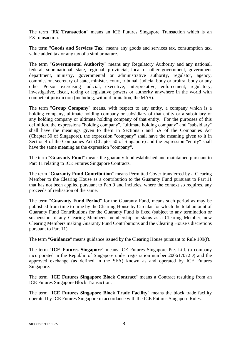The term "**FX Transaction**" means an ICE Futures Singapore Transaction which is an FX transaction.

The term "**Goods and Services Tax**" means any goods and services tax, consumption tax, value added tax or any tax of a similar nature.

The term "**Governmental Authority**" means any Regulatory Authority and any national, federal, supranational, state, regional, provincial, local or other government, government department, ministry, governmental or administrative authority, regulator, agency, commission, secretary of state, minister, court, tribunal, judicial body or arbitral body or any other Person exercising judicial, executive, interpretative, enforcement, regulatory, investigative, fiscal, taxing or legislative powers or authority anywhere in the world with competent jurisdiction (including, without limitation, the MAS).

The term "**Group Company**" means, with respect to any entity, a company which is a holding company, ultimate holding company or subsidiary of that entity or a subsidiary of any holding company or ultimate holding company of that entity. For the purposes of this definition, the expressions "holding company", "ultimate holding company" and "subsidiary" shall have the meanings given to them in Sections 5 and 5A of the Companies Act (Chapter 50 of Singapore), the expression "company" shall have the meaning given to it in Section 4 of the Companies Act (Chapter 50 of Singapore) and the expression "entity" shall have the same meaning as the expression "company".

The term "**Guaranty Fund**" means the guaranty fund established and maintained pursuant to Part 11 relating to ICE Futures Singapore Contracts.

The term "**Guaranty Fund Contribution**" means Permitted Cover transferred by a Clearing Member to the Clearing House as a contribution to the Guaranty Fund pursuant to Part 11 that has not been applied pursuant to Part 9 and includes, where the context so requires, any proceeds of realisation of the same.

The term "**Guaranty Fund Period**" for the Guaranty Fund, means such period as may be published from time to time by the Clearing House by Circular for which the total amount of Guaranty Fund Contributions for the Guaranty Fund is fixed (subject to any termination or suspension of any Clearing Member's membership or status as a Clearing Member, new Clearing Members making Guaranty Fund Contributions and the Clearing House's discretions pursuant to Part 11).

The term "**Guidance**" means guidance issued by the Clearing House pursuant to Rule 109(f).

The term "**ICE Futures Singapore**" means ICE Futures Singapore Pte. Ltd. (a company incorporated in the Republic of Singapore under registration number 200617072D) and the approved exchange (as defined in the SFA) known as and operated by ICE Futures Singapore.

The term "**ICE Futures Singapore Block Contract**" means a Contract resulting from an ICE Futures Singapore Block Transaction.

The term "**ICE Futures Singapore Block Trade Facility**" means the block trade facility operated by ICE Futures Singapore in accordance with the ICE Futures Singapore Rules.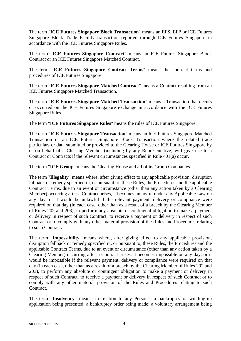The term "**ICE Futures Singapore Block Transaction**" means an EFS, EFP or ICE Futures Singapore Block Trade Facility transaction reported through ICE Futures Singapore in accordance with the ICE Futures Singapore Rules.

The term "**ICE Futures Singapore Contract**" means an ICE Futures Singapore Block Contract or an ICE Futures Singapore Matched Contract.

The term "**ICE Futures Singapore Contract Terms**" means the contract terms and procedures of ICE Futures Singapore.

The term "**ICE Futures Singapore Matched Contract**" means a Contract resulting from an ICE Futures Singapore Matched Transaction.

The term "**ICE Futures Singapore Matched Transaction**" means a Transaction that occurs or occurred on the ICE Futures Singapore exchange in accordance with the ICE Futures Singapore Rules.

The term "**ICE Futures Singapore Rules**" means the rules of ICE Futures Singapore.

The term "**ICE Futures Singapore Transaction**" means an ICE Futures Singapore Matched Transaction or an ICE Futures Singapore Block Transaction where the related trade particulars or data submitted or provided to the Clearing House or ICE Futures Singapore by or on behalf of a Clearing Member (including by any Representative) will give rise to a Contract or Contracts if the relevant circumstances specified in Rule 401(a) occur.

The term "**ICE Group**" means the Clearing House and all of its Group Companies.

The term "**Illegality**" means where, after giving effect to any applicable provision, disruption fallback or remedy specified in, or pursuant to, these Rules, the Procedures and the applicable Contract Terms, due to an event or circumstance (other than any action taken by a Clearing Member) occurring after a Contract arises, it becomes unlawful under any Applicable Law on any day, or it would be unlawful if the relevant payment, delivery or compliance were required on that day (in each case, other than as a result of a breach by the Clearing Member of Rules 202 and 203), to perform any absolute or contingent obligation to make a payment or delivery in respect of such Contract, to receive a payment or delivery in respect of such Contract or to comply with any other material provision of the Rules and Procedures relating to such Contract.

The term "**Impossibility**" means where, after giving effect to any applicable provision, disruption fallback or remedy specified in, or pursuant to, these Rules, the Procedures and the applicable Contract Terms, due to an event or circumstance (other than any action taken by a Clearing Member) occurring after a Contract arises, it becomes impossible on any day, or it would be impossible if the relevant payment, delivery or compliance were required on that day (in each case, other than as a result of a breach by the Clearing Member of Rules 202 and 203), to perform any absolute or contingent obligation to make a payment or delivery in respect of such Contract, to receive a payment or delivery in respect of such Contract or to comply with any other material provision of the Rules and Procedures relating to such Contract.

The term "**Insolvency**" means, in relation to any Person: a bankruptcy or winding-up application being presented; a bankruptcy order being made; a voluntary arrangement being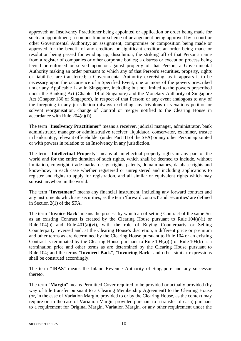approved; an Insolvency Practitioner being appointed or application or order being made for such an appointment; a composition or scheme of arrangement being approved by a court or other Governmental Authority; an assignment, compromise or composition being made or approved for the benefit of any creditors or significant creditor; an order being made or resolution being passed for winding up; dissolution; the striking off of that Person's name from a register of companies or other corporate bodies; a distress or execution process being levied or enforced or served upon or against property of that Person; a Governmental Authority making an order pursuant to which any of that Person's securities, property, rights or liabilities are transferred; a Governmental Authority exercising, as it appears it to be necessary upon the occurrence of a Specified Event, one or more of the powers prescribed under any Applicable Law in Singapore, including but not limited to the powers prescribed under the Banking Act (Chapter 19 of Singapore) and the Monetary Authority of Singapore Act (Chapter 186 of Singapore), in respect of that Person; or any event analogous to any of the foregoing in any jurisdiction (always excluding any frivolous or vexatious petition or solvent reorganisation, change of Control or merger notified to the Clearing House in accordance with Rule  $204(a)(i)$ .

The term "**Insolvency Practitioner**" means a receiver, judicial manager, administrator, bank administrator, manager or administrative receiver, liquidator, conservator, examiner, trustee in bankruptcy, relevant officeholder (under Part III of the SFA) or any other Person appointed or with powers in relation to an Insolvency in any jurisdiction.

The term "**Intellectual Property**" means all intellectual property rights in any part of the world and for the entire duration of such rights, which shall be deemed to include, without limitation, copyright, trade marks, design rights, patents, domain names, database rights and know-how, in each case whether registered or unregistered and including applications to register and rights to apply for registration, and all similar or equivalent rights which may subsist anywhere in the world.

The term "**Investment**" means any financial instrument, including any forward contract and any instruments which are securities, as the term 'forward contract' and 'securities' are defined in Section 2(1) of the SFA.

The term "**Invoice Back**" means the process by which an offsetting Contract of the same Set as an existing Contract is created by the Clearing House pursuant to Rule 104(a)(i) or Rule  $104(b)$  and Rule  $401(a)(vi)$ , with the role of Buying Counterparty or Selling Counterparty reversed and, at the Clearing House's discretion, a different price or premium and other terms as are determined by the Clearing House pursuant to Rule 104 or an existing Contract is terminated by the Clearing House pursuant to Rule 104(a)(i) or Rule 104(b) at a termination price and other terms as are determined by the Clearing House pursuant to Rule 104; and the terms "**Invoiced Back**", "**Invoicing Back**" and other similar expressions shall be construed accordingly.

The term "**IRAS**" means the Inland Revenue Authority of Singapore and any successor thereto.

The term "**Margin**" means Permitted Cover required to be provided or actually provided (by way of title transfer pursuant to a Clearing Membership Agreement) to the Clearing House (or, in the case of Variation Margin, provided to or by the Clearing House, as the context may require or, in the case of Variation Margin provided pursuant to a transfer of cash) pursuant to a requirement for Original Margin, Variation Margin, or any other requirement under the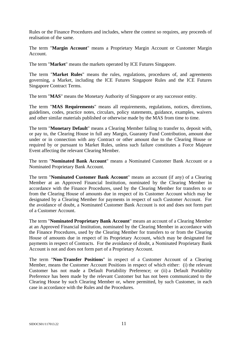Rules or the Finance Procedures and includes, where the context so requires, any proceeds of realisation of the same.

The term "**Margin Account**" means a Proprietary Margin Account or Customer Margin Account.

The term "**Market**" means the markets operated by ICE Futures Singapore.

The term "**Market Rules**" means the rules, regulations, procedures of, and agreements governing, a Market, including the ICE Futures Singapore Rules and the ICE Futures Singapore Contract Terms.

The term "**MAS**" means the Monetary Authority of Singapore or any successor entity.

The term "**MAS Requirements**" means all requirements, regulations, notices, directions, guidelines, codes, practice notes, circulars, policy statements, guidance, examples, waivers and other similar materials published or otherwise made by the MAS from time to time.

The term "**Monetary Default**" means a Clearing Member failing to transfer to, deposit with, or pay to, the Clearing House in full any Margin, Guaranty Fund Contribution, amount due under or in connection with any Contract or other amount due to the Clearing House or required by or pursuant to Market Rules, unless such failure constitutes a Force Majeure Event affecting the relevant Clearing Member.

The term "**Nominated Bank Account**" means a Nominated Customer Bank Account or a Nominated Proprietary Bank Account.

The term "**Nominated Customer Bank Account**" means an account (if any) of a Clearing Member at an Approved Financial Institution, nominated by the Clearing Member in accordance with the Finance Procedures, used by the Clearing Member for transfers to or from the Clearing House of amounts due in respect of its Customer Account which may be designated by a Clearing Member for payments in respect of such Customer Account. For the avoidance of doubt, a Nominated Customer Bank Account is not and does not form part of a Customer Account.

The term "**Nominated Proprietary Bank Account**" means an account of a Clearing Member at an Approved Financial Institution, nominated by the Clearing Member in accordance with the Finance Procedures, used by the Clearing Member for transfers to or from the Clearing House of amounts due in respect of its Proprietary Account, which may be designated for payments in respect of Contracts. For the avoidance of doubt, a Nominated Proprietary Bank Account is not and does not form part of a Proprietary Account.

The term "**Non-Transfer Positions**" in respect of a Customer Account of a Clearing Member, means the Customer Account Positions in respect of which either: (i) the relevant Customer has not made a Default Portability Preference; or (ii) a Default Portability Preference has been made by the relevant Customer but has not been communicated to the Clearing House by such Clearing Member or, where permitted, by such Customer, in each case in accordance with the Rules and the Procedures.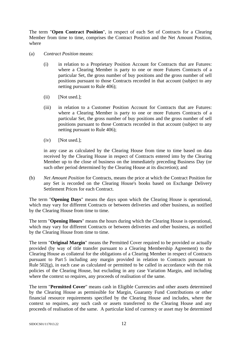The term "**Open Contract Position**", in respect of each Set of Contracts for a Clearing Member from time to time, comprises the Contract Position and the Net Amount Position, where

- (a) *Contract Position* means:
	- (i) in relation to a Proprietary Position Account for Contracts that are Futures: where a Clearing Member is party to one or more Futures Contracts of a particular Set, the gross number of buy positions and the gross number of sell positions pursuant to those Contracts recorded in that account (subject to any netting pursuant to Rule 406);
	- (ii) [Not used.]:
	- (iii) in relation to a Customer Position Account for Contracts that are Futures: where a Clearing Member is party to one or more Futures Contracts of a particular Set, the gross number of buy positions and the gross number of sell positions pursuant to those Contracts recorded in that account (subject to any netting pursuant to Rule 406);
	- (iv) [Not used.];

in any case as calculated by the Clearing House from time to time based on data received by the Clearing House in respect of Contracts entered into by the Clearing Member up to the close of business on the immediately preceding Business Day (or such other period determined by the Clearing House at its discretion); and

(b) *Net Amount Position* for Contracts, means the price at which the Contract Position for any Set is recorded on the Clearing House's books based on Exchange Delivery Settlement Prices for each Contract.

The term "**Opening Days**" means the days upon which the Clearing House is operational, which may vary for different Contracts or between deliveries and other business, as notified by the Clearing House from time to time.

The term "**Opening Hours**" means the hours during which the Clearing House is operational, which may vary for different Contracts or between deliveries and other business, as notified by the Clearing House from time to time.

The term "**Original Margin**" means the Permitted Cover required to be provided or actually provided (by way of title transfer pursuant to a Clearing Membership Agreement) to the Clearing House as collateral for the obligations of a Clearing Member in respect of Contracts pursuant to Part 5 including any margin provided in relation to Contracts pursuant to Rule  $502(g)$ , in each case as calculated or permitted to be called in accordance with the risk policies of the Clearing House, but excluding in any case Variation Margin, and including where the context so requires, any proceeds of realisation of the same.

The term "**Permitted Cover**" means cash in Eligible Currencies and other assets determined by the Clearing House as permissible for Margin, Guaranty Fund Contributions or other financial resource requirements specified by the Clearing House and includes, where the context so requires, any such cash or assets transferred to the Clearing House and any proceeds of realisation of the same. A particular kind of currency or asset may be determined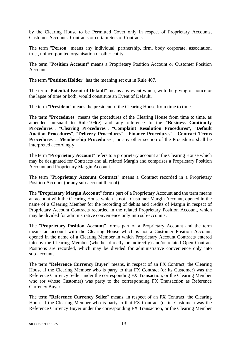by the Clearing House to be Permitted Cover only in respect of Proprietary Accounts, Customer Accounts, Contracts or certain Sets of Contracts.

The term "**Person**" means any individual, partnership, firm, body corporate, association, trust, unincorporated organisation or other entity.

The term "**Position Account**" means a Proprietary Position Account or Customer Position Account.

The term "**Position Holder**" has the meaning set out in Rule 407.

The term "**Potential Event of Default**" means any event which, with the giving of notice or the lapse of time or both, would constitute an Event of Default.

The term "**President**" means the president of the Clearing House from time to time.

The term "**Procedures**" means the procedures of the Clearing House from time to time, as amended pursuant to Rule 109(e) and any reference to the "**Business Continuity Procedures**", "**Clearing Procedures**", "**Complaint Resolution Procedures**", "**Default Auction Procedures**", "**Delivery Procedures**", "**Finance Procedures**", "**Contract Terms Procedures**", "**Membership Procedures**", or any other section of the Procedures shall be interpreted accordingly.

The term "**Proprietary Account**" refers to a proprietary account at the Clearing House which may be designated for Contracts and all related Margin and comprises a Proprietary Position Account and Proprietary Margin Account.

The term "**Proprietary Account Contract**" means a Contract recorded in a Proprietary Position Account (or any sub-account thereof).

The "**Proprietary Margin Account**" forms part of a Proprietary Account and the term means an account with the Clearing House which is not a Customer Margin Account, opened in the name of a Clearing Member for the recording of debits and credits of Margin in respect of Proprietary Account Contracts recorded in the related Proprietary Position Account, which may be divided for administrative convenience only into sub-accounts.

The "**Proprietary Position Account**" forms part of a Proprietary Account and the term means an account with the Clearing House which is not a Customer Position Account, opened in the name of a Clearing Member in which Proprietary Account Contracts entered into by the Clearing Member (whether directly or indirectly) and/or related Open Contract Positions are recorded, which may be divided for administrative convenience only into sub-accounts.

The term "**Reference Currency Buyer**" means, in respect of an FX Contract, the Clearing House if the Clearing Member who is party to that FX Contract (or its Customer) was the Reference Currency Seller under the corresponding FX Transaction, or the Clearing Member who (or whose Customer) was party to the corresponding FX Transaction as Reference Currency Buyer.

The term "**Reference Currency Seller**" means, in respect of an FX Contract, the Clearing House if the Clearing Member who is party to that FX Contract (or its Customer) was the Reference Currency Buyer under the corresponding FX Transaction, or the Clearing Member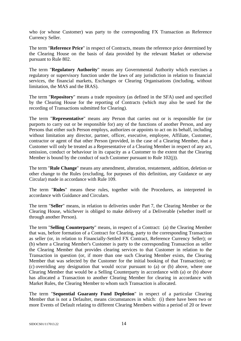who (or whose Customer) was party to the corresponding FX Transaction as Reference Currency Seller.

The term "**Reference Price**" in respect of Contracts, means the reference price determined by the Clearing House on the basis of data provided by the relevant Market or otherwise pursuant to Rule 802.

The term "**Regulatory Authority**" means any Governmental Authority which exercises a regulatory or supervisory function under the laws of any jurisdiction in relation to financial services, the financial markets, Exchanges or Clearing Organisations (including, without limitation, the MAS and the IRAS).

The term "**Repository**" means a trade repository (as defined in the SFA) used and specified by the Clearing House for the reporting of Contracts (which may also be used for the recording of Transactions submitted for Clearing).

The term "**Representative**" means any Person that carries out or is responsible for (or purports to carry out or be responsible for) any of the functions of another Person, and any Persons that either such Person employs, authorizes or appoints to act on its behalf, including without limitation any director, partner, officer, executive, employee, Affiliate, Customer, contractor or agent of that other Person (provided, in the case of a Clearing Member, that a Customer will only be treated as a Representative of a Clearing Member in respect of any act, omission, conduct or behaviour in its capacity as a Customer to the extent that the Clearing Member is bound by the conduct of such Customer pursuant to Rule 102(j)).

The term "**Rule Change**" means any amendment, alteration, restatement, addition, deletion or other change to the Rules (excluding, for purposes of this definition, any Guidance or any Circular) made in accordance with Rule 109.

The term "**Rules**" means these rules, together with the Procedures, as interpreted in accordance with Guidance and Circulars.

The term "**Seller**" means, in relation to deliveries under Part 7, the Clearing Member or the Clearing House, whichever is obliged to make delivery of a Deliverable (whether itself or through another Person).

The term "**Selling Counterparty**" means, in respect of a Contract: (a) the Clearing Member that was, before formation of a Contract for Clearing, party to the corresponding Transaction as seller (or, in relation to Financially-Settled FX Contract, Reference Currency Seller); or (b) where a Clearing Member's Customer is party to the corresponding Transaction as seller the Clearing Member that provides clearing services to that Customer in relation to the Transaction in question (or, if more than one such Clearing Member exists, the Clearing Member that was selected by the Customer for the initial booking of that Transaction); or (c) overriding any designation that would occur pursuant to (a) or (b) above, where one Clearing Member that would be a Selling Counterparty in accordance with (a) or (b) above has allocated a Transaction to another Clearing Member for clearing in accordance with Market Rules, the Clearing Member to whom such Transaction is allocated.

The term "**Sequential Guaranty Fund Depletion**" in respect of a particular Clearing Member that is not a Defaulter, means circumstances in which: (i) there have been two or more Events of Default relating to different Clearing Members within a period of 20 or fewer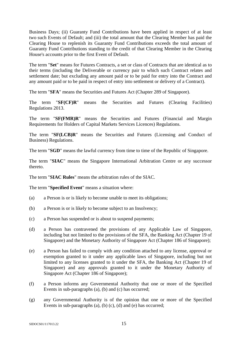Business Days; (ii) Guaranty Fund Contributions have been applied in respect of at least two such Events of Default; and (iii) the total amount that the Clearing Member has paid the Clearing House to replenish its Guaranty Fund Contributions exceeds the total amount of Guaranty Fund Contributions standing to the credit of that Clearing Member in the Clearing House's accounts prior to the first Event of Default.

The term "**Set**" means for Futures Contracts, a set or class of Contracts that are identical as to their terms (including the Deliverable or currency pair to which such Contract relates and settlement date; but excluding any amount paid or to be paid for entry into the Contract and any amount paid or to be paid in respect of entry into settlement or delivery of a Contract).

The term "**SFA**" means the Securities and Futures Act (Chapter 289 of Singapore).

The term "**SF(CF)R**" means the Securities and Futures (Clearing Facilities) Regulations 2013.

The term "**SF(FMR)R**" means the Securities and Futures (Financial and Margin Requirements for Holders of Capital Markets Services Licences) Regulations.

The term "**SF(LCB)R**" means the Securities and Futures (Licensing and Conduct of Business) Regulations.

The term "**SGD**" means the lawful currency from time to time of the Republic of Singapore.

The term "**SIAC**" means the Singapore International Arbitration Centre or any successor thereto.

The term "**SIAC Rules**" means the arbitration rules of the SIAC.

The term "**Specified Event**" means a situation where:

- (a) a Person is or is likely to become unable to meet its obligations;
- (b) a Person is or is likely to become subject to an Insolvency;
- (c) a Person has suspended or is about to suspend payments;
- (d) a Person has contravened the provisions of any Applicable Law of Singapore, including but not limited to the provisions of the SFA, the Banking Act (Chapter 19 of Singapore) and the Monetary Authority of Singapore Act (Chapter 186 of Singapore);
- (e) a Person has failed to comply with any condition attached to any license, approval or exemption granted to it under any applicable laws of Singapore, including but not limited to any licenses granted to it under the SFA, the Banking Act (Chapter 19 of Singapore) and any approvals granted to it under the Monetary Authority of Singapore Act (Chapter 186 of Singapore);
- (f) a Person informs any Governmental Authority that one or more of the Specified Events in sub-paragraphs (a), (b) and (c) has occurred;
- (g) any Governmental Authority is of the opinion that one or more of the Specified Events in sub-paragraphs (a), (b) (c), (d) and (e) has occurred;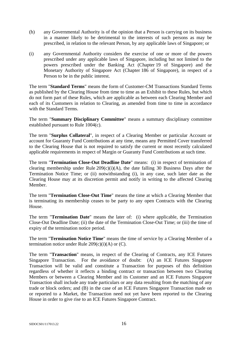- (h) any Governmental Authority is of the opinion that a Person is carrying on its business in a manner likely to be detrimental to the interests of such persons as may be prescribed, in relation to the relevant Person, by any applicable laws of Singapore; or
- (i) any Governmental Authority considers the exercise of one or more of the powers prescribed under any applicable laws of Singapore, including but not limited to the powers prescribed under the Banking Act (Chapter 19 of Singapore) and the Monetary Authority of Singapore Act (Chapter 186 of Singapore), in respect of a Person to be in the public interest.

The term "**Standard Terms**" means the form of Customer-CM Transactions Standard Terms as published by the Clearing House from time to time as an Exhibit to these Rules, but which do not form part of these Rules, which are applicable as between each Clearing Member and each of its Customers in relation to Clearing, as amended from time to time in accordance with the Standard Terms.

The term "**Summary Disciplinary Committee**" means a summary disciplinary committee established pursuant to Rule 1004(c).

The term "**Surplus Collateral**", in respect of a Clearing Member or particular Account or account for Guaranty Fund Contributions at any time, means any Permitted Cover transferred to the Clearing House that is not required to satisfy the current or most recently calculated applicable requirements in respect of Margin or Guaranty Fund Contributions at such time.

The term "**Termination Close-Out Deadline Date**" means: (i) in respect of termination of clearing membership under Rule  $209(c)(i)(A)$ , the date falling 30 Business Days after the Termination Notice Time; or (ii) notwithstanding (i), in any case, such later date as the Clearing House may at its discretion permit and notify in writing to the affected Clearing Member.

The term "**Termination Close-Out Time**" means the time at which a Clearing Member that is terminating its membership ceases to be party to any open Contracts with the Clearing House.

The term "**Termination Date**" means the later of: (i) where applicable, the Termination Close-Out Deadline Date; (ii) the date of the Termination Close-Out Time; or (iii) the time of expiry of the termination notice period.

The term "**Termination Notice Time**" means the time of service by a Clearing Member of a termination notice under Rule  $209(c)(i)(A)$  or  $(C)$ .

The term "**Transaction**" means, in respect of the Clearing of Contracts, any ICE Futures Singapore Transaction. For the avoidance of doubt: (A) an ICE Futures Singapore Transaction will be valid and constitute a Transaction for purposes of this definition regardless of whether it reflects a binding contract or transaction between two Clearing Members or between a Clearing Member and its Customer and an ICE Futures Singapore Transaction shall include any trade particulars or any data resulting from the matching of any trade or block orders; and (B) in the case of an ICE Futures Singapore Transaction made on or reported to a Market, the Transaction need not yet have been reported to the Clearing House in order to give rise to an ICE Futures Singapore Contract.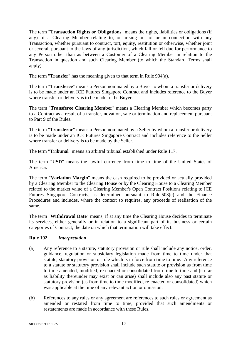The term "**Transaction Rights or Obligations**" means the rights, liabilities or obligations (if any) of a Clearing Member relating to, or arising out of or in connection with any Transaction, whether pursuant to contract, tort, equity, restitution or otherwise, whether joint or several, pursuant to the laws of any jurisdiction, which fall or fell due for performance to any Person other than as between a Customer of a Clearing Member in relation to the Transaction in question and such Clearing Member (to which the Standard Terms shall apply).

The term "**Transfer**" has the meaning given to that term in Rule 904(a).

The term "**Transferee**" means a Person nominated by a Buyer to whom a transfer or delivery is to be made under an ICE Futures Singapore Contract and includes reference to the Buyer where transfer or delivery is to be made to the Buyer.

The term "**Transferee Clearing Member**" means a Clearing Member which becomes party to a Contract as a result of a transfer, novation, sale or termination and replacement pursuant to Part 9 of the Rules.

The term "**Transferor**" means a Person nominated by a Seller by whom a transfer or delivery is to be made under an ICE Futures Singapore Contract and includes reference to the Seller where transfer or delivery is to be made by the Seller.

The term "**Tribunal**" means an arbitral tribunal established under Rule 117.

The term "**USD**" means the lawful currency from time to time of the United States of America.

The term "**Variation Margin**" means the cash required to be provided or actually provided by a Clearing Member to the Clearing House or by the Clearing House to a Clearing Member related to the market value of a Clearing Member's Open Contract Positions relating to ICE Futures Singapore Contracts, as determined pursuant to Rule 503(e) and the Finance Procedures and includes, where the context so requires, any proceeds of realisation of the same.

The term "**Withdrawal Date**" means, if at any time the Clearing House decides to terminate its services, either generally or in relation to a significant part of its business or certain categories of Contract, the date on which that termination will take effect.

# **Rule 102** *Interpretation*

- (a) Any reference to a statute, statutory provision or rule shall include any notice, order, guidance, regulation or subsidiary legislation made from time to time under that statute, statutory provision or rule which is in force from time to time. Any reference to a statute or statutory provision shall include such statute or provision as from time to time amended, modified, re-enacted or consolidated from time to time and (so far as liability thereunder may exist or can arise) shall include also any past statute or statutory provision (as from time to time modified, re-enacted or consolidated) which was applicable at the time of any relevant action or omission.
- (b) References to any rules or any agreement are references to such rules or agreement as amended or restated from time to time, provided that such amendments or restatements are made in accordance with these Rules.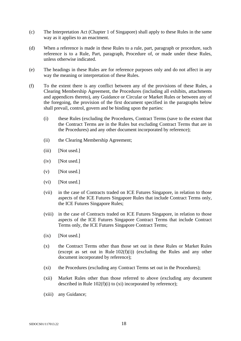- (c) The Interpretation Act (Chapter 1 of Singapore) shall apply to these Rules in the same way as it applies to an enactment.
- (d) When a reference is made in these Rules to a rule, part, paragraph or procedure, such reference is to a Rule, Part, paragraph, Procedure of, or made under these Rules, unless otherwise indicated.
- (e) The headings in these Rules are for reference purposes only and do not affect in any way the meaning or interpretation of these Rules.
- (f) To the extent there is any conflict between any of the provisions of these Rules, a Clearing Membership Agreement, the Procedures (including all exhibits, attachments and appendices thereto), any Guidance or Circular or Market Rules or between any of the foregoing, the provision of the first document specified in the paragraphs below shall prevail, control, govern and be binding upon the parties:
	- (i) these Rules (excluding the Procedures, Contract Terms (save to the extent that the Contract Terms are in the Rules but excluding Contract Terms that are in the Procedures) and any other document incorporated by reference);
	- (ii) the Clearing Membership Agreement;
	- (iii) [Not used.]
	- (iv) [Not used.]
	- $(v)$  [Not used.]
	- (vi) [Not used.]
	- (vii) in the case of Contracts traded on ICE Futures Singapore, in relation to those aspects of the ICE Futures Singapore Rules that include Contract Terms only, the ICE Futures Singapore Rules;
	- (viii) in the case of Contracts traded on ICE Futures Singapore, in relation to those aspects of the ICE Futures Singapore Contract Terms that include Contract Terms only, the ICE Futures Singapore Contract Terms;
	- $(ix)$  [Not used.]
	- (x) the Contract Terms other than those set out in these Rules or Market Rules (except as set out in Rule  $102(f)(i)$ ) (excluding the Rules and any other document incorporated by reference);
	- (xi) the Procedures (excluding any Contract Terms set out in the Procedures);
	- (xii) Market Rules other than those referred to above (excluding any document described in Rule 102(f)(i) to (xi) incorporated by reference);
	- (xiii) any Guidance;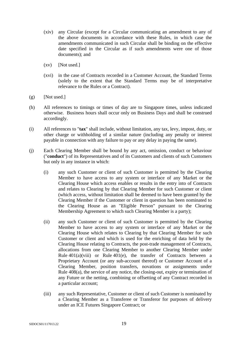- (xiv) any Circular (except for a Circular communicating an amendment to any of the above documents in accordance with these Rules, in which case the amendments communicated in such Circular shall be binding on the effective date specified in the Circular as if such amendments were one of those documents); and
- $(xv)$  [Not used.]
- (xvi) in the case of Contracts recorded in a Customer Account, the Standard Terms (solely to the extent that the Standard Terms may be of interpretative relevance to the Rules or a Contract).
- $(g)$  [Not used.]
- (h) All references to timings or times of day are to Singapore times, unless indicated otherwise. Business hours shall occur only on Business Days and shall be construed accordingly.
- (i) All references to "**tax**" shall include, without limitation, any tax, levy, impost, duty, or other charge or withholding of a similar nature (including any penalty or interest payable in connection with any failure to pay or any delay in paying the same).
- (j) Each Clearing Member shall be bound by any act, omission, conduct or behaviour ("**conduct**") of its Representatives and of its Customers and clients of such Customers but only in any instance in which:
	- (i) any such Customer or client of such Customer is permitted by the Clearing Member to have access to any system or interface of any Market or the Clearing House which access enables or results in the entry into of Contracts and relates to Clearing by that Clearing Member for such Customer or client (which access, without limitation shall be deemed to have been granted by the Clearing Member if the Customer or client in question has been nominated to the Clearing House as an "Eligible Person" pursuant to the Clearing Membership Agreement to which such Clearing Member is a party);
	- (ii) any such Customer or client of such Customer is permitted by the Clearing Member to have access to any system or interface of any Market or the Clearing House which relates to Clearing by that Clearing Member for such Customer or client and which is used for the enriching of data held by the Clearing House relating to Contracts, the post-trade management of Contracts, allocations from one Clearing Member to another Clearing Member under Rule  $401(a)(viii)$  or Rule  $401(e)$ , the transfer of Contracts between a Proprietary Account (or any sub-account thereof) or Customer Account of a Clearing Member, position transfers, novations or assignments under Rule 408(a), the service of any notice, the closing-out, expiry or termination of any Future or the netting, combining or offsetting of any Contract recorded in a particular account;
	- (iii) any such Representative, Customer or client of such Customer is nominated by a Clearing Member as a Transferee or Transferor for purposes of delivery under an ICE Futures Singapore Contract; or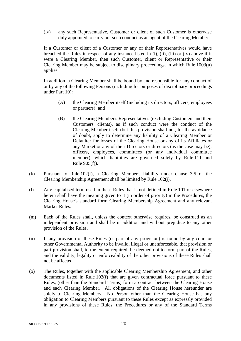(iv) any such Representative, Customer or client of such Customer is otherwise duly appointed to carry out such conduct as an agent of the Clearing Member.

If a Customer or client of a Customer or any of their Representatives would have breached the Rules in respect of any instance listed in (i), (ii), (iii) or (iv) above if it were a Clearing Member, then such Customer, client or Representative or their Clearing Member may be subject to disciplinary proceedings, in which Rule 1003(u) applies.

In addition, a Clearing Member shall be bound by and responsible for any conduct of or by any of the following Persons (including for purposes of disciplinary proceedings under Part 10):

- (A) the Clearing Member itself (including its directors, officers, employees or partners); and
- (B) the Clearing Member's Representatives (excluding Customers and their Customers' clients), as if such conduct were the conduct of the Clearing Member itself (but this provision shall not, for the avoidance of doubt, apply to determine any liability of a Clearing Member or Defaulter for losses of the Clearing House or any of its Affiliates or any Market or any of their Directors or directors (as the case may be), officers, employees, committees (or any individual committee member), which liabilities are governed solely by Rule 111 and Rule 905(f)).
- (k) Pursuant to Rule 102(f), a Clearing Member's liability under clause 3.5 of the Clearing Membership Agreement shall be limited by Rule 102(j).
- (l) Any capitalised term used in these Rules that is not defined in Rule 101 or elsewhere herein shall have the meaning given to it (in order of priority) in the Procedures, the Clearing House's standard form Clearing Membership Agreement and any relevant Market Rules.
- (m) Each of the Rules shall, unless the context otherwise requires, be construed as an independent provision and shall be in addition and without prejudice to any other provision of the Rules.
- (n) If any provision of these Rules (or part of any provision) is found by any court or other Governmental Authority to be invalid, illegal or unenforceable, that provision or part-provision shall, to the extent required, be deemed not to form part of the Rules, and the validity, legality or enforceability of the other provisions of these Rules shall not be affected.
- (o) The Rules, together with the applicable Clearing Membership Agreement, and other documents listed in Rule 102(f) that are given contractual force pursuant to these Rules, (other than the Standard Terms) form a contract between the Clearing House and each Clearing Member. All obligations of the Clearing House hereunder are solely to Clearing Members. No Person other than the Clearing House has any obligation to Clearing Members pursuant to these Rules except as expressly provided in any provisions of these Rules, the Procedures or any of the Standard Terms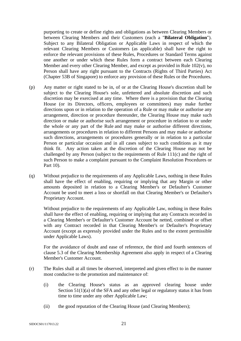purporting to create or define rights and obligations as between Clearing Members or between Clearing Members and their Customers (each a "**Bilateral Obligation**"). Subject to any Bilateral Obligation or Applicable Laws in respect of which the relevant Clearing Members or Customers (as applicable) shall have the right to enforce the relevant provisions of these Rules, Procedures or Standard Terms against one another or under which these Rules form a contract between each Clearing Member and every other Clearing Member, and except as provided in Rule  $102(v)$ , no Person shall have any right pursuant to the Contracts (Rights of Third Parties) Act (Chapter 53B of Singapore) to enforce any provision of these Rules or the Procedures.

- (p) Any matter or right stated to be in, of or at the Clearing House's discretion shall be subject to the Clearing House's sole, unfettered and absolute discretion and such discretion may be exercised at any time. Where there is a provision that the Clearing House (or its Directors, officers, employees or committees) may make further directions upon or in relation to the operation of a Rule or may make or authorise any arrangement, direction or procedure thereunder, the Clearing House may make such direction or make or authorise such arrangement or procedure in relation to or under the whole or any part of the Rule and may make or authorise different directions, arrangements or procedures in relation to different Persons and may make or authorise such directions, arrangements or procedures generally or in relation to a particular Person or particular occasion and in all cases subject to such conditions as it may think fit. Any action taken at the discretion of the Clearing House may not be challenged by any Person (subject to the requirements of Rule 111(c) and the right of such Person to make a complaint pursuant to the Complaint Resolution Procedures or Part 10).
- (q) Without prejudice to the requirements of any Applicable Laws, nothing in these Rules shall have the effect of enabling, requiring or implying that any Margin or other amounts deposited in relation to a Clearing Member's or Defaulter's Customer Account be used to meet a loss or shortfall on that Clearing Member's or Defaulter's Proprietary Account.

Without prejudice to the requirements of any Applicable Law, nothing in these Rules shall have the effect of enabling, requiring or implying that any Contracts recorded in a Clearing Member's or Defaulter's Customer Account be netted, combined or offset with any Contract recorded in that Clearing Member's or Defaulter's Proprietary Account (except as expressly provided under the Rules and to the extent permissible under Applicable Laws).

For the avoidance of doubt and ease of reference, the third and fourth sentences of clause 5.3 of the Clearing Membership Agreement also apply in respect of a Clearing Member's Customer Account.

- (r) The Rules shall at all times be observed, interpreted and given effect to in the manner most conducive to the promotion and maintenance of:
	- (i) the Clearing House's status as an approved clearing house under Section 51(1)(a) of the SFA and any other legal or regulatory status it has from time to time under any other Applicable Law;
	- (ii) the good reputation of the Clearing House (and Clearing Members);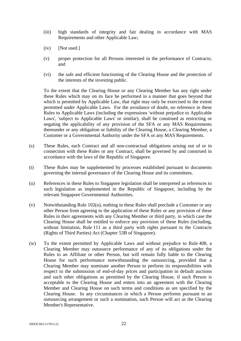- (iii) high standards of integrity and fair dealing in accordance with MAS Requirements and other Applicable Law;
- (iv) [Not used.]
- (v) proper protection for all Persons interested in the performance of Contracts; and
- (vi) the safe and efficient functioning of the Clearing House and the protection of the interests of the investing public.

To the extent that the Clearing House or any Clearing Member has any right under these Rules which may on its face be performed in a manner that goes beyond that which is permitted by Applicable Law, that right may only be exercised to the extent permitted under Applicable Laws. For the avoidance of doubt, no reference in these Rules to Applicable Laws (including the expressions 'without prejudice to Applicable Laws', 'subject to Applicable Laws' or similar), shall be construed as restricting or negating the applicability of any provision of the SFA or any MAS Requirements thereunder or any obligation or liability of the Clearing House, a Clearing Member, a Customer or a Governmental Authority under the SFA or any MAS Requirements.

- (s) These Rules, each Contract and all non-contractual obligations arising out of or in connection with these Rules or any Contract, shall be governed by and construed in accordance with the laws of the Republic of Singapore.
- (t) These Rules may be supplemented by processes established pursuant to documents governing the internal governance of the Clearing House and its committees.
- (u) References in these Rules to Singapore legislation shall be interpreted as references to such legislation as implemented in the Republic of Singapore, including by the relevant Singapore Governmental Authorities.
- (v) Notwithstanding Rule 102(o), nothing in these Rules shall preclude a Customer or any other Person from agreeing to the application of these Rules or any provision of these Rules in their agreements with any Clearing Member or third party, in which case the Clearing House shall be entitled to enforce any provision of these Rules (including, without limitation, Rule 111 as a third party with rights pursuant to the Contracts (Rights of Third Parties) Act (Chapter 53B of Singapore).
- (w) To the extent permitted by Applicable Laws and without prejudice to Rule 408, a Clearing Member may outsource performance of any of its obligations under the Rules to an Affiliate or other Person, but will remain fully liable to the Clearing House for such performance notwithstanding the outsourcing, provided that a Clearing Member may nominate another Person to perform its responsibilities with respect to the submission of end-of-day prices and participation in default auctions and such other obligations as permitted by the Clearing House, if such Person is acceptable to the Clearing House and enters into an agreement with the Clearing Member and Clearing House on such terms and conditions as are specified by the Clearing House. In any circumstances in which a Person performs pursuant to an outsourcing arrangement or such a nomination, such Person will act as the Clearing Member's Representative.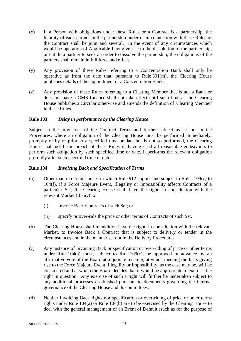- (x) If a Person with obligations under these Rules or a Contract is a partnership, the liability of each partner in the partnership under or in connection with these Rules or the Contract shall be joint and several. In the event of any circumstances which would be operation of Applicable Law give rise to the dissolution of the partnership, or entitle a partner to seek an order to dissolve the partnership, the obligations of the partners shall remain in full force and effect.
- (y) Any provision of these Rules referring to a Concentration Bank shall only be operative as from the date that, pursuant to Rule 301(m), the Clearing House publishes details of the appointment of a Concentration Bank.
- (z) Any provision of these Rules referring to a Clearing Member that is not a Bank or does not have a CMS Licence shall not take effect until such time as the Clearing House publishes a Circular otherwise and amends the definition of 'Clearing Member' in these Rules.

# **Rule 103** *Delay in performance by the Clearing House*

Subject to the provisions of the Contract Terms and further subject as set out in the Procedures, where an obligation of the Clearing House must be performed immediately, promptly or by or prior to a specified time or date but is not so performed, the Clearing House shall not be in breach of these Rules if, having used all reasonable endeavours to perform such obligation by such specified time or date, it performs the relevant obligation promptly after such specified time or date.

#### **Rule 104** *Invoicing Back and Specification of Terms*

- (a) Other than in circumstances in which Rule 912 applies and subject to Rules 104(c) to 104(f), if a Force Majeure Event, Illegality or Impossibility affects Contracts of a particular Set, the Clearing House shall have the right, in consultation with the relevant Market (if any) to:
	- (i) Invoice Back Contracts of such Set; or
	- (ii) specify or over-ride the price or other terms of Contracts of such Set.
- (b) The Clearing House shall in addition have the right, in consultation with the relevant Market, to Invoice Back a Contract that is subject to delivery or tender in the circumstances and in the manner set out in the Delivery Procedures.
- (c) Any instance of Invoicing Back or specification or over-riding of price or other terms under Rule  $104(a)$  must, subject to Rule  $109(c)$ , be approved in advance by an affirmative vote of the Board at a quorate meeting, at which meeting the facts giving rise to the Force Majeure Event, Illegality or Impossibility, as the case may be, will be considered and at which the Board decides that it would be appropriate to exercise the right in question. Any exercise of such a right will further be undertaken subject to any additional processes established pursuant to documents governing the internal governance of the Clearing House and its committees.
- (d) Neither Invoicing Back rights nor specification or over-riding of price or other terms rights under Rule 104(a) or Rule 104(b) are to be exercised by the Clearing House to deal with the general management of an Event of Default (such as for the purpose of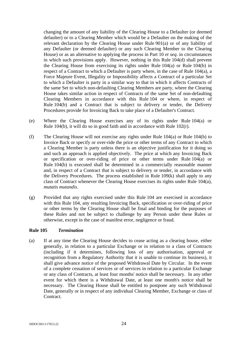changing the amount of any liability of the Clearing House to a Defaulter (or deemed defaulter) or to a Clearing Member which would be a Defaulter on the making of the relevant declaration by the Clearing House under Rule 901(a) or of any liability of any Defaulter (or deemed defaulter) or any such Clearing Member to the Clearing House) or as an alternative to applying the process in Part 10 *et seq*. in circumstances in which such provisions apply. However, nothing in this Rule 104(d) shall prevent the Clearing House from exercising its rights under Rule 104(a) or Rule 104(b) in respect of a Contract to which a Defaulter is party where, in the case of Rule 104(a), a Force Majeure Event, Illegality or Impossibility affects a Contract of a particular Set to which a Defaulter is party in a similar way to that in which it affects Contracts of the same Set to which non-defaulting Clearing Members are party, where the Clearing House takes similar action in respect of Contracts of the same Set of non-defaulting Clearing Members in accordance with this Rule 104 or where, in respect of Rule 104(b) and a Contract that is subject to delivery or tender, the Delivery Procedures provide for Invoicing Back to take place of a Defaulter's Contract.

- (e) Where the Clearing House exercises any of its rights under Rule 104(a) or Rule 104(b), it will do so in good faith and in accordance with Rule 102(r).
- (f) The Clearing House will not exercise any rights under Rule 104(a) or Rule 104(b) to Invoice Back or specify or over-ride the price or other terms of any Contract to which a Clearing Member is party unless there is an objective justification for it doing so and such an approach is applied objectively. The price at which any Invoicing Back or specification or over-riding of price or other terms under Rule 104(a) or Rule 104(b) is executed shall be determined in a commercially reasonable manner and, in respect of a Contract that is subject to delivery or tender, in accordance with the Delivery Procedures. The process established in Rule 109(k) shall apply to any class of Contract whenever the Clearing House exercises its rights under Rule 104(a), *mutatis mutandis*.
- (g) Provided that any rights exercised under this Rule 104 are exercised in accordance with this Rule 104, any resulting Invoicing Back, specification or over-riding of price or other terms by the Clearing House shall be final and binding for the purposes of these Rules and not be subject to challenge by any Person under these Rules or otherwise, except in the case of manifest error, negligence or fraud.

#### **Rule 105** *Termination*

(a) If at any time the Clearing House decides to cease acting as a clearing house, either generally, in relation to a particular Exchange or in relation to a class of Contracts (including if it determines, following loss of any authorisation, approval or recognition from a Regulatory Authority that it is unable to continue its business), it shall give advance notice of the proposed Withdrawal Date by Circular. In the event of a complete cessation of services or of services in relation to a particular Exchange or any class of Contracts, at least four months' notice shall be necessary. In any other event for which there is a Withdrawal Date, at least one month's notice shall be necessary. The Clearing House shall be entitled to postpone any such Withdrawal Date, generally or in respect of any individual Clearing Member, Exchange or class of Contract.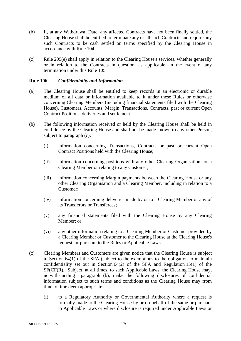- (b) If, at any Withdrawal Date, any affected Contracts have not been finally settled, the Clearing House shall be entitled to terminate any or all such Contracts and require any such Contracts to be cash settled on terms specified by the Clearing House in accordance with Rule 104.
- (c) Rule 209(e) shall apply in relation to the Clearing House's services, whether generally or in relation to the Contracts in question, as applicable, in the event of any termination under this Rule 105.

#### **Rule 106** *Confidentiality and Information*

- (a) The Clearing House shall be entitled to keep records in an electronic or durable medium of all data or information available to it under these Rules or otherwise concerning Clearing Members (including financial statements filed with the Clearing House), Customers, Accounts, Margin, Transactions, Contracts, past or current Open Contract Positions, deliveries and settlement.
- (b) The following information received or held by the Clearing House shall be held in confidence by the Clearing House and shall not be made known to any other Person, subject to paragraph (c):
	- (i) information concerning Transactions, Contracts or past or current Open Contract Positions held with the Clearing House;
	- (ii) information concerning positions with any other Clearing Organisation for a Clearing Member or relating to any Customer;
	- (iii) information concerning Margin payments between the Clearing House or any other Clearing Organisation and a Clearing Member, including in relation to a Customer;
	- (iv) information concerning deliveries made by or to a Clearing Member or any of its Transferors or Transferees;
	- (v) any financial statements filed with the Clearing House by any Clearing Member; or
	- (vi) any other information relating to a Clearing Member or Customer provided by a Clearing Member or Customer to the Clearing House at the Clearing House's request, or pursuant to the Rules or Applicable Laws.
- (c) Clearing Members and Customers are given notice that the Clearing House is subject to Section 64(1) of the SFA (subject to the exemptions to the obligation to maintain confidentiality set out in Section 64(2) of the SFA and Regulation 15(1) of the SF(CF)R). Subject, at all times, to such Applicable Laws, the Clearing House may, notwithstanding paragraph (b), make the following disclosures of confidential information subject to such terms and conditions as the Clearing House may from time to time deem appropriate:
	- (i) to a Regulatory Authority or Governmental Authority where a request is formally made to the Clearing House by or on behalf of the same or pursuant to Applicable Laws or where disclosure is required under Applicable Laws or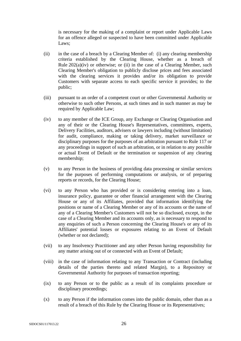is necessary for the making of a complaint or report under Applicable Laws for an offence alleged or suspected to have been committed under Applicable Laws;

- (ii) in the case of a breach by a Clearing Member of: (i) any clearing membership criteria established by the Clearing House, whether as a breach of Rule  $202(a)(iv)$  or otherwise; or (ii) in the case of a Clearing Member, such Clearing Member's obligation to publicly disclose prices and fees associated with the clearing services it provides and/or its obligation to provide Customers with separate access to each specific service it provides; to the public;
- (iii) pursuant to an order of a competent court or other Governmental Authority or otherwise to such other Persons, at such times and in such manner as may be required by Applicable Law;
- (iv) to any member of the ICE Group, any Exchange or Clearing Organisation and any of their or the Clearing House's Representatives, committees, experts, Delivery Facilities, auditors, advisers or lawyers including (without limitation) for audit, compliance, making or taking delivery, market surveillance or disciplinary purposes for the purposes of an arbitration pursuant to Rule 117 or any proceedings in support of such an arbitration, or in relation to any possible or actual Event of Default or the termination or suspension of any clearing membership;
- (v) to any Person in the business of providing data processing or similar services for the purposes of performing computations or analysis, or of preparing reports or records, for the Clearing House;
- (vi) to any Person who has provided or is considering entering into a loan, insurance policy, guarantee or other financial arrangement with the Clearing House or any of its Affiliates, provided that information identifying the positions or name of a Clearing Member or any of its accounts or the name of any of a Clearing Member's Customers will not be so disclosed, except, in the case of a Clearing Member and its accounts only, as is necessary to respond to any enquiries of such a Person concerning the Clearing House's or any of its Affiliates' potential losses or exposures relating to an Event of Default (whether or not declared);
- (vii) to any Insolvency Practitioner and any other Person having responsibility for any matter arising out of or connected with an Event of Default;
- (viii) in the case of information relating to any Transaction or Contract (including details of the parties thereto and related Margin), to a Repository or Governmental Authority for purposes of transaction reporting;
- (ix) to any Person or to the public as a result of its complaints procedure or disciplinary proceedings;
- (x) to any Person if the information comes into the public domain, other than as a result of a breach of this Rule by the Clearing House or its Representatives;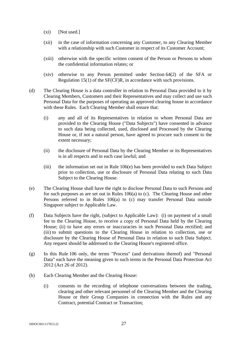- (xi) [Not used.]
- (xii) in the case of information concerning any Customer, to any Clearing Member with a relationship with such Customer in respect of its Customer Account;
- (xiii) otherwise with the specific written consent of the Person or Persons to whom the confidential information relates; or
- (xiv) otherwise to any Person permitted under Section 64(2) of the SFA or Regulation 15(1) of the SF(CF)R, in accordance with such provisions.
- (d) The Clearing House is a data controller in relation to Personal Data provided to it by Clearing Members, Customers and their Representatives and may collect and use such Personal Data for the purposes of operating an approved clearing house in accordance with these Rules. Each Clearing Member shall ensure that:
	- (i) any and all of its Representatives in relation to whom Personal Data are provided to the Clearing House ("Data Subjects") have consented in advance to such data being collected, used, disclosed and Processed by the Clearing House or, if not a natural person, have agreed to procure such consent to the extent necessary;
	- (ii) the disclosure of Personal Data by the Clearing Member or its Representatives is in all respects and in each case lawful; and
	- (iii) the information set out in Rule 106(e) has been provided to each Data Subject prior to collection, use or disclosure of Personal Data relating to such Data Subject to the Clearing House.
- (e) The Clearing House shall have the right to disclose Personal Data to such Persons and for such purposes as are set out in Rules 106(a) to (c). The Clearing House and other Persons referred to in Rules 106(a) to (c) may transfer Personal Data outside Singapore subject to Applicable Law.
- (f) Data Subjects have the right, (subject to Applicable Law): (i) on payment of a small fee to the Clearing House, to receive a copy of Personal Data held by the Clearing House; (ii) to have any errors or inaccuracies in such Personal Data rectified; and (iii) to submit questions to the Clearing House in relation to collection, use or disclosure by the Clearing House of Personal Data in relation to such Data Subject. Any request should be addressed to the Clearing House's registered office.
- (g) In this Rule 106 only, the terms "Process" (and derivations thereof) and "Personal Data" each have the meaning given to such terms in the Personal Data Protection Act 2012 (Act 26 of 2012).
- (h) Each Clearing Member and the Clearing House:
	- (i) consents to the recording of telephone conversations between the trading, clearing and other relevant personnel of the Clearing Member and the Clearing House or their Group Companies in connection with the Rules and any Contract, potential Contract or Transaction;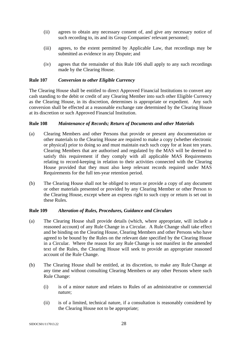- (ii) agrees to obtain any necessary consent of, and give any necessary notice of such recording to, its and its Group Companies' relevant personnel;
- (iii) agrees, to the extent permitted by Applicable Law, that recordings may be submitted as evidence in any Dispute; and
- (iv) agrees that the remainder of this Rule 106 shall apply to any such recordings made by the Clearing House.

## **Rule 107** *Conversion to other Eligible Currency*

The Clearing House shall be entitled to direct Approved Financial Institutions to convert any cash standing to the debit or credit of any Clearing Member into such other Eligible Currency as the Clearing House, in its discretion, determines is appropriate or expedient. Any such conversion shall be effected at a reasonable exchange rate determined by the Clearing House at its discretion or such Approved Financial Institution.

# **Rule 108** *Maintenance of Records; Return of Documents and other Materials*

- (a) Clearing Members and other Persons that provide or present any documentation or other materials to the Clearing House are required to make a copy (whether electronic or physical) prior to doing so and must maintain each such copy for at least ten years. Clearing Members that are authorised and regulated by the MAS will be deemed to satisfy this requirement if they comply with all applicable MAS Requirements relating to record-keeping in relation to their activities connected with the Clearing House provided that they must also keep relevant records required under MAS Requirements for the full ten-year retention period.
- (b) The Clearing House shall not be obliged to return or provide a copy of any document or other materials presented or provided by any Clearing Member or other Person to the Clearing House, except where an express right to such copy or return is set out in these Rules.

#### **Rule 109** *Alteration of Rules, Procedures, Guidance and Circulars*

- (a) The Clearing House shall provide details (which, where appropriate, will include a reasoned account) of any Rule Change in a Circular. A Rule Change shall take effect and be binding on the Clearing House, Clearing Members and other Persons who have agreed to be bound by the Rules on the relevant date specified by the Clearing House in a Circular. Where the reason for any Rule Change is not manifest in the amended text of the Rules, the Clearing House will seek to provide an appropriate reasoned account of the Rule Change.
- (b) The Clearing House shall be entitled, at its discretion, to make any Rule Change at any time and without consulting Clearing Members or any other Persons where such Rule Change:
	- (i) is of a minor nature and relates to Rules of an administrative or commercial nature;
	- (ii) is of a limited, technical nature, if a consultation is reasonably considered by the Clearing House not to be appropriate;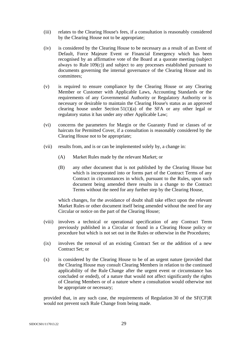- (iii) relates to the Clearing House's fees, if a consultation is reasonably considered by the Clearing House not to be appropriate;
- (iv) is considered by the Clearing House to be necessary as a result of an Event of Default, Force Majeure Event or Financial Emergency which has been recognised by an affirmative vote of the Board at a quorate meeting (subject always to Rule 109(c)) and subject to any processes established pursuant to documents governing the internal governance of the Clearing House and its committees;
- (v) is required to ensure compliance by the Clearing House or any Clearing Member or Customer with Applicable Laws, Accounting Standards or the requirements of any Governmental Authority or Regulatory Authority or is necessary or desirable to maintain the Clearing House's status as an approved clearing house under Section 51(1)(a) of the SFA or any other legal or regulatory status it has under any other Applicable Law;
- (vi) concerns the parameters for Margin or the Guaranty Fund or classes of or haircuts for Permitted Cover, if a consultation is reasonably considered by the Clearing House not to be appropriate;
- (vii) results from, and is or can be implemented solely by, a change in:
	- (A) Market Rules made by the relevant Market; or
	- (B) any other document that is not published by the Clearing House but which is incorporated into or forms part of the Contract Terms of any Contract in circumstances in which, pursuant to the Rules, upon such document being amended there results in a change to the Contract Terms without the need for any further step by the Clearing House,

which changes, for the avoidance of doubt shall take effect upon the relevant Market Rules or other document itself being amended without the need for any Circular or notice on the part of the Clearing House;

- (viii) involves a technical or operational specification of any Contract Term previously published in a Circular or found in a Clearing House policy or procedure but which is not set out in the Rules or otherwise in the Procedures;
- (ix) involves the removal of an existing Contract Set or the addition of a new Contract Set; or
- (x) is considered by the Clearing House to be of an urgent nature (provided that the Clearing House may consult Clearing Members in relation to the continued applicability of the Rule Change after the urgent event or circumstance has concluded or ended), of a nature that would not affect significantly the rights of Clearing Members or of a nature where a consultation would otherwise not be appropriate or necessary;

provided that, in any such case, the requirements of Regulation 30 of the SF(CF)R would not prevent such Rule Change from being made.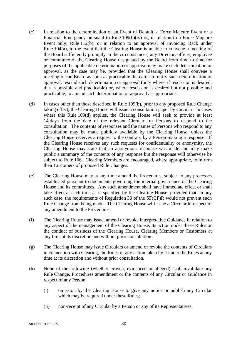- (c) In relation to the determination of an Event of Default, a Force Majeure Event or a Financial Emergency pursuant to Rule 109(b)(iv) or, in relation to a Force Majeure Event only, Rule 112(b), or in relation to an approval of Invoicing Back under Rule 104(a), in the event that the Clearing House is unable to convene a meeting of the Board sufficiently promptly in the circumstances, any Director, officer, employee or committee of the Clearing House designated by the Board from time to time for purposes of the applicable determination or approval may make such determination or approval, as the case may be, provided that the Clearing House shall convene a meeting of the Board as soon as practicable thereafter to ratify such determination or approval, rescind such determination or approval (only where, if rescission is desired, this is possible and practicable) or, where rescission is desired but not possible and practicable, to amend such determination or approval as appropriate.
- (d) In cases other than those described in Rule 109(b), prior to any proposed Rule Change taking effect, the Clearing House will issue a consultation paper by Circular. In cases where this Rule 109(d) applies, the Clearing House will seek to provide at least 14 days from the date of the relevant Circular for Persons to respond to the consultation. The contents of responses and the names of Persons who respond to any consultation may be made publicly available by the Clearing House, unless the Clearing House receives a request to the contrary by a Person making a response. If the Clearing House receives any such requests for confidentiality or anonymity, the Clearing House may state that an anonymous response was made and may make public a summary of the contents of any response but the response will otherwise be subject to Rule 106. Clearing Members are encouraged, where appropriate, to inform their Customers of proposed Rule Changes.
- (e) The Clearing House may at any time amend the Procedures, subject to any processes established pursuant to documents governing the internal governance of the Clearing House and its committees. Any such amendment shall have immediate effect or shall take effect at such time as is specified by the Clearing House, provided that, in any such case, the requirements of Regulation 30 of the SF(CF)R would not prevent such Rule Change from being made. The Clearing House will issue a Circular in respect of any amendment to the Procedures.
- (f) The Clearing House may issue, amend or revoke interpretative Guidance in relation to any aspect of the management of the Clearing House, its action under these Rules or the conduct of business of the Clearing House, Clearing Members or Customers at any time at its discretion and without prior consultation.
- (g) The Clearing House may issue Circulars or amend or revoke the contents of Circulars in connection with Clearing, the Rules or any action taken by it under the Rules at any time at its discretion and without prior consultation.
- (h) None of the following (whether proven, evidenced or alleged) shall invalidate any Rule Change, Procedures amendment or the contents of any Circular or Guidance in respect of any Person:
	- (i) omission by the Clearing House to give any notice or publish any Circular which may be required under these Rules;
	- (ii) non-receipt of any Circular by a Person or any of its Representatives;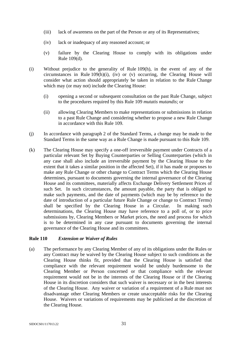- (iii) lack of awareness on the part of the Person or any of its Representatives;
- (iv) lack or inadequacy of any reasoned account; or
- (v) failure by the Clearing House to comply with its obligations under Rule 109(d).
- (i) Without prejudice to the generality of Rule 109(h), in the event of any of the circumstances in Rule  $109(h)(i)$ , (iv) or (v) occurring, the Clearing House will consider what action should appropriately be taken in relation to the Rule Change which may (or may not) include the Clearing House:
	- (i) opening a second or subsequent consultation on the past Rule Change, subject to the procedures required by this Rule 109 *mutatis mutandis*; or
	- (ii) allowing Clearing Members to make representations or submissions in relation to a past Rule Change and considering whether to propose a new Rule Change in accordance with this Rule 109.
- (j) In accordance with paragraph 2 of the Standard Terms, a change may be made to the Standard Terms in the same way as a Rule Change is made pursuant to this Rule 109.
- (k) The Clearing House may specify a one-off irreversible payment under Contracts of a particular relevant Set by Buying Counterparties or Selling Counterparties (which in any case shall also include an irreversible payment by the Clearing House to the extent that it takes a similar position in the affected Set), if it has made or proposes to make any Rule Change or other change to Contract Terms which the Clearing House determines, pursuant to documents governing the internal governance of the Clearing House and its committees, materially affects Exchange Delivery Settlement Prices of such Set. In such circumstances, the amount payable, the party that is obliged to make such payments, and the date of payments (which may be by reference to the date of introduction of a particular future Rule Change or change to Contract Terms) shall be specified by the Clearing House in a Circular. In making such determinations, the Clearing House may have reference to a poll of, or to price submissions by, Clearing Members or Market prices, the need and process for which is to be determined in any case pursuant to documents governing the internal governance of the Clearing House and its committees.

#### **Rule 110** *Extension or Waiver of Rules*

(a) The performance by any Clearing Member of any of its obligations under the Rules or any Contract may be waived by the Clearing House subject to such conditions as the Clearing House thinks fit, provided that the Clearing House is satisfied that compliance with the relevant requirement would be unduly burdensome to the Clearing Member or Person concerned or that compliance with the relevant requirement would not be in the interests of the Clearing House or if the Clearing House in its discretion considers that such waiver is necessary or in the best interests of the Clearing House. Any waiver or variation of a requirement of a Rule must not disadvantage other Clearing Members or create unacceptable risks for the Clearing House. Waivers or variations of requirements may be publicised at the discretion of the Clearing House.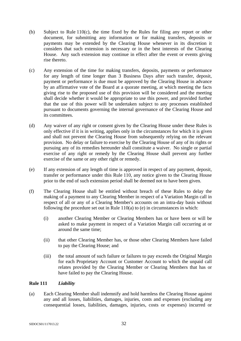- (b) Subject to Rule 110(c), the time fixed by the Rules for filing any report or other document, for submitting any information or for making transfers, deposits or payments may be extended by the Clearing House whenever in its discretion it considers that such extension is necessary or in the best interests of the Clearing House. Any such extension may continue in effect after the event or events giving rise thereto.
- (c) Any extension of the time for making transfers, deposits, payments or performance for any length of time longer than 3 Business Days after such transfer, deposit, payment or performance is due must be approved by the Clearing House in advance by an affirmative vote of the Board at a quorate meeting, at which meeting the facts giving rise to the proposed use of this provision will be considered and the meeting shall decide whether it would be appropriate to use this power, and provided further that the use of this power will be undertaken subject to any processes established pursuant to documents governing the internal governance of the Clearing House and its committees.
- (d) Any waiver of any right or consent given by the Clearing House under these Rules is only effective if it is in writing, applies only in the circumstances for which it is given and shall not prevent the Clearing House from subsequently relying on the relevant provision. No delay or failure to exercise by the Clearing House of any of its rights or pursuing any of its remedies hereunder shall constitute a waiver. No single or partial exercise of any right or remedy by the Clearing House shall prevent any further exercise of the same or any other right or remedy.
- (e) If any extension of any length of time is approved in respect of any payment, deposit, transfer or performance under this Rule 110, any notice given to the Clearing House prior to the end of such extension period shall be deemed not to have been given.
- (f) The Clearing House shall be entitled without breach of these Rules to delay the making of a payment to any Clearing Member in respect of a Variation Margin call in respect of all or any of a Clearing Member's accounts on an intra-day basis without following the procedure set out in Rule 110(a) to (e) in circumstances in which:
	- (i) another Clearing Member or Clearing Members has or have been or will be asked to make payment in respect of a Variation Margin call occurring at or around the same time;
	- (ii) that other Clearing Member has, or those other Clearing Members have failed to pay the Clearing House; and
	- (iii) the total amount of such failure or failures to pay exceeds the Original Margin for each Proprietary Account or Customer Account to which the unpaid call relates provided by the Clearing Member or Clearing Members that has or have failed to pay the Clearing House.

#### **Rule 111** *Liability*

(a) Each Clearing Member shall indemnify and hold harmless the Clearing House against any and all losses, liabilities, damages, injuries, costs and expenses (excluding any consequential losses, liabilities, damages, injuries, costs or expenses) incurred or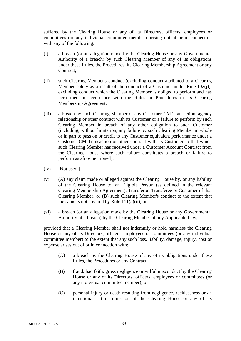suffered by the Clearing House or any of its Directors, officers, employees or committees (or any individual committee member) arising out of or in connection with any of the following:

- (i) a breach (or an allegation made by the Clearing House or any Governmental Authority of a breach) by such Clearing Member of any of its obligations under these Rules, the Procedures, its Clearing Membership Agreement or any Contract;
- (ii) such Clearing Member's conduct (excluding conduct attributed to a Clearing Member solely as a result of the conduct of a Customer under Rule 102(j)), excluding conduct which the Clearing Member is obliged to perform and has performed in accordance with the Rules or Procedures or its Clearing Membership Agreement;
- (iii) a breach by such Clearing Member of any Customer-CM Transaction, agency relationship or other contract with its Customer or a failure to perform by such Clearing Member in breach of any other obligation to such Customer (including, without limitation, any failure by such Clearing Member in whole or in part to pass on or credit to any Customer equivalent performance under a Customer-CM Transaction or other contract with its Customer to that which such Clearing Member has received under a Customer Account Contract from the Clearing House where such failure constitutes a breach or failure to perform as aforementioned);
- $(iv)$  [Not used.]
- (v) (A) any claim made or alleged against the Clearing House by, or any liability of the Clearing House to, an Eligible Person (as defined in the relevant Clearing Membership Agreement), Transferor, Transferee or Customer of that Clearing Member; or (B) such Clearing Member's conduct to the extent that the same is not covered by Rule  $111(a)(ii)$ ; or
- (vi) a breach (or an allegation made by the Clearing House or any Governmental Authority of a breach) by the Clearing Member of any Applicable Law,

provided that a Clearing Member shall not indemnify or hold harmless the Clearing House or any of its Directors, officers, employees or committees (or any individual committee member) to the extent that any such loss, liability, damage, injury, cost or expense arises out of or in connection with:

- (A) a breach by the Clearing House of any of its obligations under these Rules, the Procedures or any Contract;
- (B) fraud, bad faith, gross negligence or wilful misconduct by the Clearing House or any of its Directors, officers, employees or committees (or any individual committee member); or
- (C) personal injury or death resulting from negligence, recklessness or an intentional act or omission of the Clearing House or any of its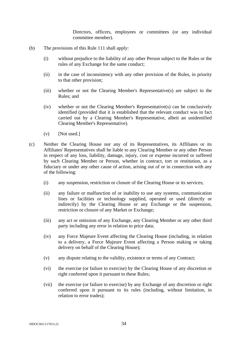Directors, officers, employees or committees (or any individual committee member).

- (b) The provisions of this Rule 111 shall apply:
	- (i) without prejudice to the liability of any other Person subject to the Rules or the rules of any Exchange for the same conduct;
	- (ii) in the case of inconsistency with any other provision of the Rules, in priority to that other provision;
	- (iii) whether or not the Clearing Member's Representative(s) are subject to the Rules; and
	- (iv) whether or not the Clearing Member's Representative(s) can be conclusively identified (provided that it is established that the relevant conduct was in fact carried out by a Clearing Member's Representative, albeit an unidentified Clearing Member's Representative).
	- $(v)$  [Not used.]
- (c) Neither the Clearing House nor any of its Representatives, its Affiliates or its Affiliates' Representatives shall be liable to any Clearing Member or any other Person in respect of any loss, liability, damage, injury, cost or expense incurred or suffered by such Clearing Member or Person, whether in contract, tort or restitution, as a fiduciary or under any other cause of action, arising out of or in connection with any of the following:
	- (i) any suspension, restriction or closure of the Clearing House or its services;
	- (ii) any failure or malfunction of or inability to use any systems, communication lines or facilities or technology supplied, operated or used (directly or indirectly) by the Clearing House or any Exchange or the suspension, restriction or closure of any Market or Exchange;
	- (iii) any act or omission of any Exchange, any Clearing Member or any other third party including any error in relation to price data;
	- (iv) any Force Majeure Event affecting the Clearing House (including, in relation to a delivery, a Force Majeure Event affecting a Person making or taking delivery on behalf of the Clearing House);
	- (v) any dispute relating to the validity, existence or terms of any Contract;
	- (vi) the exercise (or failure to exercise) by the Clearing House of any discretion or right conferred upon it pursuant to these Rules;
	- (vii) the exercise (or failure to exercise) by any Exchange of any discretion or right conferred upon it pursuant to its rules (including, without limitation, in relation to error trades);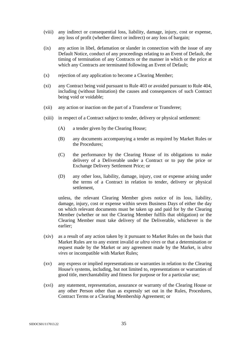- (viii) any indirect or consequential loss, liability, damage, injury, cost or expense, any loss of profit (whether direct or indirect) or any loss of bargain;
- (ix) any action in libel, defamation or slander in connection with the issue of any Default Notice, conduct of any proceedings relating to an Event of Default, the timing of termination of any Contracts or the manner in which or the price at which any Contracts are terminated following an Event of Default;
- (x) rejection of any application to become a Clearing Member;
- (xi) any Contract being void pursuant to Rule 403 or avoided pursuant to Rule 404, including (without limitation) the causes and consequences of such Contract being void or voidable;
- (xii) any action or inaction on the part of a Transferor or Transferee;
- (xiii) in respect of a Contract subject to tender, delivery or physical settlement:
	- (A) a tender given by the Clearing House;
	- (B) any documents accompanying a tender as required by Market Rules or the Procedures;
	- (C) the performance by the Clearing House of its obligations to make delivery of a Deliverable under a Contract or to pay the price or Exchange Delivery Settlement Price; or
	- (D) any other loss, liability, damage, injury, cost or expense arising under the terms of a Contract in relation to tender, delivery or physical settlement,

unless, the relevant Clearing Member gives notice of its loss, liability, damage, injury, cost or expense within seven Business Days of either the day on which relevant documents must be taken up and paid for by the Clearing Member (whether or not the Clearing Member fulfils that obligation) or the Clearing Member must take delivery of the Deliverable, whichever is the earlier;

- (xiv) as a result of any action taken by it pursuant to Market Rules on the basis that Market Rules are to any extent invalid or *ultra vires* or that a determination or request made by the Market or any agreement made by the Market, is *ultra vires* or incompatible with Market Rules;
- (xv) any express or implied representations or warranties in relation to the Clearing House's systems, including, but not limited to, representations or warranties of good title, merchantability and fitness for purpose or for a particular use;
- (xvi) any statement, representation, assurance or warranty of the Clearing House or any other Person other than as expressly set out in the Rules, Procedures, Contract Terms or a Clearing Membership Agreement; or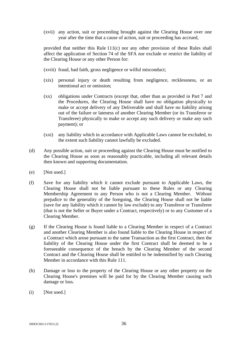(xvii) any action, suit or proceeding brought against the Clearing House over one year after the time that a cause of action, suit or proceeding has accrued,

provided that neither this Rule 111(c) nor any other provision of these Rules shall affect the application of Section 74 of the SFA nor exclude or restrict the liability of the Clearing House or any other Person for:

- (xviii) fraud, bad faith, gross negligence or wilful misconduct;
- (xix) personal injury or death resulting from negligence, recklessness, or an intentional act or omission;
- (xx) obligations under Contracts (except that, other than as provided in Part 7 and the Procedures, the Clearing House shall have no obligation physically to make or accept delivery of any Deliverable and shall have no liability arising out of the failure or lateness of another Clearing Member (or its Transferor or Transferee) physically to make or accept any such delivery or make any such payment); or
- (xxi) any liability which in accordance with Applicable Laws cannot be excluded, to the extent such liability cannot lawfully be excluded.
- (d) Any possible action, suit or proceeding against the Clearing House must be notified to the Clearing House as soon as reasonably practicable, including all relevant details then known and supporting documentation.
- (e) [Not used.]
- (f) Save for any liability which it cannot exclude pursuant to Applicable Laws, the Clearing House shall not be liable pursuant to these Rules or any Clearing Membership Agreement to any Person who is not a Clearing Member. Without prejudice to the generality of the foregoing, the Clearing House shall not be liable (save for any liability which it cannot by law exclude) to any Transferor or Transferee (that is not the Seller or Buyer under a Contract, respectively) or to any Customer of a Clearing Member.
- (g) If the Clearing House is found liable to a Clearing Member in respect of a Contract and another Clearing Member is also found liable to the Clearing House in respect of a Contract which arose pursuant to the same Transaction as the first Contract, then the liability of the Clearing House under the first Contract shall be deemed to be a foreseeable consequence of the breach by the Clearing Member of the second Contract and the Clearing House shall be entitled to be indemnified by such Clearing Member in accordance with this Rule 111.
- (h) Damage or loss to the property of the Clearing House or any other property on the Clearing House's premises will be paid for by the Clearing Member causing such damage or loss.
- $(i)$  [Not used.]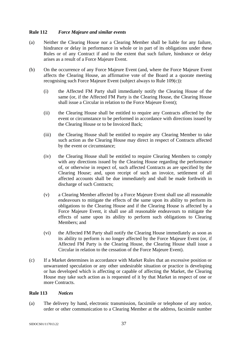# **Rule 112** *Force Majeure and similar events*

- (a) Neither the Clearing House nor a Clearing Member shall be liable for any failure, hindrance or delay in performance in whole or in part of its obligations under these Rules or of any Contract if and to the extent that such failure, hindrance or delay arises as a result of a Force Majeure Event.
- (b) On the occurrence of any Force Majeure Event (and, where the Force Majeure Event affects the Clearing House, an affirmative vote of the Board at a quorate meeting recognising such Force Majeure Event (subject always to Rule 109(c)):
	- (i) the Affected FM Party shall immediately notify the Clearing House of the same (or, if the Affected FM Party is the Clearing House, the Clearing House shall issue a Circular in relation to the Force Majeure Event);
	- (ii) the Clearing House shall be entitled to require any Contracts affected by the event or circumstance to be performed in accordance with directions issued by the Clearing House or to be Invoiced Back;
	- (iii) the Clearing House shall be entitled to require any Clearing Member to take such action as the Clearing House may direct in respect of Contracts affected by the event or circumstance;
	- (iv) the Clearing House shall be entitled to require Clearing Members to comply with any directions issued by the Clearing House regarding the performance of, or otherwise in respect of, such affected Contracts as are specified by the Clearing House; and, upon receipt of such an invoice, settlement of all affected accounts shall be due immediately and shall be made forthwith in discharge of such Contracts;
	- (v) a Clearing Member affected by a Force Majeure Event shall use all reasonable endeavours to mitigate the effects of the same upon its ability to perform its obligations to the Clearing House and if the Clearing House is affected by a Force Majeure Event, it shall use all reasonable endeavours to mitigate the effects of same upon its ability to perform such obligations to Clearing Members; and
	- (vi) the Affected FM Party shall notify the Clearing House immediately as soon as its ability to perform is no longer affected by the Force Majeure Event (or, if Affected FM Party is the Clearing House, the Clearing House shall issue a Circular in relation to the cessation of the Force Majeure Event).
- (c) If a Market determines in accordance with Market Rules that an excessive position or unwarranted speculation or any other undesirable situation or practice is developing or has developed which is affecting or capable of affecting the Market, the Clearing House may take such action as is requested of it by that Market in respect of one or more Contracts.

## **Rule 113** *Notices*

(a) The delivery by hand, electronic transmission, facsimile or telephone of any notice, order or other communication to a Clearing Member at the address, facsimile number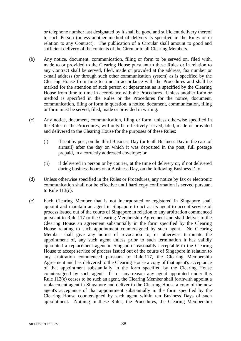or telephone number last designated by it shall be good and sufficient delivery thereof to such Person (unless another method of delivery is specified in the Rules or in relation to any Contract). The publication of a Circular shall amount to good and sufficient delivery of the contents of the Circular to all Clearing Members.

- (b) Any notice, document, communication, filing or form to be served on, filed with, made to or provided to the Clearing House pursuant to these Rules or in relation to any Contract shall be served, filed, made or provided at the address, fax number or e-mail address (or through such other communication system) as is specified by the Clearing House from time to time in accordance with the Procedures and shall be marked for the attention of such person or department as is specified by the Clearing House from time to time in accordance with the Procedures. Unless another form or method is specified in the Rules or the Procedures for the notice, document, communication, filing or form in question, a notice, document, communication, filing or form must be served, filed, made or provided in writing.
- (c) Any notice, document, communication, filing or form, unless otherwise specified in the Rules or the Procedures, will only be effectively served, filed, made or provided and delivered to the Clearing House for the purposes of these Rules:
	- (i) if sent by post, on the third Business Day (or tenth Business Day in the case of airmail) after the day on which it was deposited in the post, full postage prepaid, in a correctly addressed envelope; or
	- (ii) if delivered in person or by courier, at the time of delivery or, if not delivered during business hours on a Business Day, on the following Business Day.
- (d) Unless otherwise specified in the Rules or Procedures, any notice by fax or electronic communication shall not be effective until hard copy confirmation is served pursuant to Rule 113(c).
- (e) Each Clearing Member that is not incorporated or registered in Singapore shall appoint and maintain an agent in Singapore to act as its agent to accept service of process issued out of the courts of Singapore in relation to any arbitration commenced pursuant to Rule 117 or the Clearing Membership Agreement and shall deliver to the Clearing House an agreement substantially in the form specified by the Clearing House relating to such appointment countersigned by such agent. No Clearing Member shall give any notice of revocation to, or otherwise terminate the appointment of, any such agent unless prior to such termination it has validly appointed a replacement agent in Singapore reasonably acceptable to the Clearing House to accept service of process issued out of the courts of Singapore in relation to any arbitration commenced pursuant to Rule 117, the Clearing Membership Agreement and has delivered to the Clearing House a copy of that agent's acceptance of that appointment substantially in the form specified by the Clearing House countersigned by such agent. If for any reason any agent appointed under this Rule 113(e) ceases to be such an agent, the Clearing Member shall forthwith appoint a replacement agent in Singapore and deliver to the Clearing House a copy of the new agent's acceptance of that appointment substantially in the form specified by the Clearing House countersigned by such agent within ten Business Days of such appointment. Nothing in these Rules, the Procedures, the Clearing Membership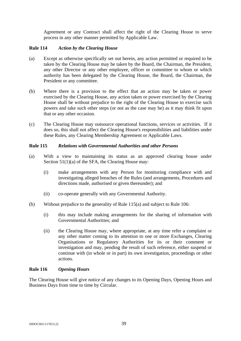Agreement or any Contract shall affect the right of the Clearing House to serve process in any other manner permitted by Applicable Law.

### **Rule 114** *Action by the Clearing House*

- (a) Except as otherwise specifically set out herein, any action permitted or required to be taken by the Clearing House may be taken by the Board, the Chairman, the President, any other Director or any other employee, officer or committee to whom or which authority has been delegated by the Clearing House, the Board, the Chairman, the President or any committee.
- (b) Where there is a provision to the effect that an action may be taken or power exercised by the Clearing House, any action taken or power exercised by the Clearing House shall be without prejudice to the right of the Clearing House to exercise such powers and take such other steps (or not as the case may be) as it may think fit upon that or any other occasion.
- (c) The Clearing House may outsource operational functions, services or activities. If it does so, this shall not affect the Clearing House's responsibilities and liabilities under these Rules, any Clearing Membership Agreement or Applicable Laws.

# **Rule 115** *Relations with Governmental Authorities and other Persons*

- (a) With a view to maintaining its status as an approved clearing house under Section 51(1)(a) of the SFA, the Clearing House may:
	- (i) make arrangements with any Person for monitoring compliance with and investigating alleged breaches of the Rules (and arrangements, Procedures and directions made, authorised or given thereunder); and
	- (ii) co-operate generally with any Governmental Authority.
- (b) Without prejudice to the generality of Rule 115(a) and subject to Rule 106:
	- (i) this may include making arrangements for the sharing of information with Governmental Authorities; and
	- (ii) the Clearing House may, where appropriate, at any time refer a complaint or any other matter coming to its attention to one or more Exchanges, Clearing Organisations or Regulatory Authorities for its or their comment or investigation and may, pending the result of such reference, either suspend or continue with (in whole or in part) its own investigation, proceedings or other actions.

### **Rule 116** *Opening Hours*

The Clearing House will give notice of any changes to its Opening Days, Opening Hours and Business Days from time to time by Circular.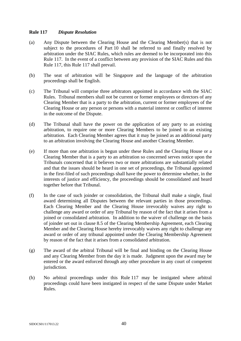## **Rule 117** *Dispute Resolution*

- (a) Any Dispute between the Clearing House and the Clearing Member(s) that is not subject to the procedures of Part 10 shall be referred to and finally resolved by arbitration under the SIAC Rules, which rules are deemed to be incorporated into this Rule 117. In the event of a conflict between any provision of the SIAC Rules and this Rule 117, this Rule 117 shall prevail.
- (b) The seat of arbitration will be Singapore and the language of the arbitration proceedings shall be English.
- (c) The Tribunal will comprise three arbitrators appointed in accordance with the SIAC Rules. Tribunal members shall not be current or former employees or directors of any Clearing Member that is a party to the arbitration, current or former employees of the Clearing House or any person or persons with a material interest or conflict of interest in the outcome of the Dispute.
- (d) The Tribunal shall have the power on the application of any party to an existing arbitration, to require one or more Clearing Members to be joined to an existing arbitration. Each Clearing Member agrees that it may be joined as an additional party to an arbitration involving the Clearing House and another Clearing Member.
- (e) If more than one arbitration is begun under these Rules and the Clearing House or a Clearing Member that is a party to an arbitration so concerned serves notice upon the Tribunals concerned that it believes two or more arbitrations are substantially related and that the issues should be heard in one set of proceedings, the Tribunal appointed in the first-filed of such proceedings shall have the power to determine whether, in the interests of justice and efficiency, the proceedings should be consolidated and heard together before that Tribunal.
- (f) In the case of such joinder or consolidation, the Tribunal shall make a single, final award determining all Disputes between the relevant parties in those proceedings. Each Clearing Member and the Clearing House irrevocably waives any right to challenge any award or order of any Tribunal by reason of the fact that it arises from a joined or consolidated arbitration. In addition to the waiver of challenge on the basis of joinder set out in clause 8.5 of the Clearing Membership Agreement, each Clearing Member and the Clearing House hereby irrevocably waives any right to challenge any award or order of any tribunal appointed under the Clearing Membership Agreement by reason of the fact that it arises from a consolidated arbitration.
- (g) The award of the arbitral Tribunal will be final and binding on the Clearing House and any Clearing Member from the day it is made. Judgment upon the award may be entered or the award enforced through any other procedure in any court of competent jurisdiction.
- (h) No arbitral proceedings under this Rule 117 may be instigated where arbitral proceedings could have been instigated in respect of the same Dispute under Market Rules.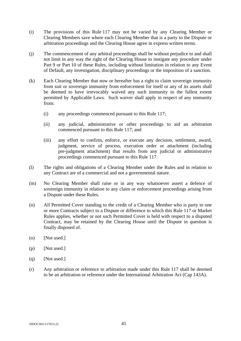- (i) The provisions of this Rule 117 may not be varied by any Clearing Member or Clearing Members save where each Clearing Member that is a party to the Dispute or arbitration proceedings and the Clearing House agree in express written terms.
- (j) The commencement of any arbitral proceedings shall be without prejudice to and shall not limit in any way the right of the Clearing House to instigate any procedure under Part 9 or Part 10 of these Rules, including without limitation in relation to any Event of Default, any investigation, disciplinary proceedings or the imposition of a sanction.
- (k) Each Clearing Member that now or hereafter has a right to claim sovereign immunity from suit or sovereign immunity from enforcement for itself or any of its assets shall be deemed to have irrevocably waived any such immunity to the fullest extent permitted by Applicable Laws. Such waiver shall apply in respect of any immunity from:
	- (i) any proceedings commenced pursuant to this Rule 117;
	- (ii) any judicial, administrative or other proceedings to aid an arbitration commenced pursuant to this Rule 117; and
	- (iii) any effort to confirm, enforce, or execute any decision, settlement, award, judgment, service of process, execution order or attachment (including pre-judgment attachment) that results from any judicial or administrative proceedings commenced pursuant to this Rule 117.
- (l) The rights and obligations of a Clearing Member under the Rules and in relation to any Contract are of a commercial and not a governmental nature.
- (m) No Clearing Member shall raise or in any way whatsoever assert a defence of sovereign immunity in relation to any claim or enforcement proceedings arising from a Dispute under these Rules.
- (n) All Permitted Cover standing to the credit of a Clearing Member who is party to one or more Contracts subject to a Dispute or difference to which this Rule 117 or Market Rules applies, whether or not such Permitted Cover is held with respect to a disputed Contract, may be retained by the Clearing House until the Dispute in question is finally disposed of.
- (o) [Not used.]
- (p) [Not used.]
- $(q)$  [Not used.]
- (r) Any arbitration or reference to arbitration made under this Rule 117 shall be deemed to be an arbitration or reference under the International Arbitration Act (Cap 143A).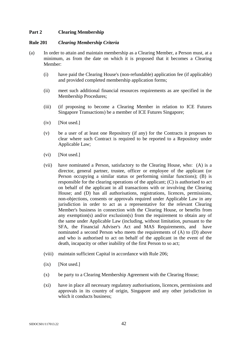# **Part 2 Clearing Membership**

#### **Rule 201** *Clearing Membership Criteria*

- (a) In order to attain and maintain membership as a Clearing Member, a Person must, at a minimum, as from the date on which it is proposed that it becomes a Clearing Member:
	- (i) have paid the Clearing House's (non-refundable) application fee (if applicable) and provided completed membership application forms;
	- (ii) meet such additional financial resources requirements as are specified in the Membership Procedures;
	- (iii) (if proposing to become a Clearing Member in relation to ICE Futures Singapore Transactions) be a member of ICE Futures Singapore;
	- (iv) [Not used.]
	- (v) be a user of at least one Repository (if any) for the Contracts it proposes to clear where such Contract is required to be reported to a Repository under Applicable Law;
	- (vi) [Not used.]
	- (vii) have nominated a Person, satisfactory to the Clearing House, who: (A) is a director, general partner, trustee, officer or employee of the applicant (or Person occupying a similar status or performing similar functions); (B) is responsible for the clearing operations of the applicant; (C) is authorised to act on behalf of the applicant in all transactions with or involving the Clearing House; and (D) has all authorisations, registrations, licences, permissions, non-objections, consents or approvals required under Applicable Law in any jurisdiction in order to act as a representative for the relevant Clearing Member's business in connection with the Clearing House, or benefits from any exemption(s) and/or exclusion(s) from the requirement to obtain any of the same under Applicable Law (including, without limitation, pursuant to the SFA, the Financial Adviser's Act and MAS Requirements, and have nominated a second Person who meets the requirements of (A) to (D) above and who is authorised to act on behalf of the applicant in the event of the death, incapacity or other inability of the first Person to so act;
	- (viii) maintain sufficient Capital in accordance with Rule 206;
	- $(ix)$  [Not used.]
	- (x) be party to a Clearing Membership Agreement with the Clearing House;
	- (xi) have in place all necessary regulatory authorisations, licences, permissions and approvals in its country of origin, Singapore and any other jurisdiction in which it conducts business: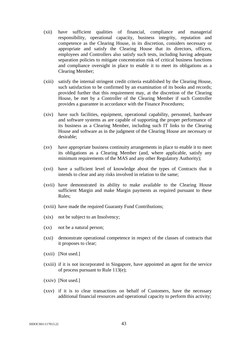- (xii) have sufficient qualities of financial, compliance and managerial responsibility, operational capacity, business integrity, reputation and competence as the Clearing House, in its discretion, considers necessary or appropriate and satisfy the Clearing House that its directors, officers, employees and Controllers also satisfy such tests, including having adequate separation policies to mitigate concentration risk of critical business functions and compliance oversight in place to enable it to meet its obligations as a Clearing Member;
- (xiii) satisfy the internal stringent credit criteria established by the Clearing House, such satisfaction to be confirmed by an examination of its books and records; provided further that this requirement may, at the discretion of the Clearing House, be met by a Controller of the Clearing Member if such Controller provides a guarantee in accordance with the Finance Procedures;
- (xiv) have such facilities, equipment, operational capability, personnel, hardware and software systems as are capable of supporting the proper performance of its business as a Clearing Member, including such IT links to the Clearing House and software as in the judgment of the Clearing House are necessary or desirable;
- (xv) have appropriate business continuity arrangements in place to enable it to meet its obligations as a Clearing Member (and, where applicable, satisfy any minimum requirements of the MAS and any other Regulatory Authority);
- (xvi) have a sufficient level of knowledge about the types of Contracts that it intends to clear and any risks involved in relation to the same;
- (xvii) have demonstrated its ability to make available to the Clearing House sufficient Margin and make Margin payments as required pursuant to these Rules;
- (xviii) have made the required Guaranty Fund Contributions;
- (xix) not be subject to an Insolvency;
- (xx) not be a natural person;
- (xxi) demonstrate operational competence in respect of the classes of contracts that it proposes to clear;
- (xxii) [Not used.]
- (xxiii) if it is not incorporated in Singapore, have appointed an agent for the service of process pursuant to Rule 113(e);
- (xxiv) [Not used.]
- (xxv) if it is to clear transactions on behalf of Customers, have the necessary additional financial resources and operational capacity to perform this activity;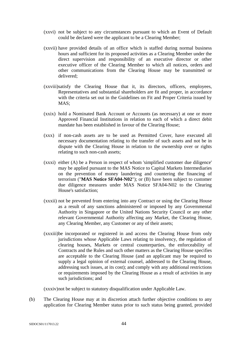- (xxvi) not be subject to any circumstances pursuant to which an Event of Default could be declared were the applicant to be a Clearing Member;
- (xxvii) have provided details of an office which is staffed during normal business hours and sufficient for its proposed activities as a Clearing Member under the direct supervision and responsibility of an executive director or other executive officer of the Clearing Member to which all notices, orders and other communications from the Clearing House may be transmitted or delivered;
- (xxviii)satisfy the Clearing House that it, its directors, officers, employees, Representatives and substantial shareholders are fit and proper, in accordance with the criteria set out in the Guidelines on Fit and Proper Criteria issued by MAS;
- (xxix) hold a Nominated Bank Account or Accounts (as necessary) at one or more Approved Financial Institutions in relation to each of which a direct debit mandate has been established in favour of the Clearing House;
- (xxx) if non-cash assets are to be used as Permitted Cover, have executed all necessary documentation relating to the transfer of such assets and not be in dispute with the Clearing House in relation to the ownership over or rights relating to such non-cash assets;
- (xxxi) either (A) be a Person in respect of whom 'simplified customer due diligence' may be applied pursuant to the MAS Notice to Capital Markets Intermediaries on the prevention of money laundering and countering the financing of terrorism ("**MAS Notice SFA04-N02**"); or (B) have been subject to customer due diligence measures under MAS Notice SFA04-N02 to the Clearing House's satisfaction;
- (xxxii) not be prevented from entering into any Contract or using the Clearing House as a result of any sanctions administered or imposed by any Governmental Authority in Singapore or the United Nations Security Council or any other relevant Governmental Authority affecting any Market, the Clearing House, any Clearing Member, any Customer or any of their assets;
- (xxxiii)be incorporated or registered in and access the Clearing House from only jurisdictions whose Applicable Laws relating to insolvency, the regulation of clearing houses, Markets or central counterparties, the enforceability of Contracts and the Rules and such other matters as the Clearing House specifies are acceptable to the Clearing House (and an applicant may be required to supply a legal opinion of external counsel, addressed to the Clearing House, addressing such issues, at its cost); and comply with any additional restrictions or requirements imposed by the Clearing House as a result of activities in any such jurisdictions; and

(xxxiv)not be subject to statutory disqualification under Applicable Law.

(b) The Clearing House may at its discretion attach further objective conditions to any application for Clearing Member status prior to such status being granted, provided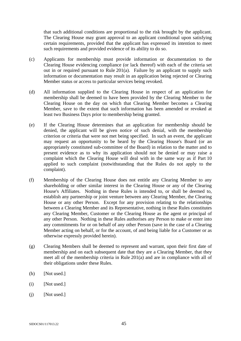that such additional conditions are proportional to the risk brought by the applicant. The Clearing House may grant approval to an applicant conditional upon satisfying certain requirements, provided that the applicant has expressed its intention to meet such requirements and provided evidence of its ability to do so.

- (c) Applicants for membership must provide information or documentation to the Clearing House evidencing compliance (or lack thereof) with each of the criteria set out in or required pursuant to Rule 201(a). Failure by an applicant to supply such information or documentation may result in an application being rejected or Clearing Member status or access to particular services being revoked.
- (d) All information supplied to the Clearing House in respect of an application for membership shall be deemed to have been provided by the Clearing Member to the Clearing House on the day on which that Clearing Member becomes a Clearing Member, save to the extent that such information has been amended or revoked at least two Business Days prior to membership being granted.
- (e) If the Clearing House determines that an application for membership should be denied, the applicant will be given notice of such denial, with the membership criterion or criteria that were not met being specified. In such an event, the applicant may request an opportunity to be heard by the Clearing House's Board (or an appropriately constituted sub-committee of the Board) in relation to the matter and to present evidence as to why its application should not be denied or may raise a complaint which the Clearing House will deal with in the same way as if Part 10 applied to such complaint (notwithstanding that the Rules do not apply to the complaint).
- (f) Membership of the Clearing House does not entitle any Clearing Member to any shareholding or other similar interest in the Clearing House or any of the Clearing House's Affiliates. Nothing in these Rules is intended to, or shall be deemed to, establish any partnership or joint venture between any Clearing Member, the Clearing House or any other Person. Except for any provision relating to the relationships between a Clearing Member and its Representative, nothing in these Rules constitutes any Clearing Member, Customer or the Clearing House as the agent or principal of any other Person. Nothing in these Rules authorises any Person to make or enter into any commitments for or on behalf of any other Person (save in the case of a Clearing Member acting on behalf, or for the account, of and being liable for a Customer or as otherwise expressly provided herein).
- (g) Clearing Members shall be deemed to represent and warrant, upon their first date of membership and on each subsequent date that they are a Clearing Member, that they meet all of the membership criteria in Rule 201(a) and are in compliance with all of their obligations under these Rules.
- (h) [Not used.]
- (i) [Not used.]
- $(i)$  [Not used.]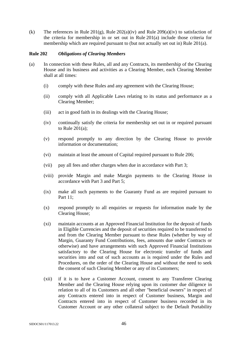(k) The references in Rule 201(g), Rule 202(a)(iv) and Rule 209(a)(iv) to satisfaction of the criteria for membership in or set out in Rule 201(a) include those criteria for membership which are required pursuant to (but not actually set out in) Rule 201(a).

#### **Rule 202** *Obligations of Clearing Members*

- (a) In connection with these Rules, all and any Contracts, its membership of the Clearing House and its business and activities as a Clearing Member, each Clearing Member shall at all times:
	- (i) comply with these Rules and any agreement with the Clearing House;
	- (ii) comply with all Applicable Laws relating to its status and performance as a Clearing Member;
	- (iii) act in good faith in its dealings with the Clearing House;
	- (iv) continually satisfy the criteria for membership set out in or required pursuant to Rule 201(a);
	- (v) respond promptly to any direction by the Clearing House to provide information or documentation;
	- (vi) maintain at least the amount of Capital required pursuant to Rule 206;
	- (vii) pay all fees and other charges when due in accordance with Part 3;
	- (viii) provide Margin and make Margin payments to the Clearing House in accordance with Part 3 and Part 5;
	- (ix) make all such payments to the Guaranty Fund as are required pursuant to Part 11;
	- (x) respond promptly to all enquiries or requests for information made by the Clearing House;
	- (xi) maintain accounts at an Approved Financial Institution for the deposit of funds in Eligible Currencies and the deposit of securities required to be transferred to and from the Clearing Member pursuant to these Rules (whether by way of Margin, Guaranty Fund Contributions, fees, amounts due under Contracts or otherwise) and have arrangements with such Approved Financial Institutions satisfactory to the Clearing House for electronic transfer of funds and securities into and out of such accounts as is required under the Rules and Procedures, on the order of the Clearing House and without the need to seek the consent of such Clearing Member or any of its Customers;
	- (xii) if it is to have a Customer Account, consent to any Transferee Clearing Member and the Clearing House relying upon its customer due diligence in relation to all of its Customers and all other "beneficial owners" in respect of any Contracts entered into in respect of Customer business, Margin and Contracts entered into in respect of Customer business recorded in its Customer Account or any other collateral subject to the Default Portability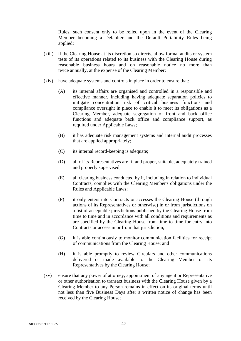Rules, such consent only to be relied upon in the event of the Clearing Member becoming a Defaulter and the Default Portability Rules being applied;

- (xiii) if the Clearing House at its discretion so directs, allow formal audits or system tests of its operations related to its business with the Clearing House during reasonable business hours and on reasonable notice no more than twice annually, at the expense of the Clearing Member;
- (xiv) have adequate systems and controls in place in order to ensure that:
	- (A) its internal affairs are organised and controlled in a responsible and effective manner, including having adequate separation policies to mitigate concentration risk of critical business functions and compliance oversight in place to enable it to meet its obligations as a Clearing Member, adequate segregation of front and back office functions and adequate back office and compliance support, as required under Applicable Laws;
	- (B) it has adequate risk management systems and internal audit processes that are applied appropriately;
	- (C) its internal record-keeping is adequate;
	- (D) all of its Representatives are fit and proper, suitable, adequately trained and properly supervised;
	- (E) all clearing business conducted by it, including in relation to individual Contracts, complies with the Clearing Member's obligations under the Rules and Applicable Laws;
	- (F) it only enters into Contracts or accesses the Clearing House (through actions of its Representatives or otherwise) in or from jurisdictions on a list of acceptable jurisdictions published by the Clearing House from time to time and in accordance with all conditions and requirements as are specified by the Clearing House from time to time for entry into Contracts or access in or from that jurisdiction;
	- (G) it is able continuously to monitor communication facilities for receipt of communications from the Clearing House; and
	- (H) it is able promptly to review Circulars and other communications delivered or made available to the Clearing Member or its Representatives by the Clearing House;
- (xv) ensure that any power of attorney, appointment of any agent or Representative or other authorisation to transact business with the Clearing House given by a Clearing Member to any Person remains in effect on its original terms until not less than five Business Days after a written notice of change has been received by the Clearing House;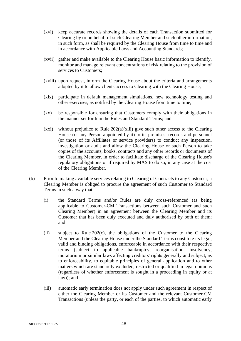- (xvi) keep accurate records showing the details of each Transaction submitted for Clearing by or on behalf of such Clearing Member and such other information, in such form, as shall be required by the Clearing House from time to time and in accordance with Applicable Laws and Accounting Standards;
- (xvii) gather and make available to the Clearing House basic information to identify, monitor and manage relevant concentrations of risk relating to the provision of services to Customers;
- (xviii) upon request, inform the Clearing House about the criteria and arrangements adopted by it to allow clients access to Clearing with the Clearing House;
- (xix) participate in default management simulations, new technology testing and other exercises, as notified by the Clearing House from time to time;
- (xx) be responsible for ensuring that Customers comply with their obligations in the manner set forth in the Rules and Standard Terms; and
- $(xxi)$  without prejudice to Rule 202(a)(xiii) give such other access to the Clearing House (or any Person appointed by it) to its premises, records and personnel (or those of its Affiliates or service providers) to conduct any inspection, investigation or audit and allow the Clearing House or such Person to take copies of the accounts, books, contracts and any other records or documents of the Clearing Member, in order to facilitate discharge of the Clearing House's regulatory obligations or if required by MAS to do so, in any case at the cost of the Clearing Member.
- (b) Prior to making available services relating to Clearing of Contracts to any Customer, a Clearing Member is obliged to procure the agreement of such Customer to Standard Terms in such a way that:
	- (i) the Standard Terms and/or Rules are duly cross-referenced (as being applicable to Customer-CM Transactions between such Customer and such Clearing Member) in an agreement between the Clearing Member and its Customer that has been duly executed and duly authorised by both of them; and
	- (ii) subject to Rule 202(c), the obligations of the Customer to the Clearing Member and the Clearing House under the Standard Terms constitute its legal, valid and binding obligations, enforceable in accordance with their respective terms (subject to applicable bankruptcy, reorganisation, insolvency, moratorium or similar laws affecting creditors' rights generally and subject, as to enforceability, to equitable principles of general application and to other matters which are standardly excluded, restricted or qualified in legal opinions (regardless of whether enforcement is sought in a proceeding in equity or at law)); and
	- (iii) automatic early termination does not apply under such agreement in respect of either the Clearing Member or its Customer and the relevant Customer-CM Transactions (unless the party, or each of the parties, to which automatic early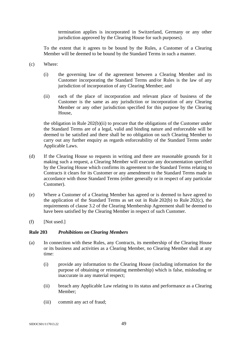termination applies is incorporated in Switzerland, Germany or any other jurisdiction approved by the Clearing House for such purposes).

To the extent that it agrees to be bound by the Rules, a Customer of a Clearing Member will be deemed to be bound by the Standard Terms in such a manner.

- (c) Where:
	- (i) the governing law of the agreement between a Clearing Member and its Customer incorporating the Standard Terms and/or Rules is the law of any jurisdiction of incorporation of any Clearing Member; and
	- (ii) each of the place of incorporation and relevant place of business of the Customer is the same as any jurisdiction or incorporation of any Clearing Member or any other jurisdiction specified for this purpose by the Clearing House,

the obligation in Rule 202(b)(ii) to procure that the obligations of the Customer under the Standard Terms are of a legal, valid and binding nature and enforceable will be deemed to be satisfied and there shall be no obligation on such Clearing Member to carry out any further enquiry as regards enforceability of the Standard Terms under Applicable Laws.

- (d) If the Clearing House so requests in writing and there are reasonable grounds for it making such a request, a Clearing Member will execute any documentation specified by the Clearing House which confirms its agreement to the Standard Terms relating to Contracts it clears for its Customer or any amendment to the Standard Terms made in accordance with those Standard Terms (either generally or in respect of any particular Customer).
- (e) Where a Customer of a Clearing Member has agreed or is deemed to have agreed to the application of the Standard Terms as set out in Rule 202(b) to Rule 202(c), the requirements of clause 3.2 of the Clearing Membership Agreement shall be deemed to have been satisfied by the Clearing Member in respect of such Customer.
- (f) [Not used.]

#### **Rule 203** *Prohibitions on Clearing Members*

- (a) In connection with these Rules, any Contracts, its membership of the Clearing House or its business and activities as a Clearing Member, no Clearing Member shall at any time:
	- (i) provide any information to the Clearing House (including information for the purpose of obtaining or reinstating membership) which is false, misleading or inaccurate in any material respect;
	- (ii) breach any Applicable Law relating to its status and performance as a Clearing Member;
	- (iii) commit any act of fraud;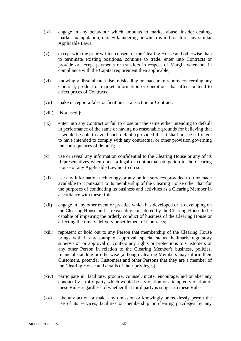- (iv) engage in any behaviour which amounts to market abuse, insider dealing, market manipulation, money laundering or which is in breach of any similar Applicable Laws;
- (v) except with the prior written consent of the Clearing House and otherwise than to terminate existing positions, continue to trade, enter into Contracts or provide or accept payments or transfers in respect of Margin when not in compliance with the Capital requirement then applicable;
- (vi) knowingly disseminate false, misleading or inaccurate reports concerning any Contract, product or market information or conditions that affect or tend to affect prices of Contracts;
- (vii) make or report a false or fictitious Transaction or Contract;
- (viii) [Not used.];
- (ix) enter into any Contract or fail to close out the same either intending to default in performance of the same or having no reasonable grounds for believing that it would be able to avoid such default (provided that it shall not be sufficient to have intended to comply with any contractual or other provision governing the consequences of default);
- (x) use or reveal any information confidential to the Clearing House or any of its Representatives when under a legal or contractual obligation to the Clearing House or any Applicable Law not to do so;
- (xi) use any information technology or any online services provided to it or made available to it pursuant to its membership of the Clearing House other than for the purposes of conducting its business and activities as a Clearing Member in accordance with these Rules;
- (xii) engage in any other event or practice which has developed or is developing on the Clearing House and is reasonably considered by the Clearing House to be capable of impairing the orderly conduct of business of the Clearing House or affecting the timely delivery or settlement of Contracts;
- (xiii) represent or hold out to any Person that membership of the Clearing House brings with it any stamp of approval, special status, hallmark, regulatory supervision or approval or confers any rights or protections to Customers or any other Person in relation to the Clearing Member's business, policies, financial standing or otherwise (although Clearing Members may inform their Customers, potential Customers and other Persons that they are a member of the Clearing House and details of their privileges);
- (xiv) participate in, facilitate, procure, counsel, incite, encourage, aid or abet any conduct by a third party which would be a violation or attempted violation of these Rules regardless of whether that third party is subject to these Rules;
- (xv) take any action or make any omission or knowingly or recklessly permit the use of its services, facilities or membership or clearing privileges by any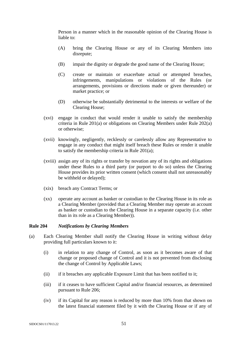Person in a manner which in the reasonable opinion of the Clearing House is liable to:

- (A) bring the Clearing House or any of its Clearing Members into disrepute;
- (B) impair the dignity or degrade the good name of the Clearing House;
- (C) create or maintain or exacerbate actual or attempted breaches, infringements, manipulations or violations of the Rules (or arrangements, provisions or directions made or given thereunder) or market practice; or
- (D) otherwise be substantially detrimental to the interests or welfare of the Clearing House;
- (xvi) engage in conduct that would render it unable to satisfy the membership criteria in Rule 201(a) or obligations on Clearing Members under Rule 202(a) or otherwise;
- (xvii) knowingly, negligently, recklessly or carelessly allow any Representative to engage in any conduct that might itself breach these Rules or render it unable to satisfy the membership criteria in Rule 201(a);
- (xviii) assign any of its rights or transfer by novation any of its rights and obligations under these Rules to a third party (or purport to do so) unless the Clearing House provides its prior written consent (which consent shall not unreasonably be withheld or delayed);
- (xix) breach any Contract Terms; or
- (xx) operate any account as banker or custodian to the Clearing House in its role as a Clearing Member (provided that a Clearing Member may operate an account as banker or custodian to the Clearing House in a separate capacity (i.e. other than in its role as a Clearing Member)).

## **Rule 204** *Notifications by Clearing Members*

- (a) Each Clearing Member shall notify the Clearing House in writing without delay providing full particulars known to it:
	- (i) in relation to any change of Control, as soon as it becomes aware of that change or proposed change of Control and it is not prevented from disclosing the change of Control by Applicable Laws;
	- (ii) if it breaches any applicable Exposure Limit that has been notified to it;
	- (iii) if it ceases to have sufficient Capital and/or financial resources, as determined pursuant to Rule 206;
	- (iv) if its Capital for any reason is reduced by more than 10% from that shown on the latest financial statement filed by it with the Clearing House or if any of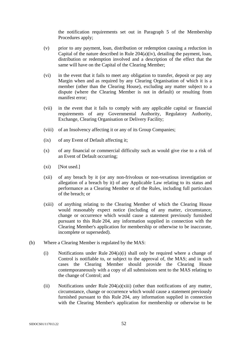the notification requirements set out in Paragraph 5 of the Membership Procedures apply;

- (v) prior to any payment, loan, distribution or redemption causing a reduction in Capital of the nature described in Rule 204(a)(iv), detailing the payment, loan, distribution or redemption involved and a description of the effect that the same will have on the Capital of the Clearing Member;
- (vi) in the event that it fails to meet any obligation to transfer, deposit or pay any Margin when and as required by any Clearing Organisation of which it is a member (other than the Clearing House), excluding any matter subject to a dispute (where the Clearing Member is not in default) or resulting from manifest error;
- (vii) in the event that it fails to comply with any applicable capital or financial requirements of any Governmental Authority, Regulatory Authority, Exchange, Clearing Organisation or Delivery Facility;
- (viii) of an Insolvency affecting it or any of its Group Companies;
- (ix) of any Event of Default affecting it;
- (x) of any financial or commercial difficulty such as would give rise to a risk of an Event of Default occurring;
- $(xi)$  [Not used.]
- (xii) of any breach by it (or any non-frivolous or non-vexatious investigation or allegation of a breach by it) of any Applicable Law relating to its status and performance as a Clearing Member or of the Rules, including full particulars of the breach; or
- (xiii) of anything relating to the Clearing Member of which the Clearing House would reasonably expect notice (including of any matter, circumstance, change or occurrence which would cause a statement previously furnished pursuant to this Rule 204, any information supplied in connection with the Clearing Member's application for membership or otherwise to be inaccurate, incomplete or superseded).
- (b) Where a Clearing Member is regulated by the MAS:
	- (i) Notifications under Rule 204(a)(i) shall only be required where a change of Control is notifiable to, or subject to the approval of, the MAS; and in such cases the Clearing Member should provide the Clearing House contemporaneously with a copy of all submissions sent to the MAS relating to the change of Control; and
	- (ii) Notifications under Rule  $204(a)(xiii)$  (other than notifications of any matter, circumstance, change or occurrence which would cause a statement previously furnished pursuant to this Rule 204, any information supplied in connection with the Clearing Member's application for membership or otherwise to be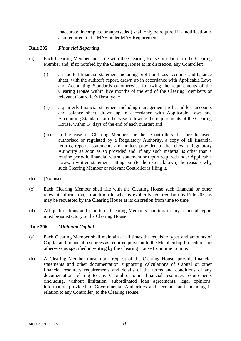inaccurate, incomplete or superseded) shall only be required if a notification is also required to the MAS under MAS Requirements.

## **Rule 205** *Financial Reporting*

- (a) Each Clearing Member must file with the Clearing House in relation to the Clearing Member and, if so notified by the Clearing House at its discretion, any Controller:
	- (i) an audited financial statement including profit and loss accounts and balance sheet, with the auditor's report, drawn up in accordance with Applicable Laws and Accounting Standards or otherwise following the requirements of the Clearing House within five months of the end of the Clearing Member's or relevant Controller's fiscal year;
	- (ii) a quarterly financial statement including management profit and loss accounts and balance sheet, drawn up in accordance with Applicable Laws and Accounting Standards or otherwise following the requirements of the Clearing House, within 14 days of the end of each quarter; and
	- (iii) in the case of Clearing Members or their Controllers that are licensed, authorised or regulated by a Regulatory Authority, a copy of all financial returns, reports, statements and notices provided to the relevant Regulatory Authority as soon as so provided and, if any such material is other than a routine periodic financial return, statement or report required under Applicable Laws, a written statement setting out (to the extent known) the reasons why such Clearing Member or relevant Controller is filing it.
- (b) [Not used.]
- (c) Each Clearing Member shall file with the Clearing House such financial or other relevant information, in addition to what is explicitly required by this Rule 205, as may be requested by the Clearing House at its discretion from time to time.
- (d) All qualifications and reports of Clearing Members' auditors in any financial report must be satisfactory to the Clearing House.

### **Rule 206** *Minimum Capital*

- (a) Each Clearing Member shall maintain at all times the requisite types and amounts of Capital and financial resources as required pursuant to the Membership Procedures, or otherwise as specified in writing by the Clearing House from time to time.
- (b) A Clearing Member must, upon request of the Clearing House, provide financial statements and other documentation supporting calculations of Capital or other financial resources requirements and details of the terms and conditions of any documentation relating to any Capital or other financial resources requirements (including, without limitation, subordinated loan agreements, legal opinions, information provided to Governmental Authorities and accounts and including in relation to any Controller) to the Clearing House.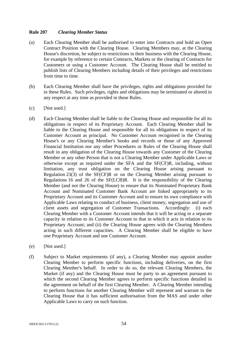# **Rule 207** *Clearing Member Status*

- (a) Each Clearing Member shall be authorised to enter into Contracts and hold an Open Contract Position with the Clearing House. Clearing Members may, at the Clearing House's discretion, be subject to restrictions in their business with the Clearing House, for example by reference to certain Contracts, Markets or the clearing of Contracts for Customers or using a Customer Account. The Clearing House shall be entitled to publish lists of Clearing Members including details of their privileges and restrictions from time to time.
- (b) Each Clearing Member shall have the privileges, rights and obligations provided for in these Rules. Such privileges, rights and obligations may be terminated or altered in any respect at any time as provided in these Rules.
- (c) [Not used.]
- (d) Each Clearing Member shall be liable to the Clearing House and responsible for all its obligations in respect of its Proprietary Account. Each Clearing Member shall be liable to the Clearing House and responsible for all its obligations in respect of its Customer Account as principal. No Customer Account recognised in the Clearing House's or any Clearing Member's books and records or those of any Approved Financial Institution nor any other Procedures or Rules of the Clearing House shall result in any obligation of the Clearing House towards any Customer of the Clearing Member or any other Person that is not a Clearing Member under Applicable Laws or otherwise except as required under the SFA and the SF(CF)R, including, without limitation, any trust obligation on the Clearing House arising pursuant to Regulation 23(3) of the SF(CF)R or on the Clearing Member arising pursuant to Regulations 16 and 26 of the SF(LCB)R. It is the responsibility of the Clearing Member (and not the Clearing House) to ensure that its Nominated Proprietary Bank Account and Nominated Customer Bank Account are linked appropriately to its Proprietary Account and its Customer Account and to ensure its own compliance with Applicable Laws relating to conduct of business, client money, segregation and use of client assets and segregation of Customer Transactions. Accordingly: (i) each Clearing Member with a Customer Account intends that it will be acting in a separate capacity in relation to its Customer Account to that in which it acts in relation to its Proprietary Account; and (ii) the Clearing House agrees with the Clearing Members acting in such different capacities. A Clearing Member shall be eligible to have one Proprietary Account and one Customer Account.
- (e) [Not used.]
- (f) Subject to Market requirements (if any), a Clearing Member may appoint another Clearing Member to perform specific functions, including deliveries, on the first Clearing Member's behalf. In order to do so, the relevant Clearing Members, the Market (if any) and the Clearing House must be party to an agreement pursuant to which the second Clearing Member agrees to perform specific functions detailed in the agreement on behalf of the first Clearing Member. A Clearing Member intending to perform functions for another Clearing Member will represent and warrant to the Clearing House that it has sufficient authorisation from the MAS and under other Applicable Laws to carry on such function.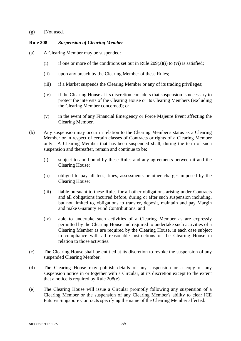#### $(g)$  [Not used.]

## **Rule 208** *Suspension of Clearing Member*

- (a) A Clearing Member may be suspended:
	- (i) if one or more of the conditions set out in Rule  $209(a)(i)$  to (vi) is satisfied;
	- (ii) upon any breach by the Clearing Member of these Rules;
	- (iii) if a Market suspends the Clearing Member or any of its trading privileges;
	- (iv) if the Clearing House at its discretion considers that suspension is necessary to protect the interests of the Clearing House or its Clearing Members (excluding the Clearing Member concerned); or
	- (v) in the event of any Financial Emergency or Force Majeure Event affecting the Clearing Member.
- (b) Any suspension may occur in relation to the Clearing Member's status as a Clearing Member or in respect of certain classes of Contracts or rights of a Clearing Member only. A Clearing Member that has been suspended shall, during the term of such suspension and thereafter, remain and continue to be:
	- (i) subject to and bound by these Rules and any agreements between it and the Clearing House;
	- (ii) obliged to pay all fees, fines, assessments or other charges imposed by the Clearing House;
	- (iii) liable pursuant to these Rules for all other obligations arising under Contracts and all obligations incurred before, during or after such suspension including, but not limited to, obligations to transfer, deposit, maintain and pay Margin and make Guaranty Fund Contributions; and
	- (iv) able to undertake such activities of a Clearing Member as are expressly permitted by the Clearing House and required to undertake such activities of a Clearing Member as are required by the Clearing House, in each case subject to compliance with all reasonable instructions of the Clearing House in relation to those activities.
- (c) The Clearing House shall be entitled at its discretion to revoke the suspension of any suspended Clearing Member.
- (d) The Clearing House may publish details of any suspension or a copy of any suspension notice in or together with a Circular, at its discretion except to the extent that a notice is required by Rule 208(e).
- (e) The Clearing House will issue a Circular promptly following any suspension of a Clearing Member or the suspension of any Clearing Member's ability to clear ICE Futures Singapore Contracts specifying the name of the Clearing Member affected.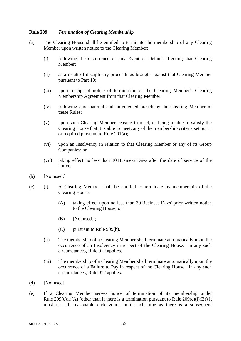#### **Rule 209** *Termination of Clearing Membership*

- (a) The Clearing House shall be entitled to terminate the membership of any Clearing Member upon written notice to the Clearing Member:
	- (i) following the occurrence of any Event of Default affecting that Clearing Member;
	- (ii) as a result of disciplinary proceedings brought against that Clearing Member pursuant to Part 10;
	- (iii) upon receipt of notice of termination of the Clearing Member's Clearing Membership Agreement from that Clearing Member;
	- (iv) following any material and unremedied breach by the Clearing Member of these Rules;
	- (v) upon such Clearing Member ceasing to meet, or being unable to satisfy the Clearing House that it is able to meet, any of the membership criteria set out in or required pursuant to Rule 201(a);
	- (vi) upon an Insolvency in relation to that Clearing Member or any of its Group Companies; or
	- (vii) taking effect no less than 30 Business Days after the date of service of the notice.
- (b) [Not used.]
- (c) (i) A Clearing Member shall be entitled to terminate its membership of the Clearing House:
	- (A) taking effect upon no less than 30 Business Days' prior written notice to the Clearing House; or
	- (B) [Not used.];
	- (C) pursuant to Rule 909(h).
	- (ii) The membership of a Clearing Member shall terminate automatically upon the occurrence of an Insolvency in respect of the Clearing House. In any such circumstances, Rule 912 applies.
	- (iii) The membership of a Clearing Member shall terminate automatically upon the occurrence of a Failure to Pay in respect of the Clearing House. In any such circumstances, Rule 912 applies.
- (d) [Not used].
- (e) If a Clearing Member serves notice of termination of its membership under Rule  $209(c)(i)(A)$  (other than if there is a termination pursuant to Rule  $209(c)(i)(B)$ ) it must use all reasonable endeavours, until such time as there is a subsequent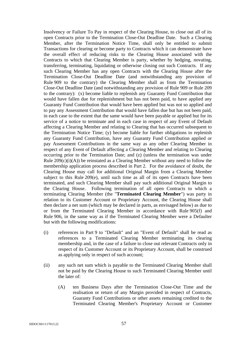Insolvency or Failure To Pay in respect of the Clearing House, to close out all of its open Contracts prior to the Termination Close-Out Deadline Date. Such a Clearing Member, after the Termination Notice Time, shall only be entitled to submit Transactions for clearing or become party to Contracts which it can demonstrate have the overall effect of reducing risks to the Clearing House associated with the Contracts to which that Clearing Member is party, whether by hedging, novating, transferring, terminating, liquidating or otherwise closing out such Contracts. If any such Clearing Member has any open Contracts with the Clearing House after the Termination Close-Out Deadline Date (and notwithstanding any provision of Rule 909 to the contrary) the Clearing Member shall as from the Termination Close-Out Deadline Date (and notwithstanding any provision of Rule 909 or Rule 209 to the contrary): (x) become liable to replenish any Guaranty Fund Contribution that would have fallen due for replenishment but has not been paid, to have applied any Guaranty Fund Contribution that would have been applied but was not so applied and to pay any Assessment Contribution that would have fallen due but has not been paid, in each case to the extent that the same would have been payable or applied but for its service of a notice to terminate and in each case in respect of any Event of Default affecting a Clearing Member and relating to Clearing that has occurred subsequent to the Termination Notice Time; (y) become liable for further obligations to replenish any Guaranty Fund Contribution, have any Guaranty Fund Contribution applied or pay Assessment Contributions in the same way as any other Clearing Member in respect of any Event of Default affecting a Clearing Member and relating to Clearing occurring prior to the Termination Date; and (z) (unless the termination was under Rule  $209(c)(i)(A)$ ) be reinstated as a Clearing Member without any need to follow the membership application process described in Part 2. For the avoidance of doubt, the Clearing House may call for additional Original Margin from a Clearing Member subject to this Rule 209(e), until such time as all of its open Contracts have been terminated, and such Clearing Member shall pay such additional Original Margin to the Clearing House. Following termination of all open Contracts to which a terminating Clearing Member (the "**Terminated Clearing Member**") was party in relation to its Customer Account or Proprietary Account, the Clearing House shall then declare a net sum (which may be declared in parts, as envisaged below) as due to or from the Terminated Clearing Member in accordance with Rule 905(f) and Rule 906, in the same way as if the Terminated Clearing Member were a Defaulter but with the following modifications:

- (i) references in Part 9 to "Default" and an "Event of Default" shall be read as references to a Terminated Clearing Member terminating its clearing membership and, in the case of a failure to close out relevant Contracts only in respect of its Customer Account or its Proprietary Account, shall be construed as applying only in respect of such account;
- (ii) any such net sum which is payable to the Terminated Clearing Member shall not be paid by the Clearing House to such Terminated Clearing Member until the later of:
	- (A) ten Business Days after the Termination Close-Out Time and the realisation or return of any Margin provided in respect of Contracts, Guaranty Fund Contributions or other assets remaining credited to the Terminated Clearing Member's Proprietary Account or Customer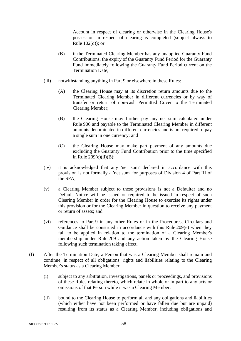Account in respect of clearing or otherwise in the Clearing House's possession in respect of clearing is completed (subject always to Rule  $102(q)$ ; or

- (B) if the Terminated Clearing Member has any unapplied Guaranty Fund Contributions, the expiry of the Guaranty Fund Period for the Guaranty Fund immediately following the Guaranty Fund Period current on the Termination Date;
- (iii) notwithstanding anything in Part 9 or elsewhere in these Rules:
	- (A) the Clearing House may at its discretion return amounts due to the Terminated Clearing Member in different currencies or by way of transfer or return of non-cash Permitted Cover to the Terminated Clearing Member;
	- (B) the Clearing House may further pay any net sum calculated under Rule 906 and payable to the Terminated Clearing Member in different amounts denominated in different currencies and is not required to pay a single sum in one currency; and
	- (C) the Clearing House may make part payment of any amounts due excluding the Guaranty Fund Contribution prior to the time specified in Rule  $209(e)(ii)(B)$ ;
- (iv) it is acknowledged that any 'net sum' declared in accordance with this provision is not formally a 'net sum' for purposes of Division 4 of Part III of the SFA;
- (v) a Clearing Member subject to these provisions is not a Defaulter and no Default Notice will be issued or required to be issued in respect of such Clearing Member in order for the Clearing House to exercise its rights under this provision or for the Clearing Member in question to receive any payment or return of assets; and
- (vi) references to Part 9 in any other Rules or in the Procedures, Circulars and Guidance shall be construed in accordance with this Rule 209(e) when they fall to be applied in relation to the termination of a Clearing Member's membership under Rule 209 and any action taken by the Clearing House following such termination taking effect.
- (f) After the Termination Date, a Person that was a Clearing Member shall remain and continue, in respect of all obligations, rights and liabilities relating to the Clearing Member's status as a Clearing Member:
	- (i) subject to any arbitration, investigations, panels or proceedings, and provisions of these Rules relating thereto, which relate in whole or in part to any acts or omissions of that Person while it was a Clearing Member;
	- (ii) bound to the Clearing House to perform all and any obligations and liabilities (which either have not been performed or have fallen due but are unpaid) resulting from its status as a Clearing Member, including obligations and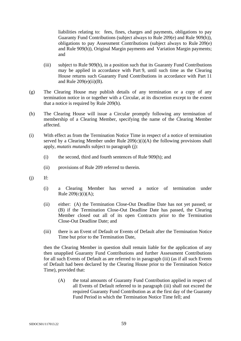liabilities relating to: fees, fines, charges and payments, obligations to pay Guaranty Fund Contributions (subject always to Rule 209(e) and Rule 909(h)), obligations to pay Assessment Contributions (subject always to Rule 209(e) and Rule 909(h)), Original Margin payments and Variation Margin payments; and

- (iii) subject to Rule 909(h), in a position such that its Guaranty Fund Contributions may be applied in accordance with Part 9, until such time as the Clearing House returns such Guaranty Fund Contributions in accordance with Part 11 and Rule  $209(e)(ii)(B)$ .
- (g) The Clearing House may publish details of any termination or a copy of any termination notice in or together with a Circular, at its discretion except to the extent that a notice is required by Rule 209(h).
- (h) The Clearing House will issue a Circular promptly following any termination of membership of a Clearing Member, specifying the name of the Clearing Member affected.
- (i) With effect as from the Termination Notice Time in respect of a notice of termination served by a Clearing Member under Rule  $209(c)(i)(A)$  the following provisions shall apply, *mutatis mutandis* subject to paragraph (j):
	- (i) the second, third and fourth sentences of Rule 909(h); and
	- (ii) provisions of Rule 209 referred to therein.
- $(i)$  If:
	- (i) a Clearing Member has served a notice of termination under Rule  $209(c)(i)(A);$
	- (ii) either: (A) the Termination Close-Out Deadline Date has not yet passed; or (B) if the Termination Close-Out Deadline Date has passed, the Clearing Member closed out all of its open Contracts prior to the Termination Close-Out Deadline Date; and
	- (iii) there is an Event of Default or Events of Default after the Termination Notice Time but prior to the Termination Date,

then the Clearing Member in question shall remain liable for the application of any then unapplied Guaranty Fund Contributions and further Assessment Contributions for all such Events of Default as are referred to in paragraph (iii) (as if all such Events of Default had been declared by the Clearing House prior to the Termination Notice Time), provided that:

(A) the total amounts of Guaranty Fund Contribution applied in respect of all Events of Default referred to in paragraph (iii) shall not exceed the required Guaranty Fund Contribution as at the first day of the Guaranty Fund Period in which the Termination Notice Time fell; and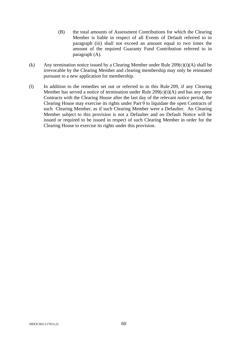- (B) the total amounts of Assessment Contributions for which the Clearing Member is liable in respect of all Events of Default referred to in paragraph (iii) shall not exceed an amount equal to two times the amount of the required Guaranty Fund Contribution referred to in paragraph (A).
- (k) Any termination notice issued by a Clearing Member under Rule  $209(c)(i)(A)$  shall be irrevocable by the Clearing Member and clearing membership may only be reinstated pursuant to a new application for membership.
- (l) In addition to the remedies set out or referred to in this Rule 209, if any Clearing Member has served a notice of termination under Rule 209(c)(i)(A) and has any open Contracts with the Clearing House after the last day of the relevant notice period, the Clearing House may exercise its rights under Part 9 to liquidate the open Contracts of such Clearing Member, as if such Clearing Member were a Defaulter. An Clearing Member subject to this provision is not a Defaulter and no Default Notice will be issued or required to be issued in respect of such Clearing Member in order for the Clearing House to exercise its rights under this provision.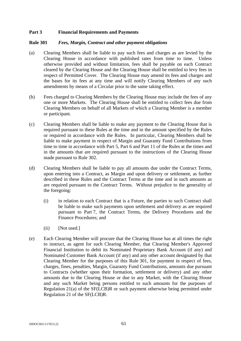## **Part 3 Financial Requirements and Payments**

#### **Rule 301** *Fees, Margin, Contract and other payment obligations*

- (a) Clearing Members shall be liable to pay such fees and charges as are levied by the Clearing House in accordance with published rates from time to time. Unless otherwise provided and without limitation, fees shall be payable on each Contract cleared by the Clearing House and the Clearing House shall be entitled to levy fees in respect of Permitted Cover. The Clearing House may amend its fees and charges and the bases for its fees at any time and will notify Clearing Members of any such amendments by means of a Circular prior to the same taking effect.
- (b) Fees charged to Clearing Members by the Clearing House may include the fees of any one or more Markets. The Clearing House shall be entitled to collect fees due from Clearing Members on behalf of all Markets of which a Clearing Member is a member or participant.
- (c) Clearing Members shall be liable to make any payment to the Clearing House that is required pursuant to these Rules at the time and in the amount specified by the Rules or required in accordance with the Rules. In particular, Clearing Members shall be liable to make payment in respect of Margin and Guaranty Fund Contributions from time to time in accordance with Part 5, Part 6 and Part 11 of the Rules at the times and in the amounts that are required pursuant to the instructions of the Clearing House made pursuant to Rule 302.
- (d) Clearing Members shall be liable to pay all amounts due under the Contract Terms, upon entering into a Contract, as Margin and upon delivery or settlement, as further described in these Rules and the Contract Terms at the time and in such amounts as are required pursuant to the Contract Terms. Without prejudice to the generality of the foregoing:
	- (i) in relation to each Contract that is a Future, the parties to such Contract shall be liable to make such payments upon settlement and delivery as are required pursuant to Part 7, the Contract Terms, the Delivery Procedures and the Finance Procedures; and
	- (ii) [Not used.]
- (e) Each Clearing Member will procure that the Clearing House has at all times the right to instruct, as agent for such Clearing Member, that Clearing Member's Approved Financial Institution to debit its Nominated Proprietary Bank Account (if any) and Nominated Customer Bank Account (if any) and any other account designated by that Clearing Member for the purposes of this Rule 301, for payment in respect of fees, charges, fines, penalties, Margin, Guaranty Fund Contributions, amounts due pursuant to Contracts (whether upon their formation, settlement or delivery) and any other amounts due to the Clearing House or due to any Market, with the Clearing House and any such Market being persons entitled to such amounts for the purposes of Regulation 21(a) of the SF(LCB)R or such payment otherwise being permitted under Regulation 21 of the SF(LCB)R.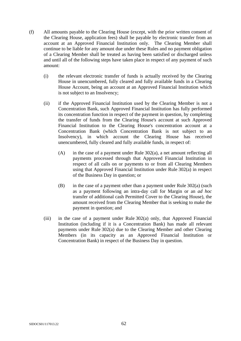- (f) All amounts payable to the Clearing House (except, with the prior written consent of the Clearing House, application fees) shall be payable by electronic transfer from an account at an Approved Financial Institution only. The Clearing Member shall continue to be liable for any amount due under these Rules and no payment obligation of a Clearing Member shall be treated as having been satisfied or discharged unless and until all of the following steps have taken place in respect of any payment of such amount:
	- (i) the relevant electronic transfer of funds is actually received by the Clearing House in unencumbered, fully cleared and fully available funds in a Clearing House Account, being an account at an Approved Financial Institution which is not subject to an Insolvency;
	- (ii) if the Approved Financial Institution used by the Clearing Member is not a Concentration Bank, such Approved Financial Institution has fully performed its concentration function in respect of the payment in question, by completing the transfer of funds from the Clearing House's account at such Approved Financial Institution to the Clearing House's concentration account at a Concentration Bank (which Concentration Bank is not subject to an Insolvency), in which account the Clearing House has received unencumbered, fully cleared and fully available funds, in respect of:
		- (A) in the case of a payment under Rule 302(a), a net amount reflecting all payments processed through that Approved Financial Institution in respect of all calls on or payments to or from all Clearing Members using that Approved Financial Institution under Rule 302(a) in respect of the Business Day in question; or
		- (B) in the case of a payment other than a payment under Rule 302(a) (such as a payment following an intra-day call for Margin or an *ad hoc* transfer of additional cash Permitted Cover to the Clearing House), the amount received from the Clearing Member that is seeking to make the payment in question; and
	- (iii) in the case of a payment under Rule 302(a) only, that Approved Financial Institution (including if it is a Concentration Bank) has made all relevant payments under Rule 302(a) due to the Clearing Member and other Clearing Members (in its capacity as an Approved Financial Institution or Concentration Bank) in respect of the Business Day in question.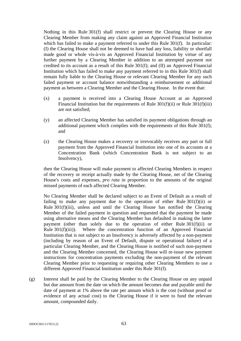Nothing in this Rule 301(f) shall restrict or prevent the Clearing House or any Clearing Member from making any claim against an Approved Financial Institution which has failed to make a payment referred to under this Rule 301(f). In particular: (I) the Clearing House shall not be deemed to have had any loss, liability or shortfall made good or whole vis-à-vis an Approved Financial Institution by virtue of any further payment by a Clearing Member in addition to an attempted payment not credited to its account as a result of this Rule 301(f); and (II) an Approved Financial Institution which has failed to make any payment referred to in this Rule 301(f) shall remain fully liable to the Clearing House or relevant Clearing Member for any such failed payment or account balance notwithstanding a reimbursement or additional payment as between a Clearing Member and the Clearing House. In the event that:

- (x) a payment is received into a Clearing House Account at an Approved Financial Institution but the requirements of Rule 301(f)(ii) or Rule 301(f)(iii) are not satisfied;
- (y) an affected Clearing Member has satisfied its payment obligations through an additional payment which complies with the requirements of this Rule 301(f); and
- (z) the Clearing House makes a recovery or irrevocably receives any part or full payment from the Approved Financial Institution into one of its accounts at a Concentration Bank (which Concentration Bank is not subject to an Insolvency),

then the Clearing House will make payment to affected Clearing Members in respect of the recovery or receipt actually made by the Clearing House, net of the Clearing House's costs and expenses, *pro rata* in proportion to the amounts of the original missed payments of each affected Clearing Member.

No Clearing Member shall be declared subject to an Event of Default as a result of failing to make any payment due to the operation of either Rule  $301(f)(ii)$  or Rule 301(f)(iii), unless and until the Clearing House has notified the Clearing Member of the failed payment in question and requested that the payment be made using alternative means and the Clearing Member has defaulted in making the latter payment (other than solely due to the operation of either Rule 301(f)(ii) or Rule 301(f)(iii)). Where the concentration function of an Approved Financial Institution that is not subject to an Insolvency is adversely affected by a non-payment (including by reason of an Event of Default, dispute or operational failure) of a particular Clearing Member, and the Clearing House is notified of such non-payment and the Clearing Member concerned, the Clearing House will re-issue new payment instructions for concentration payments excluding the non-payment of the relevant Clearing Member prior to requesting or requiring other Clearing Members to use a different Approved Financial Institution under this Rule 301(f).

(g) Interest shall be paid by the Clearing Member to the Clearing House on any unpaid but due amount from the date on which the amount becomes due and payable until the date of payment at 1% above the rate per annum which is the cost (without proof or evidence of any actual cost) to the Clearing House if it were to fund the relevant amount, compounded daily.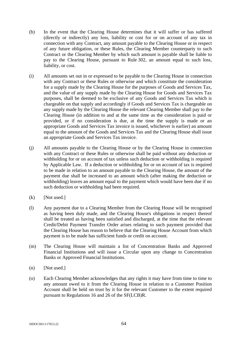- (h) In the event that the Clearing House determines that it will suffer or has suffered (directly or indirectly) any loss, liability or cost for or on account of any tax in connection with any Contract, any amount payable to the Clearing House or in respect of any future obligation, or these Rules, the Clearing Member counterparty to such Contract or the Clearing Member by which such amount is payable shall be liable to pay to the Clearing House, pursuant to Rule 302, an amount equal to such loss, liability, or cost.
- (i) All amounts set out in or expressed to be payable to the Clearing House in connection with any Contract or these Rules or otherwise and which constitute the consideration for a supply made by the Clearing House for the purposes of Goods and Services Tax, and the value of any supply made by the Clearing House for Goods and Services Tax purposes, shall be deemed to be exclusive of any Goods and Services Tax which is chargeable on that supply and accordingly if Goods and Services Tax is chargeable on any supply made by the Clearing House the relevant Clearing Member shall pay to the Clearing House (in addition to and at the same time as the consideration is paid or provided, or if no consideration is due, at the time the supply is made or an appropriate Goods and Services Tax invoice is issued, whichever is earlier) an amount equal to the amount of the Goods and Services Tax and the Clearing House shall issue an appropriate Goods and Services Tax invoice.
- (j) All amounts payable to the Clearing House or by the Clearing House in connection with any Contract or these Rules or otherwise shall be paid without any deduction or withholding for or on account of tax unless such deduction or withholding is required by Applicable Law. If a deduction or withholding for or on account of tax is required to be made in relation to an amount payable to the Clearing House, the amount of the payment due shall be increased to an amount which (after making the deduction or withholding) leaves an amount equal to the payment which would have been due if no such deduction or withholding had been required.
- $(k)$  [Not used.]
- (l) Any payment due to a Clearing Member from the Clearing House will be recognised as having been duly made, and the Clearing House's obligations in respect thereof shall be treated as having been satisfied and discharged, at the time that the relevant Credit/Debit Payment Transfer Order arises relating to such payment provided that the Clearing House has reason to believe that the Clearing House Account from which payment is to be made has sufficient funds or credit on account.
- (m) The Clearing House will maintain a list of Concentration Banks and Approved Financial Institutions and will issue a Circular upon any change to Concentration Banks or Approved Financial Institutions.
- (n) [Not used.]
- (o) Each Clearing Member acknowledges that any rights it may have from time to time to any amount owed to it from the Clearing House in relation to a Customer Position Account shall be held on trust by it for the relevant Customer to the extent required pursuant to Regulations 16 and 26 of the SF(LCB)R.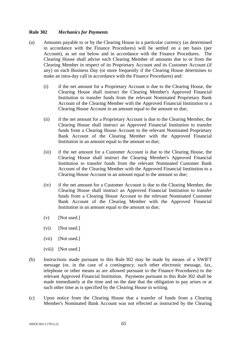### **Rule 302** *Mechanics for Payments*

- (a) Amounts payable to or by the Clearing House in a particular currency (as determined in accordance with the Finance Procedures) will be settled on a net basis (per Account), as set out below and in accordance with the Finance Procedures. The Clearing House shall advise each Clearing Member of amounts due to or from the Clearing Member in respect of its Proprietary Account and its Customer Account (if any) on each Business Day (or more frequently if the Clearing House determines to make an intra-day call in accordance with the Finance Procedures) and:
	- (i) if the net amount for a Proprietary Account is due to the Clearing House, the Clearing House shall instruct the Clearing Member's Approved Financial Institution to transfer funds from the relevant Nominated Proprietary Bank Account of the Clearing Member with the Approved Financial Institution to a Clearing House Account in an amount equal to the amount so due;
	- (ii) if the net amount for a Proprietary Account is due to the Clearing Member, the Clearing House shall instruct an Approved Financial Institution to transfer funds from a Clearing House Account to the relevant Nominated Proprietary Bank Account of the Clearing Member with the Approved Financial Institution in an amount equal to the amount so due;
	- (iii) if the net amount for a Customer Account is due to the Clearing House, the Clearing House shall instruct the Clearing Member's Approved Financial Institution to transfer funds from the relevant Nominated Customer Bank Account of the Clearing Member with the Approved Financial Institution to a Clearing House Account in an amount equal to the amount so due;
	- (iv) if the net amount for a Customer Account is due to the Clearing Member, the Clearing House shall instruct an Approved Financial Institution to transfer funds from a Clearing House Account to the relevant Nominated Customer Bank Account of the Clearing Member with the Approved Financial Institution in an amount equal to the amount so due;
	- $(v)$  [Not used.]
	- (vi) [Not used.]
	- (vii) [Not used.]
	- (viii) [Not used.]
- (b) Instructions made pursuant to this Rule 302 may be made by means of a SWIFT message (or, in the case of a contingency, such other electronic message, fax, telephone or other means as are allowed pursuant to the Finance Procedures) to the relevant Approved Financial Institution. Payments pursuant to this Rule 302 shall be made immediately at the time and on the date that the obligation to pay arises or at such other time as is specified by the Clearing House in writing.
- (c) Upon notice from the Clearing House that a transfer of funds from a Clearing Member's Nominated Bank Account was not effected as instructed by the Clearing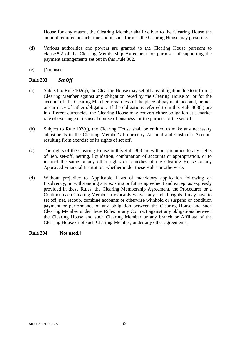House for any reason, the Clearing Member shall deliver to the Clearing House the amount required at such time and in such form as the Clearing House may prescribe.

- (d) Various authorities and powers are granted to the Clearing House pursuant to clause 5.2 of the Clearing Membership Agreement for purposes of supporting the payment arrangements set out in this Rule 302.
- (e) [Not used.]

## **Rule 303** *Set Off*

- (a) Subject to Rule 102(q), the Clearing House may set off any obligation due to it from a Clearing Member against any obligation owed by the Clearing House to, or for the account of, the Clearing Member, regardless of the place of payment, account, branch or currency of either obligation. If the obligations referred to in this Rule 303(a) are in different currencies, the Clearing House may convert either obligation at a market rate of exchange in its usual course of business for the purpose of the set off.
- (b) Subject to Rule 102(q), the Clearing House shall be entitled to make any necessary adjustments to the Clearing Member's Proprietary Account and Customer Account resulting from exercise of its rights of set off.
- (c) The rights of the Clearing House in this Rule 303 are without prejudice to any rights of lien, set-off, netting, liquidation, combination of accounts or appropriation, or to instruct the same or any other rights or remedies of the Clearing House or any Approved Financial Institution, whether under these Rules or otherwise.
- (d) Without prejudice to Applicable Laws of mandatory application following an Insolvency, notwithstanding any existing or future agreement and except as expressly provided in these Rules, the Clearing Membership Agreement, the Procedures or a Contract, each Clearing Member irrevocably waives any and all rights it may have to set off, net, recoup, combine accounts or otherwise withhold or suspend or condition payment or performance of any obligation between the Clearing House and such Clearing Member under these Rules or any Contract against any obligations between the Clearing House and such Clearing Member or any branch or Affiliate of the Clearing House or of such Clearing Member, under any other agreements.

### **Rule 304 [Not used.]**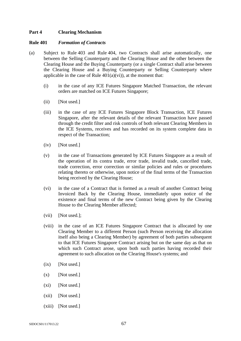### **Part 4 Clearing Mechanism**

#### **Rule 401** *Formation of Contracts*

- (a) Subject to Rule 403 and Rule 404, two Contracts shall arise automatically, one between the Selling Counterparty and the Clearing House and the other between the Clearing House and the Buying Counterparty (or a single Contract shall arise between the Clearing House and a Buying Counterparty or Selling Counterparty where applicable in the case of Rule  $401(a)(vi)$ , at the moment that:
	- (i) in the case of any ICE Futures Singapore Matched Transaction, the relevant orders are matched on ICE Futures Singapore;
	- (ii) [Not used.]
	- (iii) in the case of any ICE Futures Singapore Block Transaction, ICE Futures Singapore, after the relevant details of the relevant Transaction have passed through the credit filter and risk controls of both relevant Clearing Members in the ICE Systems, receives and has recorded on its system complete data in respect of the Transaction;
	- (iv) [Not used.]
	- (v) in the case of Transactions generated by ICE Futures Singapore as a result of the operation of its contra trade, error trade, invalid trade, cancelled trade, trade correction, error correction or similar policies and rules or procedures relating thereto or otherwise, upon notice of the final terms of the Transaction being received by the Clearing House;
	- (vi) in the case of a Contract that is formed as a result of another Contract being Invoiced Back by the Clearing House, immediately upon notice of the existence and final terms of the new Contract being given by the Clearing House to the Clearing Member affected;
	- (vii) [Not used.];
	- (viii) in the case of an ICE Futures Singapore Contract that is allocated by one Clearing Member to a different Person (such Person receiving the allocation itself also being a Clearing Member) by agreement of both parties subsequent to that ICE Futures Singapore Contract arising but on the same day as that on which such Contract arose, upon both such parties having recorded their agreement to such allocation on the Clearing House's systems; and
	- $(ix)$  [Not used.]
	- $(x)$  [Not used.]
	- (xi) [Not used.]
	- (xii) [Not used.]
	- (xiii) [Not used.]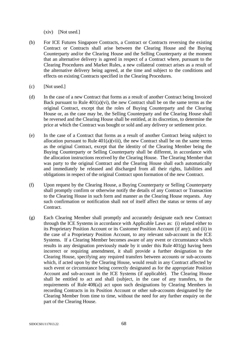(xiv) [Not used.]

- (b) For ICE Futures Singapore Contracts, a Contract or Contracts reversing the existing Contract or Contracts shall arise between the Clearing House and the Buying Counterparty and/or the Clearing House and the Selling Counterparty at the moment that an alternative delivery is agreed in respect of a Contract where, pursuant to the Clearing Procedures and Market Rules, a new collateral contract arises as a result of the alternative delivery being agreed, at the time and subject to the conditions and effects on existing Contracts specified in the Clearing Procedures.
- (c) [Not used.]
- (d) In the case of a new Contract that forms as a result of another Contract being Invoiced Back pursuant to Rule  $401(a)(vi)$ , the new Contract shall be on the same terms as the original Contract, except that the roles of Buying Counterparty and the Clearing House or, as the case may be, the Selling Counterparty and the Clearing House shall be reversed and the Clearing House shall be entitled, at its discretion, to determine the price at which the Contract was bought or sold and any delivery or settlement price.
- (e) In the case of a Contract that forms as a result of another Contract being subject to allocation pursuant to Rule  $401(a)(viii)$ , the new Contract shall be on the same terms as the original Contract, except that the identity of the Clearing Member being the Buying Counterparty or Selling Counterparty shall be different, in accordance with the allocation instructions received by the Clearing House. The Clearing Member that was party to the original Contract and the Clearing House shall each automatically and immediately be released and discharged from all their rights, liabilities and obligations in respect of the original Contract upon formation of the new Contract.
- (f) Upon request by the Clearing House, a Buying Counterparty or Selling Counterparty shall promptly confirm or otherwise notify the details of any Contract or Transaction to the Clearing House in such form and manner as the Clearing House requests. Any such confirmation or notification shall not of itself affect the status or terms of any Contract.
- (g) Each Clearing Member shall promptly and accurately designate each new Contract through the ICE Systems in accordance with Applicable Laws as: (i) related either to its Proprietary Position Account or its Customer Position Account (if any); and (ii) in the case of a Proprietary Position Account, to any relevant sub-account in the ICE Systems. If a Clearing Member becomes aware of any event or circumstance which results in any designation previously made by it under this Rule 401(g) having been incorrect or requiring amendment, it shall provide a further designation to the Clearing House, specifying any required transfers between accounts or sub-accounts which, if acted upon by the Clearing House, would result in any Contract affected by such event or circumstance being correctly designated as for the appropriate Position Account and sub-account in the ICE Systems (if applicable). The Clearing House shall be entitled to act and shall (subject, in the case of any transfers, to the requirements of Rule 408(a)) act upon such designations by Clearing Members in recording Contracts in its Position Account or other sub-accounts designated by the Clearing Member from time to time, without the need for any further enquiry on the part of the Clearing House.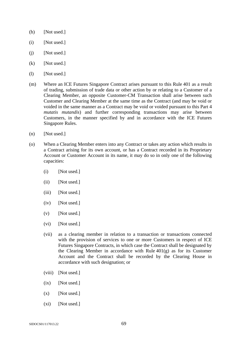- (h) [Not used.]
- (i) [Not used.]
- $(i)$  [Not used.]
- $(k)$  [Not used.]
- (1) [Not used.]
- (m) Where an ICE Futures Singapore Contract arises pursuant to this Rule 401 as a result of trading, submission of trade data or other action by or relating to a Customer of a Clearing Member, an opposite Customer-CM Transaction shall arise between such Customer and Clearing Member at the same time as the Contract (and may be void or voided in the same manner as a Contract may be void or voided pursuant to this Part 4 *mutatis mutandis*) and further corresponding transactions may arise between Customers, in the manner specified by and in accordance with the ICE Futures Singapore Rules.
- (n) [Not used.]
- (o) When a Clearing Member enters into any Contract or takes any action which results in a Contract arising for its own account, or has a Contract recorded in its Proprietary Account or Customer Account in its name, it may do so in only one of the following capacities:
	- (i) [Not used.]
	- (ii) [Not used.]
	- (iii) [Not used.]
	- (iv) [Not used.]
	- $(v)$  [Not used.]
	- (vi) [Not used.]
	- (vii) as a clearing member in relation to a transaction or transactions connected with the provision of services to one or more Customers in respect of ICE Futures Singapore Contracts, in which case the Contract shall be designated by the Clearing Member in accordance with Rule  $401(g)$  as for its Customer Account and the Contract shall be recorded by the Clearing House in accordance with such designation; or
	- (viii) [Not used.]
	- $(ix)$  [Not used.]
	- $(x)$  [Not used.]
	- $(xi)$  [Not used.]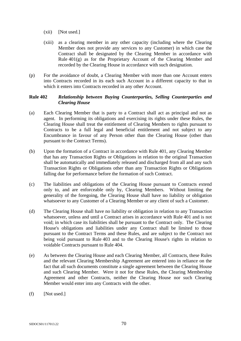- (xii) [Not used.]
- (xiii) as a clearing member in any other capacity (including where the Clearing Member does not provide any services to any Customer) in which case the Contract shall be designated by the Clearing Member in accordance with Rule 401(g) as for the Proprietary Account of the Clearing Member and recorded by the Clearing House in accordance with such designation.
- (p) For the avoidance of doubt, a Clearing Member with more than one Account enters into Contracts recorded in its each such Account in a different capacity to that in which it enters into Contracts recorded in any other Account.

### **Rule 402** *Relationship between Buying Counterparties, Selling Counterparties and Clearing House*

- (a) Each Clearing Member that is party to a Contract shall act as principal and not as agent. In performing its obligations and exercising its rights under these Rules, the Clearing House shall treat the entitlement of Clearing Members to rights pursuant to Contracts to be a full legal and beneficial entitlement and not subject to any Encumbrance in favour of any Person other than the Clearing House (other than pursuant to the Contract Terms).
- (b) Upon the formation of a Contract in accordance with Rule 401, any Clearing Member that has any Transaction Rights or Obligations in relation to the original Transaction shall be automatically and immediately released and discharged from all and any such Transaction Rights or Obligations other than any Transaction Rights or Obligations falling due for performance before the formation of such Contract.
- (c) The liabilities and obligations of the Clearing House pursuant to Contracts extend only to, and are enforceable only by, Clearing Members. Without limiting the generality of the foregoing, the Clearing House shall have no liability or obligation whatsoever to any Customer of a Clearing Member or any client of such a Customer.
- (d) The Clearing House shall have no liability or obligation in relation to any Transaction whatsoever, unless and until a Contract arises in accordance with Rule 401 and is not void; in which case its liabilities shall be pursuant to the Contract only. The Clearing House's obligations and liabilities under any Contract shall be limited to those pursuant to the Contract Terms and these Rules, and are subject to the Contract not being void pursuant to Rule 403 and to the Clearing House's rights in relation to voidable Contracts pursuant to Rule 404.
- (e) As between the Clearing House and each Clearing Member, all Contracts, these Rules and the relevant Clearing Membership Agreement are entered into in reliance on the fact that all such documents constitute a single agreement between the Clearing House and such Clearing Member. Were it not for these Rules, the Clearing Membership Agreement and other Contracts, neither the Clearing House nor such Clearing Member would enter into any Contracts with the other.
- (f) [Not used.]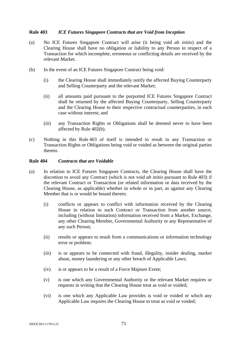### **Rule 403** *ICE Futures Singapore Contracts that are Void from Inception*

- (a) No ICE Futures Singapore Contract will arise (it being void *ab initio*) and the Clearing House shall have no obligation or liability to any Person in respect of a Transaction for which incomplete, erroneous or conflicting details are received by the relevant Market.
- (b) In the event of an ICE Futures Singapore Contract being void:
	- (i) the Clearing House shall immediately notify the affected Buying Counterparty and Selling Counterparty and the relevant Market;
	- (ii) all amounts paid pursuant to the purported ICE Futures Singapore Contract shall be returned by the affected Buying Counterparty, Selling Counterparty and the Clearing House to their respective contractual counterparties, in each case without interest; and
	- (iii) any Transaction Rights or Obligations shall be deemed never to have been affected by Rule 402(b).
- (c) Nothing in this Rule 403 of itself is intended to result in any Transaction or Transaction Rights or Obligations being void or voided as between the original parties thereto.

#### **Rule 404** *Contracts that are Voidable*

- (a) In relation to ICE Futures Singapore Contracts, the Clearing House shall have the discretion to avoid any Contract (which is not void *ab initio* pursuant to Rule 403) if the relevant Contract or Transaction (or related information or data received by the Clearing House, as applicable) whether in whole or in part, as against any Clearing Member that is or would be bound thereto:
	- (i) conflicts or appears to conflict with information received by the Clearing House in relation to such Contract or Transaction from another source, including (without limitation) information received from a Market, Exchange, any other Clearing Member, Governmental Authority or any Representative of any such Person;
	- (ii) results or appears to result from a communications or information technology error or problem;
	- (iii) is or appears to be connected with fraud, illegality, insider dealing, market abuse, money laundering or any other breach of Applicable Laws;
	- (iv) is or appears to be a result of a Force Majeure Event;
	- (v) is one which any Governmental Authority or the relevant Market requires or requests in writing that the Clearing House treat as void or voided;
	- (vi) is one which any Applicable Law provides is void or voided or which any Applicable Law requires the Clearing House to treat as void or voided;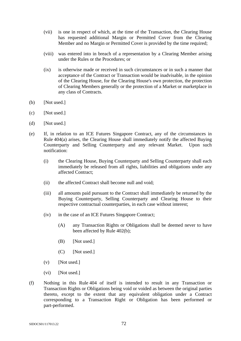- (vii) is one in respect of which, at the time of the Transaction, the Clearing House has requested additional Margin or Permitted Cover from the Clearing Member and no Margin or Permitted Cover is provided by the time required;
- (viii) was entered into in breach of a representation by a Clearing Member arising under the Rules or the Procedures; or
- (ix) is otherwise made or received in such circumstances or in such a manner that acceptance of the Contract or Transaction would be inadvisable, in the opinion of the Clearing House, for the Clearing House's own protection, the protection of Clearing Members generally or the protection of a Market or marketplace in any class of Contracts.
- (b) [Not used.]
- (c) [Not used.]
- (d) [Not used.]
- (e) If, in relation to an ICE Futures Singapore Contract, any of the circumstances in Rule 404(a) arises, the Clearing House shall immediately notify the affected Buying Counterparty and Selling Counterparty and any relevant Market. Upon such notification:
	- (i) the Clearing House, Buying Counterparty and Selling Counterparty shall each immediately be released from all rights, liabilities and obligations under any affected Contract;
	- (ii) the affected Contract shall become null and void;
	- (iii) all amounts paid pursuant to the Contract shall immediately be returned by the Buying Counterparty, Selling Counterparty and Clearing House to their respective contractual counterparties, in each case without interest;
	- (iv) in the case of an ICE Futures Singapore Contract;
		- (A) any Transaction Rights or Obligations shall be deemed never to have been affected by Rule 402(b);
		- (B) [Not used.]
		- (C) [Not used.]
	- $(v)$  [Not used.]
	- (vi) [Not used.]
- (f) Nothing in this Rule 404 of itself is intended to result in any Transaction or Transaction Rights or Obligations being void or voided as between the original parties thereto, except to the extent that any equivalent obligation under a Contract corresponding to a Transaction Right or Obligation has been performed or part-performed.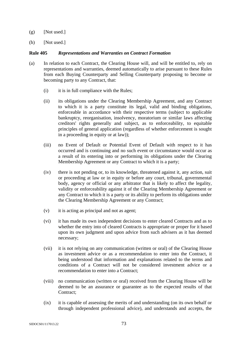- $(g)$  [Not used.]
- (h) [Not used.]

#### **Rule 405** *Representations and Warranties on Contract Formation*

- (a) In relation to each Contract, the Clearing House will, and will be entitled to, rely on representations and warranties, deemed automatically to arise pursuant to these Rules from each Buying Counterparty and Selling Counterparty proposing to become or becoming party to any Contract, that:
	- (i) it is in full compliance with the Rules;
	- (ii) its obligations under the Clearing Membership Agreement, and any Contract to which it is a party constitute its legal, valid and binding obligations, enforceable in accordance with their respective terms (subject to applicable bankruptcy, reorganisation, insolvency, moratorium or similar laws affecting creditors' rights generally and subject, as to enforceability, to equitable principles of general application (regardless of whether enforcement is sought in a proceeding in equity or at law));
	- (iii) no Event of Default or Potential Event of Default with respect to it has occurred and is continuing and no such event or circumstance would occur as a result of its entering into or performing its obligations under the Clearing Membership Agreement or any Contract to which it is a party;
	- (iv) there is not pending or, to its knowledge, threatened against it, any action, suit or proceeding at law or in equity or before any court, tribunal, governmental body, agency or official or any arbitrator that is likely to affect the legality, validity or enforceability against it of the Clearing Membership Agreement or any Contract to which it is a party or its ability to perform its obligations under the Clearing Membership Agreement or any Contract;
	- (v) it is acting as principal and not as agent;
	- (vi) it has made its own independent decisions to enter cleared Contracts and as to whether the entry into of cleared Contracts is appropriate or proper for it based upon its own judgment and upon advice from such advisers as it has deemed necessary;
	- (vii) it is not relying on any communication (written or oral) of the Clearing House as investment advice or as a recommendation to enter into the Contract, it being understood that information and explanations related to the terms and conditions of a Contract will not be considered investment advice or a recommendation to enter into a Contract;
	- (viii) no communication (written or oral) received from the Clearing House will be deemed to be an assurance or guarantee as to the expected results of that Contract:
	- (ix) it is capable of assessing the merits of and understanding (on its own behalf or through independent professional advice), and understands and accepts, the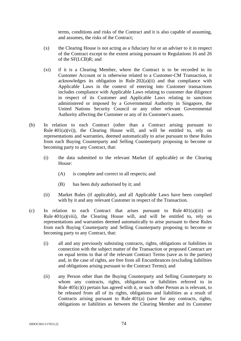terms, conditions and risks of the Contract and it is also capable of assuming, and assumes, the risks of the Contract;

- (x) the Clearing House is not acting as a fiduciary for or an adviser to it in respect of the Contract except to the extent arising pursuant to Regulations 16 and 26 of the SF(LCB)R; and
- (xi) if it is a Clearing Member, where the Contract is to be recorded in its Customer Account or is otherwise related to a Customer-CM Transaction, it acknowledges its obligation in Rule  $202(a)(ii)$  and that compliance with Applicable Laws in the context of entering into Customer transactions includes compliance with Applicable Laws relating to customer due diligence in respect of its Customer and Applicable Laws relating to sanctions administered or imposed by a Governmental Authority in Singapore, the United Nations Security Council or any other relevant Governmental Authority affecting the Customer or any of its Customer's assets.
- (b) In relation to each Contract (other than a Contract arising pursuant to Rule  $401(a)(vi)$ , the Clearing House will, and will be entitled to, rely on representations and warranties, deemed automatically to arise pursuant to these Rules from each Buying Counterparty and Selling Counterparty proposing to become or becoming party to any Contract, that:
	- (i) the data submitted to the relevant Market (if applicable) or the Clearing House:
		- (A) is complete and correct in all respects; and
		- (B) has been duly authorised by it; and
	- (ii) Market Rules (if applicable), and all Applicable Laws have been complied with by it and any relevant Customer in respect of the Transaction.
- (c) In relation to each Contract that arises pursuant to Rule 401(a)(iii) or Rule  $401(a)(viii)$ , the Clearing House will, and will be entitled to, rely on representations and warranties deemed automatically to arise pursuant to these Rules from each Buying Counterparty and Selling Counterparty proposing to become or becoming party to any Contract, that:
	- (i) all and any previously subsisting contracts, rights, obligations or liabilities in connection with the subject matter of the Transaction or proposed Contract are on equal terms to that of the relevant Contract Terms (save as to the parties) and, in the case of rights, are free from all Encumbrances (excluding liabilities and obligations arising pursuant to the Contract Terms); and
	- (ii) any Person other than the Buying Counterparty and Selling Counterparty to whom any contracts, rights, obligations or liabilities referred to in Rule 405(c)(i) pertain has agreed with it, or such other Person as is relevant, to be released from all of its rights, obligations and liabilities as a result of Contracts arising pursuant to Rule 401(a) (save for any contracts, rights, obligations or liabilities as between the Clearing Member and its Customer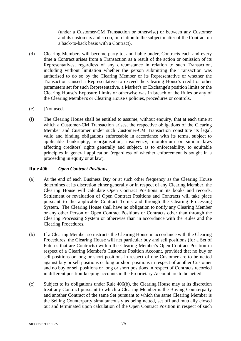(under a Customer-CM Transaction or otherwise) or between any Customer and its customers and so on, in relation to the subject matter of the Contract on a back-to-back basis with a Contract).

- (d) Clearing Members will become party to, and liable under, Contracts each and every time a Contract arises from a Transaction as a result of the action or omission of its Representatives, regardless of any circumstance in relation to such Transaction, including without limitation whether the person submitting the Transaction was authorised to do so by the Clearing Member or its Representative or whether the Transaction caused a Representative to exceed the Clearing House's credit or other parameters set for such Representative, a Market's or Exchange's position limits or the Clearing House's Exposure Limits or otherwise was in breach of the Rules or any of the Clearing Member's or Clearing House's policies, procedures or controls.
- (e) [Not used.]
- (f) The Clearing House shall be entitled to assume, without enquiry, that at each time at which a Customer-CM Transaction arises, the respective obligations of the Clearing Member and Customer under such Customer-CM Transaction constitute its legal, valid and binding obligations enforceable in accordance with its terms, subject to applicable bankruptcy, reorganisation, insolvency, moratorium or similar laws affecting creditors' rights generally and subject, as to enforceability, to equitable principles in general application (regardless of whether enforcement is sought in a proceeding in equity or at law).

# **Rule 406** *Open Contract Positions*

- (a) At the end of each Business Day or at such other frequency as the Clearing House determines at its discretion either generally or in respect of any Clearing Member, the Clearing House will calculate Open Contract Positions in its books and records. Settlement or revaluation of Open Contract Positions and Contracts will take place pursuant to the applicable Contract Terms and through the Clearing Processing System. The Clearing House shall have no obligation to notify any Clearing Member or any other Person of Open Contract Positions or Contracts other than through the Clearing Processing System or otherwise than in accordance with the Rules and the Clearing Procedures.
- (b) If a Clearing Member so instructs the Clearing House in accordance with the Clearing Procedures, the Clearing House will net particular buy and sell positions (for a Set of Futures that are Contracts) within the Clearing Member's Open Contract Position in respect of a Clearing Member's Customer Position Account, provided that no buy or sell positions or long or short positions in respect of one Customer are to be netted against buy or sell positions or long or short positions in respect of another Customer and no buy or sell positions or long or short positions in respect of Contracts recorded in different position-keeping accounts in the Proprietary Account are to be netted.
- (c) Subject to its obligations under Rule 406(b), the Clearing House may at its discretion treat any Contract pursuant to which a Clearing Member is the Buying Counterparty and another Contract of the same Set pursuant to which the same Clearing Member is the Selling Counterparty simultaneously as being netted, set off and mutually closed out and terminated upon calculation of the Open Contract Position in respect of such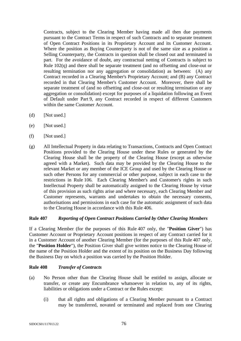Contracts, subject to the Clearing Member having made all then due payments pursuant to the Contract Terms in respect of such Contracts and to separate treatment of Open Contract Positions in its Proprietary Account and its Customer Account. Where the position as Buying Counterparty is not of the same size as a position a Selling Counterparty, the Contracts in question shall be closed out and terminated in part. For the avoidance of doubt, any contractual netting of Contracts is subject to Rule 102(q) and there shall be separate treatment (and no offsetting and close-out or resulting termination nor any aggregation or consolidation) as between: (A) any Contract recorded in a Clearing Member's Proprietary Account; and (B) any Contract recorded in that Clearing Member's Customer Account. Moreover, there shall be separate treatment of (and no offsetting and close-out or resulting termination or any aggregation or consolidation) except for purposes of a liquidation following an Event of Default under Part 9, any Contract recorded in respect of different Customers within the same Customer Account.

- (d) [Not used.]
- (e) [Not used.]
- (f) [Not used.]
- (g) All Intellectual Property in data relating to Transactions, Contracts and Open Contract Positions provided to the Clearing House under these Rules or generated by the Clearing House shall be the property of the Clearing House (except as otherwise agreed with a Market). Such data may be provided by the Clearing House to the relevant Market or any member of the ICE Group and used by the Clearing House or such other Persons for any commercial or other purpose, subject in each case to the restrictions in Rule 106. Each Clearing Member's and Customer's rights in such Intellectual Property shall be automatically assigned to the Clearing House by virtue of this provision as such rights arise and where necessary, each Clearing Member and Customer represents, warrants and undertakes to obtain the necessary consents, authorisations and permissions in each case for the automatic assignment of such data to the Clearing House in accordance with this Rule 406.

### **Rule 407** *Reporting of Open Contract Positions Carried by Other Clearing Members*

If a Clearing Member (for the purposes of this Rule 407 only, the "**Position Giver**") has Customer Account or Proprietary Account positions in respect of any Contract carried for it in a Customer Account of another Clearing Member (for the purposes of this Rule 407 only, the "**Position Holder**"), the Position Giver shall give written notice to the Clearing House of the name of the Position Holder and the extent of its position on the Business Day following the Business Day on which a position was carried by the Position Holder.

### **Rule 408** *Transfer of Contracts*

- (a) No Person other than the Clearing House shall be entitled to assign, allocate or transfer, or create any Encumbrance whatsoever in relation to, any of its rights, liabilities or obligations under a Contract or the Rules except:
	- (i) that all rights and obligations of a Clearing Member pursuant to a Contract may be transferred, novated or terminated and replaced from one Clearing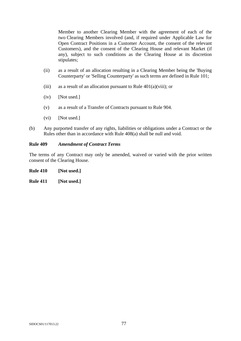Member to another Clearing Member with the agreement of each of the two Clearing Members involved (and, if required under Applicable Law for Open Contract Positions in a Customer Account, the consent of the relevant Customers), and the consent of the Clearing House and relevant Market (if any), subject to such conditions as the Clearing House at its discretion stipulates;

- (ii) as a result of an allocation resulting in a Clearing Member being the 'Buying Counterparty' or 'Selling Counterparty' as such terms are defined in Rule 101;
- (iii) as a result of an allocation pursuant to Rule  $401(a)(viii)$ ; or
- (iv) [Not used.]
- (v) as a result of a Transfer of Contracts pursuant to Rule 904.
- (vi) [Not used.]
- (b) Any purported transfer of any rights, liabilities or obligations under a Contract or the Rules other than in accordance with Rule 408(a) shall be null and void.

#### **Rule 409** *Amendment of Contract Terms*

The terms of any Contract may only be amended, waived or varied with the prior written consent of the Clearing House.

**Rule 410 [Not used.]** 

**Rule 411 [Not used.]**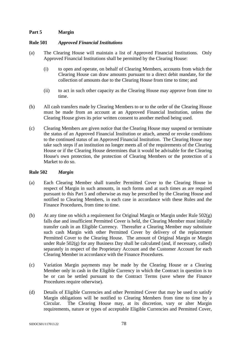# **Part 5 Margin**

#### **Rule 501** *Approved Financial Institutions*

- (a) The Clearing House will maintain a list of Approved Financial Institutions. Only Approved Financial Institutions shall be permitted by the Clearing House:
	- (i) to open and operate, on behalf of Clearing Members, accounts from which the Clearing House can draw amounts pursuant to a direct debit mandate, for the collection of amounts due to the Clearing House from time to time; and
	- (ii) to act in such other capacity as the Clearing House may approve from time to time.
- (b) All cash transfers made by Clearing Members to or to the order of the Clearing House must be made from an account at an Approved Financial Institution, unless the Clearing House gives its prior written consent to another method being used.
- (c) Clearing Members are given notice that the Clearing House may suspend or terminate the status of an Approved Financial Institution or attach, amend or revoke conditions to the continued status of an Approved Financial Institution. The Clearing House may take such steps if an institution no longer meets all of the requirements of the Clearing House or if the Clearing House determines that it would be advisable for the Clearing House's own protection, the protection of Clearing Members or the protection of a Market to do so.

### **Rule 502** *Margin*

- (a) Each Clearing Member shall transfer Permitted Cover to the Clearing House in respect of Margin in such amounts, in such forms and at such times as are required pursuant to this Part 5 and otherwise as may be prescribed by the Clearing House and notified to Clearing Members, in each case in accordance with these Rules and the Finance Procedures, from time to time.
- (b) At any time on which a requirement for Original Margin or Margin under Rule  $502(g)$ falls due and insufficient Permitted Cover is held, the Clearing Member must initially transfer cash in an Eligible Currency. Thereafter a Clearing Member may substitute such cash Margin with other Permitted Cover by delivery of the replacement Permitted Cover to the Clearing House. The amount of Original Margin or Margin under Rule  $502(g)$  for any Business Day shall be calculated (and, if necessary, called) separately in respect of the Proprietary Account and the Customer Account for each Clearing Member in accordance with the Finance Procedures.
- (c) Variation Margin payments may be made by the Clearing House or a Clearing Member only in cash in the Eligible Currency in which the Contract in question is to be or can be settled pursuant to the Contract Terms (save where the Finance Procedures require otherwise).
- (d) Details of Eligible Currencies and other Permitted Cover that may be used to satisfy Margin obligations will be notified to Clearing Members from time to time by a Circular. The Clearing House may, at its discretion, vary or alter Margin requirements, nature or types of acceptable Eligible Currencies and Permitted Cover,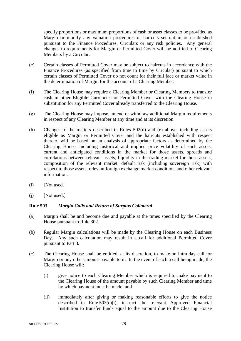specify proportions or maximum proportions of cash or asset classes to be provided as Margin or modify any valuation procedures or haircuts set out in or established pursuant to the Finance Procedures, Circulars or any risk policies. Any general changes to requirements for Margin or Permitted Cover will be notified to Clearing Members by a Circular.

- (e) Certain classes of Permitted Cover may be subject to haircuts in accordance with the Finance Procedures (as specified from time to time by Circular) pursuant to which certain classes of Permitted Cover do not count for their full face or market value in the determination of Margin for the account of a Clearing Member.
- (f) The Clearing House may require a Clearing Member or Clearing Members to transfer cash in other Eligible Currencies or Permitted Cover with the Clearing House in substitution for any Permitted Cover already transferred to the Clearing House.
- (g) The Clearing House may impose, amend or withdraw additional Margin requirements in respect of any Clearing Member at any time and at its discretion.
- (h) Changes to the matters described in Rules 502(d) and (e) above, including assets eligible as Margin or Permitted Cover and the haircuts established with respect thereto, will be based on an analysis of appropriate factors as determined by the Clearing House, including historical and implied price volatility of such assets, current and anticipated conditions in the market for those assets, spreads and correlations between relevant assets, liquidity in the trading market for those assets, composition of the relevant market, default risk (including sovereign risk) with respect to those assets, relevant foreign exchange market conditions and other relevant information.
- $(i)$  [Not used.]
- $(i)$  [Not used.]

### **Rule 503** *Margin Calls and Return of Surplus Collateral*

- (a) Margin shall be and become due and payable at the times specified by the Clearing House pursuant to Rule 302.
- (b) Regular Margin calculations will be made by the Clearing House on each Business Day. Any such calculation may result in a call for additional Permitted Cover pursuant to Part 3.
- (c) The Clearing House shall be entitled, at its discretion, to make an intra-day call for Margin or any other amount payable to it. In the event of such a call being made, the Clearing House will:
	- (i) give notice to each Clearing Member which is required to make payment to the Clearing House of the amount payable by such Clearing Member and time by which payment must be made; and
	- (ii) immediately after giving or making reasonable efforts to give the notice described in Rule 503(c)(i), instruct the relevant Approved Financial Institution to transfer funds equal to the amount due to the Clearing House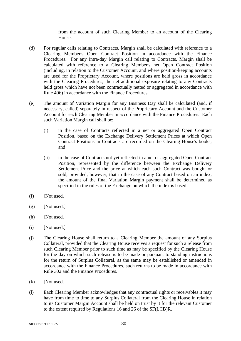from the account of such Clearing Member to an account of the Clearing House.

- (d) For regular calls relating to Contracts, Margin shall be calculated with reference to a Clearing Member's Open Contract Position in accordance with the Finance Procedures. For any intra-day Margin call relating to Contracts, Margin shall be calculated with reference to a Clearing Member's net Open Contract Position (including, in relation to the Customer Account, and where position-keeping accounts are used for the Proprietary Account, where positions are held gross in accordance with the Clearing Procedures, the net additional exposure relating to any Contracts held gross which have not been contractually netted or aggregated in accordance with Rule 406) in accordance with the Finance Procedures.
- (e) The amount of Variation Margin for any Business Day shall be calculated (and, if necessary, called) separately in respect of the Proprietary Account and the Customer Account for each Clearing Member in accordance with the Finance Procedures. Each such Variation Margin call shall be:
	- (i) in the case of Contracts reflected in a net or aggregated Open Contract Position, based on the Exchange Delivery Settlement Prices at which Open Contract Positions in Contracts are recorded on the Clearing House's books; and
	- (ii) in the case of Contracts not yet reflected in a net or aggregated Open Contract Position, represented by the difference between the Exchange Delivery Settlement Price and the price at which each such Contract was bought or sold; provided, however, that in the case of any Contract based on an index, the amount of the final Variation Margin payment shall be determined as specified in the rules of the Exchange on which the index is based.
- $(f)$  [Not used.]
- $(g)$  [Not used.]
- (h) [Not used.]
- $(i)$  [Not used.]
- (j) The Clearing House shall return to a Clearing Member the amount of any Surplus Collateral, provided that the Clearing House receives a request for such a release from such Clearing Member prior to such time as may be specified by the Clearing House for the day on which such release is to be made or pursuant to standing instructions for the return of Surplus Collateral, as the same may be established or amended in accordance with the Finance Procedures, such returns to be made in accordance with Rule 302 and the Finance Procedures.
- (k) [Not used.]
- (l) Each Clearing Member acknowledges that any contractual rights or receivables it may have from time to time to any Surplus Collateral from the Clearing House in relation to its Customer Margin Account shall be held on trust by it for the relevant Customer to the extent required by Regulations 16 and 26 of the SF(LCB)R.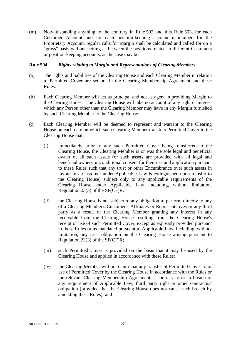(m) Notwithstanding anything to the contrary in Rule 502 and this Rule 503, for each Customer Account and for each position-keeping account maintained for the Proprietary Account, regular calls for Margin shall be calculated and called for on a "gross" basis without netting as between the positions related to different Customers or position-keeping accounts, as the case may be.

### **Rule 504** *Rights relating to Margin and Representations of Clearing Members*

- (a) The rights and liabilities of the Clearing House and each Clearing Member in relation to Permitted Cover are set out in the Clearing Membership Agreement and these Rules.
- (b) Each Clearing Member will act as principal and not as agent in providing Margin to the Clearing House. The Clearing House will take no account of any right or interest which any Person other than the Clearing Member may have in any Margin furnished by such Clearing Member to the Clearing House.
- (c) Each Clearing Member will be deemed to represent and warrant to the Clearing House on each date on which such Clearing Member transfers Permitted Cover to the Clearing House that:
	- (i) immediately prior to any such Permitted Cover being transferred to the Clearing House, the Clearing Member is or was the sole legal and beneficial owner of all such assets (or such assets are provided with all legal and beneficial owners' unconditional consent for their use and application pursuant to these Rules such that any trust or other Encumbrance over such assets in favour of a Customer under Applicable Law is extinguished upon transfer to the Clearing House) subject only to any applicable requirements of the Clearing House under Applicable Law, including, without limitation, Regulation 23(3) of the SF(CF)R;
	- (ii) the Clearing House is not subject to any obligation to perform directly to any of a Clearing Member's Customers, Affiliates or Representatives or any third party as a result of the Clearing Member granting any interest in any receivable from the Clearing House resulting from the Clearing House's receipt or use of such Permitted Cover, except as expressly provided pursuant to these Rules or as mandated pursuant to Applicable Law, including, without limitation, any trust obligation on the Clearing House arising pursuant to Regulation 23(3) of the SF(CF)R;
	- (iii) such Permitted Cover is provided on the basis that it may be used by the Clearing House and applied in accordance with these Rules;
	- (iv) the Clearing Member will not claim that any transfer of Permitted Cover to or use of Permitted Cover by the Clearing House in accordance with the Rules or the relevant Clearing Membership Agreement is contrary to or in breach of any requirement of Applicable Law, third party right or other contractual obligation (provided that the Clearing House does not cause such breach by amending these Rules); and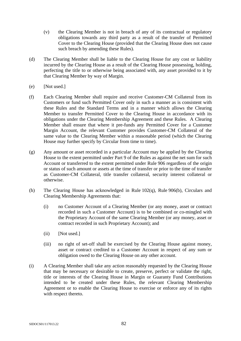- (v) the Clearing Member is not in breach of any of its contractual or regulatory obligations towards any third party as a result of the transfer of Permitted Cover to the Clearing House (provided that the Clearing House does not cause such breach by amending these Rules).
- (d) The Clearing Member shall be liable to the Clearing House for any cost or liability incurred by the Clearing House as a result of the Clearing House possessing, holding, perfecting the title to or otherwise being associated with, any asset provided to it by that Clearing Member by way of Margin.
- (e) [Not used.]
- (f) Each Clearing Member shall require and receive Customer-CM Collateral from its Customers or fund such Permitted Cover only in such a manner as is consistent with these Rules and the Standard Terms and in a manner which allows the Clearing Member to transfer Permitted Cover to the Clearing House in accordance with its obligations under the Clearing Membership Agreement and these Rules. A Clearing Member shall ensure that where it pre-funds any Permitted Cover for a Customer Margin Account, the relevant Customer provides Customer-CM Collateral of the same value to the Clearing Member within a reasonable period (which the Clearing House may further specify by Circular from time to time).
- (g) Any amount or asset recorded in a particular Account may be applied by the Clearing House to the extent permitted under Part 9 of the Rules as against the net sum for such Account or transferred to the extent permitted under Rule 906 regardless of the origin or status of such amount or assets at the time of transfer or prior to the time of transfer as Customer-CM Collateral, title transfer collateral, security interest collateral or otherwise.
- (h) The Clearing House has acknowledged in Rule 102(q), Rule 906(b), Circulars and Clearing Membership Agreements that:
	- (i) no Customer Account of a Clearing Member (or any money, asset or contract recorded in such a Customer Account) is to be combined or co-mingled with the Proprietary Account of the same Clearing Member (or any money, asset or contract recorded in such Proprietary Account); and
	- (ii) [Not used.]
	- (iii) no right of set-off shall be exercised by the Clearing House against money, asset or contract credited to a Customer Account in respect of any sum or obligation owed to the Clearing House on any other account.
- (i) A Clearing Member shall take any action reasonably requested by the Clearing House that may be necessary or desirable to create, preserve, perfect or validate the right, title or interests of the Clearing House in Margin or Guaranty Fund Contributions intended to be created under these Rules, the relevant Clearing Membership Agreement or to enable the Clearing House to exercise or enforce any of its rights with respect thereto.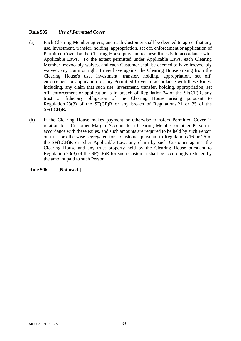# **Rule 505** *Use of Permitted Cover*

- (a) Each Clearing Member agrees, and each Customer shall be deemed to agree, that any use, investment, transfer, holding, appropriation, set off, enforcement or application of Permitted Cover by the Clearing House pursuant to these Rules is in accordance with Applicable Laws. To the extent permitted under Applicable Laws, each Clearing Member irrevocably waives, and each Customer shall be deemed to have irrevocably waived, any claim or right it may have against the Clearing House arising from the Clearing House's use, investment, transfer, holding, appropriation, set off, enforcement or application of, any Permitted Cover in accordance with these Rules, including, any claim that such use, investment, transfer, holding, appropriation, set off, enforcement or application is in breach of Regulation 24 of the SF(CF)R, any trust or fiduciary obligation of the Clearing House arising pursuant to Regulation 23(3) of the SF(CF)R or any breach of Regulations 21 or 35 of the SF(LCB)R.
- (b) If the Clearing House makes payment or otherwise transfers Permitted Cover in relation to a Customer Margin Account to a Clearing Member or other Person in accordance with these Rules, and such amounts are required to be held by such Person on trust or otherwise segregated for a Customer pursuant to Regulations 16 or 26 of the SF(LCB)R or other Applicable Law, any claim by such Customer against the Clearing House and any trust property held by the Clearing House pursuant to Regulation 23(3) of the SF(CF)R for such Customer shall be accordingly reduced by the amount paid to such Person.

**Rule 506 [Not used.]**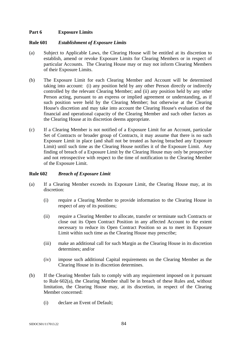# **Part 6 Exposure Limits**

#### **Rule 601** *Establishment of Exposure Limits*

- (a) Subject to Applicable Laws, the Clearing House will be entitled at its discretion to establish, amend or revoke Exposure Limits for Clearing Members or in respect of particular Accounts. The Clearing House may or may not inform Clearing Members of their Exposure Limits.
- (b) The Exposure Limit for each Clearing Member and Account will be determined taking into account: (i) any position held by any other Person directly or indirectly controlled by the relevant Clearing Member; and (ii) any position held by any other Person acting, pursuant to an express or implied agreement or understanding, as if such position were held by the Clearing Member; but otherwise at the Clearing House's discretion and may take into account the Clearing House's evaluation of the financial and operational capacity of the Clearing Member and such other factors as the Clearing House at its discretion deems appropriate.
- (c) If a Clearing Member is not notified of a Exposure Limit for an Account, particular Set of Contracts or broader group of Contracts, it may assume that there is no such Exposure Limit in place (and shall not be treated as having breached any Exposure Limit) until such time as the Clearing House notifies it of the Exposure Limit. Any finding of breach of a Exposure Limit by the Clearing House may only be prospective and not retrospective with respect to the time of notification to the Clearing Member of the Exposure Limit.

### **Rule 602** *Breach of Exposure Limit*

- (a) If a Clearing Member exceeds its Exposure Limit, the Clearing House may, at its discretion:
	- (i) require a Clearing Member to provide information to the Clearing House in respect of any of its positions;
	- (ii) require a Clearing Member to allocate, transfer or terminate such Contracts or close out its Open Contract Position in any affected Account to the extent necessary to reduce its Open Contract Position so as to meet its Exposure Limit within such time as the Clearing House may prescribe;
	- (iii) make an additional call for such Margin as the Clearing House in its discretion determines; and/or
	- (iv) impose such additional Capital requirements on the Clearing Member as the Clearing House in its discretion determines.
- (b) If the Clearing Member fails to comply with any requirement imposed on it pursuant to Rule 602(a), the Clearing Member shall be in breach of these Rules and, without limitation, the Clearing House may, at its discretion, in respect of the Clearing Member concerned:
	- (i) declare an Event of Default;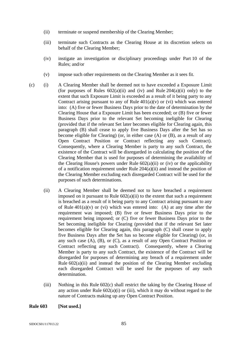- (ii) terminate or suspend membership of the Clearing Member;
- (iii) terminate such Contracts as the Clearing House at its discretion selects on behalf of the Clearing Member;
- (iv) instigate an investigation or disciplinary proceedings under Part 10 of the Rules; and/or
- (v) impose such other requirements on the Clearing Member as it sees fit.
- (c) (i) A Clearing Member shall be deemed not to have exceeded a Exposure Limit (for purposes of Rules  $602(a)(ii)$  and (iv) and Rule  $204(a)(ii)$  only) to the extent that such Exposure Limit is exceeded as a result of it being party to any Contract arising pursuant to any of Rule  $401(a)(v)$  or (vi) which was entered into: (A) five or fewer Business Days prior to the date of determination by the Clearing House that a Exposure Limit has been exceeded; or (B) five or fewer Business Days prior to the relevant Set becoming ineligible for Clearing (provided that if the relevant Set later becomes eligible for Clearing again, this paragraph (B) shall cease to apply five Business Days after the Set has so become eligible for Clearing) (or, in either case (A) or (B), as a result of any Open Contract Position or Contract reflecting any such Contract). Consequently, where a Clearing Member is party to any such Contract, the existence of the Contract will be disregarded in calculating the position of the Clearing Member that is used for purposes of determining the availability of the Clearing House's powers under Rule  $602(a)(ii)$  or (iv) or the applicability of a notification requirement under Rule 204(a)(ii) and instead the position of the Clearing Member excluding each disregarded Contract will be used for the purposes of such determinations.
	- (ii) A Clearing Member shall be deemed not to have breached a requirement imposed on it pursuant to Rule  $602(a)(ii)$  to the extent that such a requirement is breached as a result of it being party to any Contract arising pursuant to any of Rule  $401(a)(v)$  or (vi) which was entered into: (A) at any time after the requirement was imposed; (B) five or fewer Business Days prior to the requirement being imposed; or (C) five or fewer Business Days prior to the Set becoming ineligible for Clearing (provided that if the relevant Set later becomes eligible for Clearing again, this paragraph (C) shall cease to apply five Business Days after the Set has so become eligible for Clearing) (or, in any such case (A), (B), or (C), as a result of any Open Contract Position or Contract reflecting any such Contract). Consequently, where a Clearing Member is party to any such Contract, the existence of the Contract will be disregarded for purposes of determining any breach of a requirement under Rule  $602(a)(ii)$  and instead the position of the Clearing Member excluding each disregarded Contract will be used for the purposes of any such determination.
	- (iii) Nothing in this Rule 602(c) shall restrict the taking by the Clearing House of any action under Rule  $602(a)(i)$  or (iii), which it may do without regard to the nature of Contracts making up any Open Contract Position.

#### **Rule 603 [Not used.]**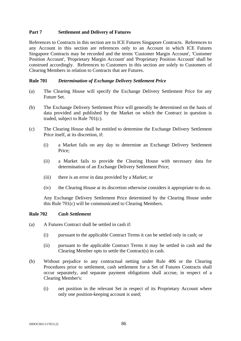# **Part 7 Settlement and Delivery of Futures**

References to Contracts in this section are to ICE Futures Singapore Contracts. References to any Account in this section are references only to an Account in which ICE Futures Singapore Contracts may be recorded and the terms 'Customer Margin Account', 'Customer Position Account', 'Proprietary Margin Account' and 'Proprietary Position Account' shall be construed accordingly. References to Customers in this section are solely to Customers of Clearing Members in relation to Contracts that are Futures.

### **Rule 701** *Determination of Exchange Delivery Settlement Price*

- (a) The Clearing House will specify the Exchange Delivery Settlement Price for any Future Set.
- (b) The Exchange Delivery Settlement Price will generally be determined on the basis of data provided and published by the Market on which the Contract in question is traded, subject to Rule 701(c).
- (c) The Clearing House shall be entitled to determine the Exchange Delivery Settlement Price itself, at its discretion, if:
	- (i) a Market fails on any day to determine an Exchange Delivery Settlement Price;
	- (ii) a Market fails to provide the Clearing House with necessary data for determination of an Exchange Delivery Settlement Price;
	- (iii) there is an error in data provided by a Market; or
	- (iv) the Clearing House at its discretion otherwise considers it appropriate to do so.

Any Exchange Delivery Settlement Price determined by the Clearing House under this Rule 701(c) will be communicated to Clearing Members.

### **Rule 702** *Cash Settlement*

- (a) A Futures Contract shall be settled in cash if:
	- (i) pursuant to the applicable Contract Terms it can be settled only in cash; or
	- (ii) pursuant to the applicable Contract Terms it may be settled in cash and the Clearing Member opts to settle the Contract(s) in cash.
- (b) Without prejudice to any contractual netting under Rule 406 or the Clearing Procedures prior to settlement, cash settlement for a Set of Futures Contracts shall occur separately, and separate payment obligations shall accrue, in respect of a Clearing Member's:
	- (i) net position in the relevant Set in respect of its Proprietary Account where only one position-keeping account is used;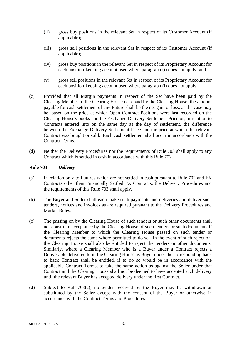- (ii) gross buy positions in the relevant Set in respect of its Customer Account (if applicable);
- (iii) gross sell positions in the relevant Set in respect of its Customer Account (if applicable);
- (iv) gross buy positions in the relevant Set in respect of its Proprietary Account for each position-keeping account used where paragraph (i) does not apply; and
- (v) gross sell positions in the relevant Set in respect of its Proprietary Account for each position-keeping account used where paragraph (i) does not apply.
- (c) Provided that all Margin payments in respect of the Set have been paid by the Clearing Member to the Clearing House or repaid by the Clearing House, the amount payable for cash settlement of any Future shall be the net gain or loss, as the case may be, based on the price at which Open Contract Positions were last recorded on the Clearing House's books and the Exchange Delivery Settlement Price or, in relation to Contracts entered into on the same day as the day of settlement, the difference between the Exchange Delivery Settlement Price and the price at which the relevant Contract was bought or sold. Each cash settlement shall occur in accordance with the Contract Terms.
- (d) Neither the Delivery Procedures nor the requirements of Rule 703 shall apply to any Contract which is settled in cash in accordance with this Rule 702.

### **Rule 703** *Delivery*

- (a) In relation only to Futures which are not settled in cash pursuant to Rule 702 and FX Contracts other than Financially Settled FX Contracts, the Delivery Procedures and the requirements of this Rule 703 shall apply.
- (b) The Buyer and Seller shall each make such payments and deliveries and deliver such tenders, notices and invoices as are required pursuant to the Delivery Procedures and Market Rules.
- (c) The passing on by the Clearing House of such tenders or such other documents shall not constitute acceptance by the Clearing House of such tenders or such documents if the Clearing Member to which the Clearing House passed on such tender or documents rejects the same where permitted to do so. In the event of such rejection, the Clearing House shall also be entitled to reject the tenders or other documents. Similarly, where a Clearing Member who is a Buyer under a Contract rejects a Deliverable delivered to it, the Clearing House as Buyer under the corresponding back to back Contract shall be entitled, if to do so would be in accordance with the applicable Contract Terms, to take the same action as against the Seller under that Contract and the Clearing House shall not be deemed to have accepted such delivery until the relevant Buyer has accepted delivery under the first Contract.
- (d) Subject to Rule 703(c), no tender received by the Buyer may be withdrawn or substituted by the Seller except with the consent of the Buyer or otherwise in accordance with the Contract Terms and Procedures.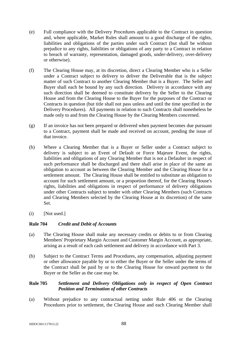- (e) Full compliance with the Delivery Procedures applicable to the Contract in question and, where applicable, Market Rules shall amount to a good discharge of the rights, liabilities and obligations of the parties under such Contract (but shall be without prejudice to any rights, liabilities or obligations of any party to a Contract in relation to breach of warranty, representation, damaged goods, under-delivery, over-delivery or otherwise).
- (f) The Clearing House may, at its discretion, direct a Clearing Member who is a Seller under a Contract subject to delivery to deliver the Deliverable that is the subject matter of such Contract to another Clearing Member that is a Buyer. The Seller and Buyer shall each be bound by any such direction. Delivery in accordance with any such direction shall be deemed to constitute delivery by the Seller to the Clearing House and from the Clearing House to the Buyer for the purposes of the Contract or Contracts in question (but title shall not pass unless and until the time specified in the Delivery Procedures). All payments in relation to such Contracts shall nonetheless be made only to and from the Clearing House by the Clearing Members concerned.
- (g) If an invoice has not been prepared or delivered when payment becomes due pursuant to a Contract, payment shall be made and received on account, pending the issue of that invoice.
- (h) Where a Clearing Member that is a Buyer or Seller under a Contract subject to delivery is subject to an Event of Default or Force Majeure Event, the rights, liabilities and obligations of any Clearing Member that is not a Defaulter in respect of such performance shall be discharged and there shall arise in place of the same an obligation to account as between the Clearing Member and the Clearing House for a settlement amount. The Clearing House shall be entitled to substitute an obligation to account for such settlement amount, or a proportion thereof, for the Clearing House's rights, liabilities and obligations in respect of performance of delivery obligations under other Contracts subject to tender with other Clearing Members (such Contracts and Clearing Members selected by the Clearing House at its discretion) of the same Set.
- (i) [Not used.]

### **Rule 704** *Credit and Debit of Accounts*

- (a) The Clearing House shall make any necessary credits or debits to or from Clearing Members' Proprietary Margin Account and Customer Margin Account, as appropriate, arising as a result of each cash settlement and delivery in accordance with Part 3.
- (b) Subject to the Contract Terms and Procedures, any compensation, adjusting payment or other allowance payable by or to either the Buyer or the Seller under the terms of the Contract shall be paid by or to the Clearing House for onward payment to the Buyer or the Seller as the case may be.

# **Rule 705** *Settlement and Delivery Obligations only in respect of Open Contract Position and Termination of other Contracts*

(a) Without prejudice to any contractual netting under Rule 406 or the Clearing Procedures prior to settlement, the Clearing House and each Clearing Member shall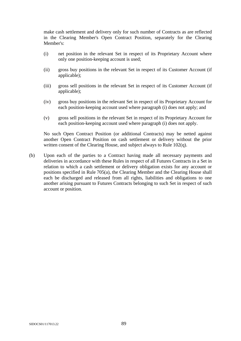make cash settlement and delivery only for such number of Contracts as are reflected in the Clearing Member's Open Contract Position, separately for the Clearing Member's:

- (i) net position in the relevant Set in respect of its Proprietary Account where only one position-keeping account is used;
- (ii) gross buy positions in the relevant Set in respect of its Customer Account (if applicable);
- (iii) gross sell positions in the relevant Set in respect of its Customer Account (if applicable);
- (iv) gross buy positions in the relevant Set in respect of its Proprietary Account for each position-keeping account used where paragraph (i) does not apply; and
- (v) gross sell positions in the relevant Set in respect of its Proprietary Account for each position-keeping account used where paragraph (i) does not apply.

No such Open Contract Position (or additional Contracts) may be netted against another Open Contract Position on cash settlement or delivery without the prior written consent of the Clearing House, and subject always to Rule 102(q).

(b) Upon each of the parties to a Contract having made all necessary payments and deliveries in accordance with these Rules in respect of all Futures Contracts in a Set in relation to which a cash settlement or delivery obligation exists for any account or positions specified in Rule 705(a), the Clearing Member and the Clearing House shall each be discharged and released from all rights, liabilities and obligations to one another arising pursuant to Futures Contracts belonging to such Set in respect of such account or position.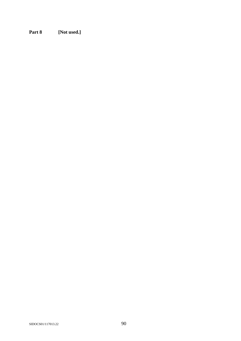**Part 8 [Not used.]**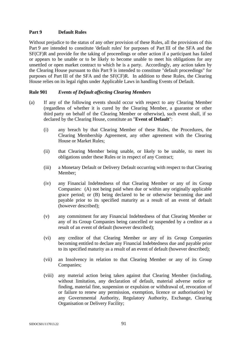## **Part 9 Default Rules**

Without prejudice to the status of any other provision of these Rules, all the provisions of this Part 9 are intended to constitute 'default rules' for purposes of Part III of the SFA and the SF(CF)R and provide for the taking of proceedings or other action if a participant has failed or appears to be unable or to be likely to become unable to meet his obligations for any unsettled or open market contract to which he is a party. Accordingly, any action taken by the Clearing House pursuant to this Part 9 is intended to constitute "default proceedings" for purposes of Part III of the SFA and the SF(CF)R. In addition to these Rules, the Clearing House relies on its legal rights under Applicable Laws in handling Events of Default.

# **Rule 901** *Events of Default affecting Clearing Members*

- (a) If any of the following events should occur with respect to any Clearing Member (regardless of whether it is cured by the Clearing Member, a guarantor or other third party on behalf of the Clearing Member or otherwise), such event shall, if so declared by the Clearing House, constitute an "**Event of Default**":
	- (i) any breach by that Clearing Member of these Rules, the Procedures, the Clearing Membership Agreement, any other agreement with the Clearing House or Market Rules;
	- (ii) that Clearing Member being unable, or likely to be unable, to meet its obligations under these Rules or in respect of any Contract;
	- (iii) a Monetary Default or Delivery Default occurring with respect to that Clearing Member;
	- (iv) any Financial Indebtedness of that Clearing Member or any of its Group Companies: (A) not being paid when due or within any originally applicable grace period; or (B) being declared to be or otherwise becoming due and payable prior to its specified maturity as a result of an event of default (however described);
	- (v) any commitment for any Financial Indebtedness of that Clearing Member or any of its Group Companies being cancelled or suspended by a creditor as a result of an event of default (however described);
	- (vi) any creditor of that Clearing Member or any of its Group Companies becoming entitled to declare any Financial Indebtedness due and payable prior to its specified maturity as a result of an event of default (however described);
	- (vii) an Insolvency in relation to that Clearing Member or any of its Group Companies;
	- (viii) any material action being taken against that Clearing Member (including, without limitation, any declaration of default, material adverse notice or finding, material fine, suspension or expulsion or withdrawal of, revocation of or failure to renew any permission, exemption, licence or authorisation) by any Governmental Authority, Regulatory Authority, Exchange, Clearing Organisation or Delivery Facility;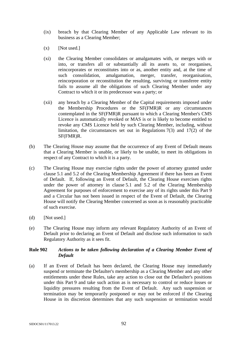- (ix) breach by that Clearing Member of any Applicable Law relevant to its business as a Clearing Member;
- $(x)$  [Not used.]
- (xi) the Clearing Member consolidates or amalgamates with, or merges with or into, or transfers all or substantially all its assets to, or reorganises, reincorporates or reconstitutes into or as, another entity and, at the time of such consolidation, amalgamation, merger, transfer, reorganisation, reincorporation or reconstitution the resulting, surviving or transferee entity fails to assume all the obligations of such Clearing Member under any Contract to which it or its predecessor was a party; or
- (xii) any breach by a Clearing Member of the Capital requirements imposed under the Membership Procedures or the SF(FMR)R or any circumstances contemplated in the SF(FMR)R pursuant to which a Clearing Member's CMS Licence is automatically revoked or MAS is or is likely to become entitled to revoke any CMS Licence held by such Clearing Member, including, without limitation, the circumstances set out in Regulations 7(3) and 17(2) of the SF(FMR)R.
- (b) The Clearing House may assume that the occurrence of any Event of Default means that a Clearing Member is unable, or likely to be unable, to meet its obligations in respect of any Contract to which it is a party.
- (c) The Clearing House may exercise rights under the power of attorney granted under clause 5.1 and 5.2 of the Clearing Membership Agreement if there has been an Event of Default. If, following an Event of Default, the Clearing House exercises rights under the power of attorney in clause 5.1 and 5.2 of the Clearing Membership Agreement for purposes of enforcement to exercise any of its rights under this Part 9 and a Circular has not been issued in respect of the Event of Default, the Clearing House will notify the Clearing Member concerned as soon as is reasonably practicable of such exercise.
- (d) [Not used.]
- (e) The Clearing House may inform any relevant Regulatory Authority of an Event of Default prior to declaring an Event of Default and disclose such information to such Regulatory Authority as it sees fit.

### **Rule 902** *Actions to be taken following declaration of a Clearing Member Event of Default*

(a) If an Event of Default has been declared, the Clearing House may immediately suspend or terminate the Defaulter's membership as a Clearing Member and any other entitlements under these Rules, take any action to close out the Defaulter's positions under this Part 9 and take such action as is necessary to control or reduce losses or liquidity pressures resulting from the Event of Default. Any such suspension or termination may be temporarily postponed or may not be enforced if the Clearing House in its discretion determines that any such suspension or termination would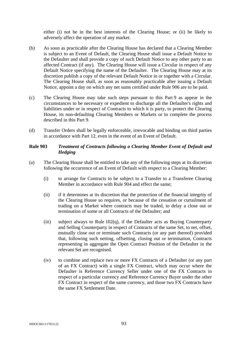either (i) not be in the best interests of the Clearing House; or (ii) be likely to adversely affect the operation of any market.

- (b) As soon as practicable after the Clearing House has declared that a Clearing Member is subject to an Event of Default, the Clearing House shall issue a Default Notice to the Defaulter and shall provide a copy of such Default Notice to any other party to an affected Contract (if any). The Clearing House will issue a Circular in respect of any Default Notice specifying the name of the Defaulter. The Clearing House may at its discretion publish a copy of the relevant Default Notice in or together with a Circular. The Clearing House shall, as soon as reasonably practicable after issuing a Default Notice, appoint a day on which any net sums certified under Rule 906 are to be paid.
- (c) The Clearing House may take such steps pursuant to this Part 9 as appear in the circumstances to be necessary or expedient to discharge all the Defaulter's rights and liabilities under or in respect of Contracts to which it is party, to protect the Clearing House, its non-defaulting Clearing Members or Markets or to complete the process described in this Part 9.
- (d) Transfer Orders shall be legally enforceable, irrevocable and binding on third parties in accordance with Part 12, even in the event of an Event of Default.

### **Rule 903** *Treatment of Contracts following a Clearing Member Event of Default and Hedging*

- (a) The Clearing House shall be entitled to take any of the following steps at its discretion following the occurrence of an Event of Default with respect to a Clearing Member:
	- (i) to arrange for Contracts to be subject to a Transfer to a Transferee Clearing Member in accordance with Rule 904 and effect the same;
	- (ii) if it determines at its discretion that the protection of the financial integrity of the Clearing House so requires, or because of the cessation or curtailment of trading on a Market where contracts may be traded, to delay a close out or termination of some or all Contracts of the Defaulter; and
	- (iii) subject always to Rule 102(q), if the Defaulter acts as Buying Counterparty and Selling Counterparty in respect of Contracts of the same Set, to net, offset, mutually close out or terminate such Contracts (or any part thereof) provided that, following such netting, offsetting, closing out or termination, Contracts representing in aggregate the Open Contract Position of the Defaulter in the relevant Set are recognised.
	- (iv) to combine and replace two or more FX Contracts of a Defaulter (or any part of an FX Contract) with a single FX Contract, which may occur where the Defaulter is Reference Currency Seller under one of the FX Contracts in respect of a particular currency and Reference Currency Buyer under the other FX Contract in respect of the same currency, and those two FX Contracts have the same FX Settlement Date.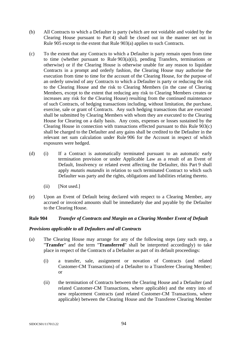- (b) All Contracts to which a Defaulter is party (which are not voidable and voided by the Clearing House pursuant to Part 4) shall be closed out in the manner set out in Rule 905 except to the extent that Rule 903(a) applies to such Contracts.
- (c) To the extent that any Contracts to which a Defaulter is party remain open from time to time (whether pursuant to Rule 903(a)(ii), pending Transfers, terminations or otherwise) or if the Clearing House is otherwise unable for any reason to liquidate Contracts in a prompt and orderly fashion, the Clearing House may authorise the execution from time to time for the account of the Clearing House, for the purpose of an orderly unwind of any Contracts to which a Defaulter is party or reducing the risk to the Clearing House and the risk to Clearing Members (in the case of Clearing Members, except to the extent that reducing any risk to Clearing Members creates or increases any risk for the Clearing House) resulting from the continued maintenance of such Contracts, of hedging transactions including, without limitation, the purchase, exercise, sale or grant of Contracts. Any such hedging transactions that are executed shall be submitted by Clearing Members with whom they are executed to the Clearing House for Clearing on a daily basis. Any costs, expenses or losses sustained by the Clearing House in connection with transactions effected pursuant to this Rule 903(c) shall be charged to the Defaulter and any gains shall be credited to the Defaulter in the relevant net sum calculation under Rule 906 for the Account in respect of which exposures were hedged.
- (d) (i) If a Contract is automatically terminated pursuant to an automatic early termination provision or under Applicable Law as a result of an Event of Default, Insolvency or related event affecting the Defaulter, this Part 9 shall apply *mutatis mutandis* in relation to such terminated Contract to which such Defaulter was party and the rights, obligations and liabilities relating thereto.
	- (ii) [Not used.]
- (e) Upon an Event of Default being declared with respect to a Clearing Member, any accrued or invoiced amounts shall be immediately due and payable by the Defaulter to the Clearing House.

### **Rule 904** *Transfer of Contracts and Margin on a Clearing Member Event of Default*

### *Provisions applicable to all Defaulters and all Contracts*

- (a) The Clearing House may arrange for any of the following steps (any such step, a "**Transfer**" and the term "**Transferred**" shall be interpreted accordingly) to take place in respect of the Contracts of a Defaulter as part of its default proceedings:
	- (i) a transfer, sale, assignment or novation of Contracts (and related Customer-CM Transactions) of a Defaulter to a Transferee Clearing Member; or
	- (ii) the termination of Contracts between the Clearing House and a Defaulter (and related Customer-CM Transactions, where applicable) and the entry into of new replacement Contracts (and related Customer-CM Transactions, where applicable) between the Clearing House and the Transferee Clearing Member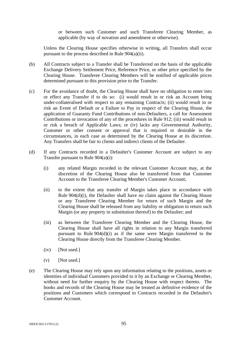or between such Customer and such Transferee Clearing Member, as applicable (by way of novation and amendment or otherwise).

Unless the Clearing House specifies otherwise in writing, all Transfers shall occur pursuant to the process described in Rule 904(a)(ii).

- (b) All Contracts subject to a Transfer shall be Transferred on the basis of the applicable Exchange Delivery Settlement Price, Reference Price, or other price specified by the Clearing House. Transferee Clearing Members will be notified of applicable prices determined pursuant to this provision prior to the Transfer.
- (c) For the avoidance of doubt, the Clearing House shall have no obligation to enter into or effect any Transfer if to do so: (i) would result in or risk an Account being under-collateralised with respect to any remaining Contracts; (ii) would result in or risk an Event of Default or a Failure to Pay in respect of the Clearing House, the application of Guaranty Fund Contributions of non-Defaulters, a call for Assessment Contributions or invocation of any of the procedures in Rule 912; (iii) would result in or risk a breach of Applicable Laws; or (iv) lacks any Governmental Authority, Customer or other consent or approval that is required or desirable in the circumstances, in each case as determined by the Clearing House at its discretion. Any Transfers shall be fair to clients and indirect clients of the Defaulter.
- (d) If any Contracts recorded in a Defaulter's Customer Account are subject to any Transfer pursuant to Rule 904(a)(i):
	- (i) any related Margin recorded in the relevant Customer Account may, at the discretion of the Clearing House also be transferred from that Customer Account to the Transferee Clearing Member's Customer Account;
	- (ii) to the extent that any transfer of Margin takes place in accordance with Rule 904(d)(i), the Defaulter shall have no claim against the Clearing House or any Transferee Clearing Member for return of such Margin and the Clearing House shall be released from any liability or obligation to return such Margin (or any property in substitution thereof) to the Defaulter; and
	- (iii) as between the Transferee Clearing Member and the Clearing House, the Clearing House shall have all rights in relation to any Margin transferred pursuant to Rule  $904(d)(i)$  as if the same were Margin transferred to the Clearing House directly from the Transferee Clearing Member.
	- (iv) [Not used.]
	- $(v)$  [Not used.]
- (e) The Clearing House may rely upon any information relating to the positions, assets or identities of individual Customers provided to it by an Exchange or Clearing Member, without need for further enquiry by the Clearing House with respect thereto. The books and records of the Clearing House may be treated as definitive evidence of the positions and Customers which correspond to Contracts recorded in the Defaulter's Customer Account.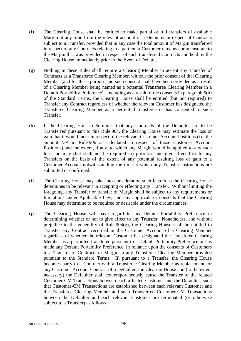- (f) The Clearing House shall be entitled to make partial or full transfers of available Margin at any time from the relevant account of a Defaulter in respect of Contracts subject to a Transfer, provided that in any case the total amount of Margin transferred in respect of any Contracts relating to a particular Customer remains commensurate to the Margin that was provided in respect of such transferred Contracts and held by the Clearing House immediately prior to the Event of Default.
- (g) Nothing in these Rules shall require a Clearing Member to accept any Transfer of Contracts as a Transferee Clearing Member, without the prior consent of that Clearing Member (and for these purposes no such consent shall have been provided as a result of a Clearing Member being named as a potential Transferee Clearing Member in a Default Portability Preference). Including as a result of the consents in paragraph 6(b) of the Standard Terms, the Clearing House shall be entitled (but not required) to Transfer any Contract regardless of whether the relevant Customer has designated the Transferee Clearing Member as a permitted transferee or has consented to such Transfer.
- (h) If the Clearing House determines that any Contracts of the Defaulter are to be Transferred pursuant to this Rule 904, the Clearing House may estimate the loss or gain that it would incur in respect of the relevant Customer Account Positions (i.e. the amount *L-A* in Rule 906 as calculated in respect of those Customer Account Positions) and the extent, if any, to which any Margin would be applied to any such loss and may (but shall not be required to) prioritise and give effect first to any Transfers on the basis of the extent of any potential resulting loss or gain to a Customer Account notwithstanding the time at which any Transfer instructions are submitted or confirmed.
- (i) The Clearing House may take into consideration such factors as the Clearing House determines to be relevant in accepting or effecting any Transfer. Without limiting the foregoing, any Transfer or transfer of Margin shall be subject to any requirements or limitations under Applicable Law, and any approvals or consents that the Clearing House may determine to be required or desirable under the circumstances.
- (j) The Clearing House will have regard to any Default Portability Preference in determining whether or not to give effect to any Transfer. Nonetheless, and without prejudice to the generality of Rule  $904(g)$ , the Clearing House shall be entitled to Transfer any Contract recorded in the Customer Account of a Clearing Member regardless of whether the relevant Customer has designated the Transferee Clearing Member as a permitted transferee pursuant to a Default Portability Preference or has made any Default Portability Preference, in reliance upon the consents of Customers to a Transfer of Contracts or Margin to any Transferee Clearing Member provided pursuant to the Standard Terms. If, pursuant to a Transfer, the Clearing House becomes party to a Contract with a Transferee Clearing Member as replacement for any Customer Account Contract of a Defaulter, the Clearing House and (to the extent necessary) the Defaulter shall contemporaneously cause the Transfer of the related Customer-CM Transactions between each affected Customer and the Defaulter, such that Customer-CM Transactions are established between each relevant Customer and the Transferee Clearing Member and such Transferred Customer-CM Transactions between the Defaulter and each relevant Customer are terminated (or otherwise subject to a Transfer) as follows: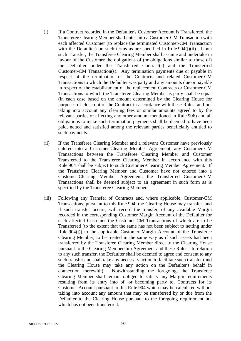- (i) If a Contract recorded in the Defaulter's Customer Account is Transferred, the Transferee Clearing Member shall enter into a Customer-CM Transaction with each affected Customer (to replace the terminated Customer-CM Transaction with the Defaulter) on such terms as are specified in Rule  $904(i)(ii)$ . Upon such Transfer, the Transferee Clearing Member shall assume and undertake in favour of the Customer the obligations of (or obligations similar to those of) the Defaulter under the Transferred Contract(s) and the Transferred Customer-CM Transaction(s). Any termination payments due or payable in respect of the termination of the Contracts and related Customer-CM Transactions to which the Defaulter was party and any amounts due or payable in respect of the establishment of the replacement Contracts or Customer-CM Transactions to which the Transferee Clearing Member is party shall be equal (in each case based on the amount determined by the Clearing House for purposes of close out of the Contract in accordance with these Rules, and not taking into account any clearing fees or similar amounts agreed to by the relevant parties or affecting any other amount mentioned in Rule 906) and all obligations to make such termination payments shall be deemed to have been paid, netted and satisfied among the relevant parties beneficially entitled to such payments.
- (ii) If the Transferee Clearing Member and a relevant Customer have previously entered into a Customer-Clearing Member Agreement, any Customer-CM Transactions between the Transferee Clearing Member and Customer Transferred to the Transferee Clearing Member in accordance with this Rule 904 shall be subject to such Customer-Clearing Member Agreement. If the Transferee Clearing Member and Customer have not entered into a Customer-Clearing Member Agreement, the Transferred Customer-CM Transactions shall be deemed subject to an agreement in such form as is specified by the Transferee Clearing Member.
- (iii) Following any Transfer of Contracts and, where applicable, Customer-CM Transactions, pursuant to this Rule 904, the Clearing House may transfer, and if such transfer occurs, will record the transfer, of any available Margin recorded in the corresponding Customer Margin Account of the Defaulter for each affected Customer the Customer-CM Transactions of which are to be Transferred (to the extent that the same has not been subject to netting under Rule 904(j)) to the applicable Customer Margin Account of the Transferee Clearing Member, to be treated in the same way as if such assets had been transferred by the Transferee Clearing Member direct to the Clearing House pursuant to the Clearing Membership Agreement and these Rules. In relation to any such transfer, the Defaulter shall be deemed to agree and consent to any such transfer and shall take any necessary action to facilitate such transfer (and the Clearing House may take any action on the Defaulter's behalf in connection therewith). Notwithstanding the foregoing, the Transferee Clearing Member shall remain obliged to satisfy any Margin requirements resulting from its entry into of, or becoming party to, Contracts for its Customer Account pursuant to this Rule 904 which may be calculated without taking into account any amount that may be transferred by or due from the Defaulter to the Clearing House pursuant to the foregoing requirement but which has not been transferred.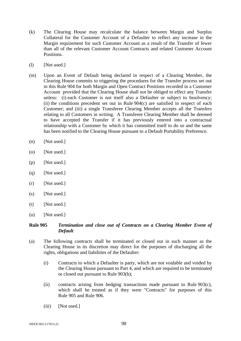- (k) The Clearing House may recalculate the balance between Margin and Surplus Collateral for the Customer Account of a Defaulter to reflect any increase in the Margin requirement for such Customer Account as a result of the Transfer of fewer than all of the relevant Customer Account Contracts and related Customer Account Positions.
- (l) [Not used.]
- (m) Upon an Event of Default being declared in respect of a Clearing Member, the Clearing House commits to triggering the procedures for the Transfer process set out in this Rule 904 for both Margin and Open Contract Positions recorded in a Customer Account provided that the Clearing House shall not be obliged to effect any Transfer unless: (i) each Customer is not itself also a Defaulter or subject to Insolvency; (ii) the conditions precedent set out in Rule 904(c) are satisfied in respect of each Customer; and (iii) a single Transferee Clearing Member accepts all the Transfers relating to all Customers in writing. A Transferee Clearing Member shall be deemed to have accepted the Transfer if it has previously entered into a contractual relationship with a Customer by which it has committed itself to do so and the same has been notified to the Clearing House pursuant to a Default Portability Preference.
- (n) [Not used.]
- (o) [Not used.]
- (p) [Not used.]
- (q) [Not used.]
- (r) [Not used.]
- $(s)$  [Not used.]
- $(t)$  [Not used.]
- (u) [Not used.]

### **Rule 905** *Termination and close out of Contracts on a Clearing Member Event of Default*

- (a) The following contracts shall be terminated or closed out in such manner as the Clearing House in its discretion may direct for the purposes of discharging all the rights, obligations and liabilities of the Defaulter:
	- (i) Contracts to which a Defaulter is party, which are not voidable and voided by the Clearing House pursuant to Part 4, and which are required to be terminated or closed out pursuant to Rule 903(b);
	- (ii) contracts arising from hedging transactions made pursuant to Rule 903(c), which shall be treated as if they were "Contracts" for purposes of this Rule 905 and Rule 906.
	- (iii) [Not used.]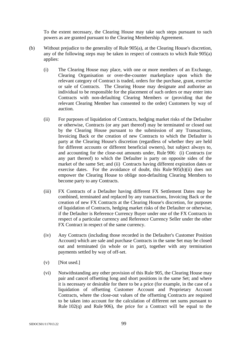To the extent necessary, the Clearing House may take such steps pursuant to such powers as are granted pursuant to the Clearing Membership Agreement.

- (b) Without prejudice to the generality of Rule 905(a), at the Clearing House's discretion, any of the following steps may be taken in respect of contracts to which Rule 905(a) applies:
	- (i) The Clearing House may place, with one or more members of an Exchange, Clearing Organisation or over-the-counter marketplace upon which the relevant category of Contract is traded, orders for the purchase, grant, exercise or sale of Contracts. The Clearing House may designate and authorise an individual to be responsible for the placement of such orders or may enter into Contracts with non-defaulting Clearing Members or (providing that the relevant Clearing Member has consented to the order) Customers by way of auction.
	- (ii) For purposes of liquidation of Contracts, hedging market risks of the Defaulter or otherwise, Contracts (or any part thereof) may be terminated or closed out by the Clearing House pursuant to the submission of any Transactions, Invoicing Back or the creation of new Contracts to which the Defaulter is party at the Clearing House's discretion (regardless of whether they are held for different accounts or different beneficial owners), but subject always to, and accounting for the close-out amounts under, Rule 906: (i) Contracts (or any part thereof) to which the Defaulter is party on opposite sides of the market of the same Set; and (ii) Contracts having different expiration dates or exercise dates. For the avoidance of doubt, this Rule 905(b)(ii) does not empower the Clearing House to oblige non-defaulting Clearing Members to become party to any Contracts.
	- (iii) FX Contracts of a Defaulter having different FX Settlement Dates may be combined, terminated and replaced by any transactions, Invoicing Back or the creation of new FX Contracts at the Clearing House's discretion, for purposes of liquidation of Contracts, hedging market risks of the Defaulter or otherwise, if the Defaulter is Reference Currency Buyer under one of the FX Contracts in respect of a particular currency and Reference Currency Seller under the other FX Contract in respect of the same currency.
	- (iv) Any Contracts (including those recorded in the Defaulter's Customer Position Account) which are sale and purchase Contracts in the same Set may be closed out and terminated (in whole or in part), together with any termination payments settled by way of off-set.
	- $(v)$  [Not used.]
	- (vi) Notwithstanding any other provision of this Rule 905, the Clearing House may pair and cancel offsetting long and short positions in the same Set; and where it is necessary or desirable for there to be a price (for example, in the case of a liquidation of offsetting Customer Account and Proprietary Account Contracts, where the close-out values of the offsetting Contracts are required to be taken into account for the calculation of different net sums pursuant to Rule  $102(q)$  and Rule 906), the price for a Contract will be equal to the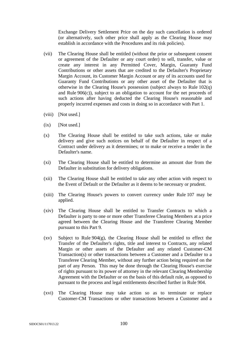Exchange Delivery Settlement Price on the day such cancellation is ordered (or alternatively, such other price shall apply as the Clearing House may establish in accordance with the Procedures and its risk policies).

- (vii) The Clearing House shall be entitled (without the prior or subsequent consent or agreement of the Defaulter or any court order) to sell, transfer, value or create any interest in any Permitted Cover, Margin, Guaranty Fund Contributions or other assets that are credited to the Defaulter's Proprietary Margin Account, its Customer Margin Account or any of its accounts used for Guaranty Fund Contributions or any other asset of the Defaulter that is otherwise in the Clearing House's possession (subject always to Rule 102(q) and Rule 906(c)), subject to an obligation to account for the net proceeds of such actions after having deducted the Clearing House's reasonable and properly incurred expenses and costs in doing so in accordance with Part 1.
- (viii) [Not used.]
- $(ix)$  [Not used.]
- (x) The Clearing House shall be entitled to take such actions, take or make delivery and give such notices on behalf of the Defaulter in respect of a Contract under delivery as it determines; or to make or receive a tender in the Defaulter's name.
- (xi) The Clearing House shall be entitled to determine an amount due from the Defaulter in substitution for delivery obligations.
- (xii) The Clearing House shall be entitled to take any other action with respect to the Event of Default or the Defaulter as it deems to be necessary or prudent.
- (xiii) The Clearing House's powers to convert currency under Rule 107 may be applied.
- (xiv) The Clearing House shall be entitled to Transfer Contracts to which a Defaulter is party to one or more other Transferee Clearing Members at a price agreed between the Clearing House and the Transferee Clearing Member pursuant to this Part 9.
- (xv) Subject to Rule 904(g), the Clearing House shall be entitled to effect the Transfer of the Defaulter's rights, title and interest to Contracts, any related Margin or other assets of the Defaulter and any related Customer-CM Transaction(s) or other transactions between a Customer and a Defaulter to a Transferee Clearing Member, without any further action being required on the part of any Person. This may be done through the Clearing House's exercise of rights pursuant to its power of attorney in the relevant Clearing Membership Agreement with the Defaulter or on the basis of this default rule, as opposed to pursuant to the process and legal entitlements described further in Rule 904.
- (xvi) The Clearing House may take action so as to terminate or replace Customer-CM Transactions or other transactions between a Customer and a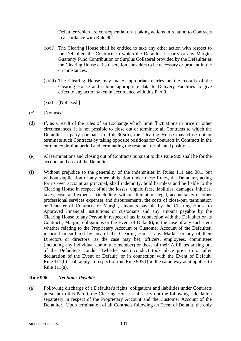Defaulter which are consequential on it taking actions in relation to Contracts in accordance with Rule 904.

- (xvii) The Clearing House shall be entitled to take any other action with respect to the Defaulter, the Contracts to which the Defaulter is party or any Margin, Guaranty Fund Contribution or Surplus Collateral provided by the Defaulter as the Clearing House at its discretion considers to be necessary or prudent in the circumstances.
- (xviii) The Clearing House may make appropriate entries on the records of the Clearing House and submit appropriate data to Delivery Facilities to give effect to any action taken in accordance with this Part 9.
- (xix) [Not used.]
- (c) [Not used.]
- (d) If, as a result of the rules of an Exchange which limit fluctuations in price or other circumstances, it is not possible to close out or terminate all Contracts to which the Defaulter is party pursuant to Rule 905(b), the Clearing House may close out or terminate such Contracts by taking opposite positions for Contracts in Contracts in the current expiration period and terminating the resultant terminated positions.
- (e) All terminations and closing out of Contracts pursuant to this Rule 905 shall be for the account and cost of the Defaulter.
- (f) Without prejudice to the generality of the indemnities in Rules 111 and 301, but without duplication of any other obligation under these Rules, the Defaulter, acting for its own account as principal, shall indemnify, hold harmless and be liable to the Clearing House in respect of all the losses, unpaid fees, liabilities, damages, injuries, taxes, costs and expenses (including, without limitation, legal, accountancy or other professional services expenses and disbursements, the costs of close-out, termination or Transfer of Contracts or Margin, amounts payable by the Clearing House to Approved Financial Institutions or custodians and any amount payable by the Clearing House to any Person in respect of tax in connection with the Defaulter or its Contracts, Margin, obligations or the Event of Default), in the case of any such item whether relating to the Proprietary Account or Customer Account of the Defaulter, incurred or suffered by any of the Clearing House, any Market or any of their Directors or directors (as the case may be), officers, employees, committees (including any individual committee member) or those of their Affiliates arising out of the Defaulter's conduct (whether such conduct took place prior to or after declaration of the Event of Default) or in connection with the Event of Default. Rule 111(b) shall apply in respect of this Rule 905(f) in the same way as it applies to Rule 111(a).

### **Rule 906** *Net Sums Payable*

(a) Following discharge of a Defaulter's rights, obligations and liabilities under Contracts pursuant to this Part 9, the Clearing House shall carry out the following calculation separately in respect of the Proprietary Account and the Customer Account of the Defaulter. Upon termination of all Contracts following an Event of Default, the only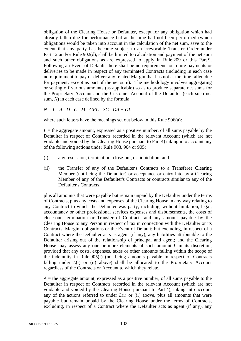obligation of the Clearing House or Defaulter, except for any obligation which had already fallen due for performance but at the time had not been performed (which obligations would be taken into account in the calculation of the net sum, save to the extent that any party has become subject to an irrevocable Transfer Order under Part 12 and/or Rule 902(d), shall be limited to calculation and payment of the net sum and such other obligations as are expressed to apply in Rule 209 or this Part 9. Following an Event of Default, there shall be no requirement for future payments or deliveries to be made in respect of any terminated Contracts (including in each case no requirement to pay or deliver any related Margin that has not at the time fallen due for payment, except as part of the net sum). The methodology involves aggregating or setting off various amounts (as applicable) so as to produce separate net sums for the Proprietary Account and the Customer Account of the Defaulter (each such net sum, *N*) in each case defined by the formula:

*N = L - A - D - C - M - GFC - SC - OA + OL* 

where such letters have the meanings set out below in this Rule 906(a):

 $L =$  the aggregate amount, expressed as a positive number, of all sums payable by the Defaulter in respect of Contracts recorded in the relevant Account (which are not voidable and voided by the Clearing House pursuant to Part 4) taking into account any of the following actions under Rule 903, 904 or 905:

- (i) any rescission, termination, close-out, or liquidation; and
- (ii) the Transfer of any of the Defaulter's Contracts to a Transferee Clearing Member (not being the Defaulter) or acceptance or entry into by a Clearing Member of any of the Defaulter's Contracts or contracts similar to any of the Defaulter's Contracts,

plus all amounts that were payable but remain unpaid by the Defaulter under the terms of Contracts, plus any costs and expenses of the Clearing House in any way relating to any Contract to which the Defaulter was party, including, without limitation, legal, accountancy or other professional services expenses and disbursements, the costs of close-out, termination or Transfer of Contracts and any amount payable by the Clearing House to any Person in respect of tax in connection with the Defaulter or its Contracts, Margin, obligations or the Event of Default; but excluding, in respect of a Contract where the Defaulter acts as agent (if any), any liabilities attributable to the Defaulter arising out of the relationship of principal and agent; and the Clearing House may assess any one or more elements of such amount *L* in its discretion, provided that any costs, expenses, taxes or other amounts falling within the scope of the indemnity in Rule 905(f) (not being amounts payable in respect of Contracts falling under *L*(i) or (ii) above) shall be allocated to the Proprietary Account regardless of the Contracts or Account to which they relate.

 $A =$  the aggregate amount, expressed as a positive number, of all sums payable to the Defaulter in respect of Contracts recorded in the relevant Account (which are not voidable and voided by the Clearing House pursuant to Part 4), taking into account any of the actions referred to under *L*(i) or (ii) above, plus all amounts that were payable but remain unpaid by the Clearing House under the terms of Contracts, excluding, in respect of a Contract where the Defaulter acts as agent (if any), any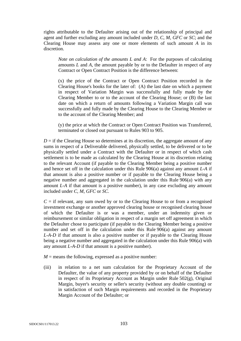rights attributable to the Defaulter arising out of the relationship of principal and agent and further excluding any amount included under *D*, *C*, *M*, *GFC* or *SC*; and the Clearing House may assess any one or more elements of such amount *A* in its discretion.

*Note on calculation of the amounts L and A*: For the purposes of calculating amounts *L* and *A*, the amount payable by or to the Defaulter in respect of any Contract or Open Contract Position is the difference between:

(x) the price of the Contract or Open Contract Position recorded in the Clearing House's books for the later of: (A) the last date on which a payment in respect of Variation Margin was successfully and fully made by the Clearing Member to or to the account of the Clearing House; or (B) the last date on which a return of amounts following a Variation Margin call was successfully and fully made by the Clearing House to the Clearing Member or to the account of the Clearing Member; and

(y) the price at which the Contract or Open Contract Position was Transferred, terminated or closed out pursuant to Rules 903 to 905.

 $D =$  if the Clearing House so determines at its discretion, the aggregate amount of any sums in respect of a Deliverable delivered, physically settled, to be delivered or to be physically settled under a Contract with the Defaulter or in respect of which cash settlement is to be made as calculated by the Clearing House at its discretion relating to the relevant Account (if payable to the Clearing Member being a positive number and hence set off in the calculation under this Rule 906(a) against any amount *L-A* if that amount is also a positive number or if payable to the Clearing House being a negative number and aggregated in the calculation under this Rule 906(a) with any amount *L-A* if that amount is a positive number), in any case excluding any amount included under *C*, *M*, *GFC* or *SC*.

 $C =$  if relevant, any sum owed by or to the Clearing House to or from a recognised investment exchange or another approved clearing house or recognised clearing house of which the Defaulter is or was a member, under an indemnity given or reimbursement or similar obligation in respect of a margin set off agreement in which the Defaulter chose to participate (if payable to the Clearing Member being a positive number and set off in the calculation under this Rule 906(a) against any amount *L-A-D* if that amount is also a positive number or if payable to the Clearing House being a negative number and aggregated in the calculation under this Rule 906(a) with any amount *L-A-D* if that amount is a positive number).

 $M$  = means the following, expressed as a positive number:

(iii) in relation to a net sum calculation for the Proprietary Account of the Defaulter, the value of any property provided by or on behalf of the Defaulter in respect of its Proprietary Account as Margin under Rule 502(g), Original Margin, buyer's security or seller's security (without any double counting) or in satisfaction of such Margin requirements and recorded in the Proprietary Margin Account of the Defaulter; or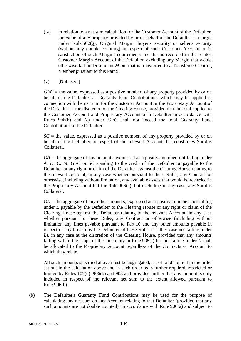- (iv) in relation to a net sum calculation for the Customer Account of the Defaulter, the value of any property provided by or on behalf of the Defaulter as margin under Rule 502(g), Original Margin, buyer's security or seller's security (without any double counting) in respect of such Customer Account or in satisfaction of such Margin requirements and that is recorded in the related Customer Margin Account of the Defaulter, excluding any Margin that would otherwise fall under amount *M* but that is transferred to a Transferee Clearing Member pursuant to this Part 9.
- $(v)$  [Not used.]

*GFC* = the value, expressed as a positive number, of any property provided by or on behalf of the Defaulter as Guaranty Fund Contributions, which may be applied in connection with the net sum for the Customer Account or the Proprietary Account of the Defaulter at the discretion of the Clearing House, provided that the total applied to the Customer Account and Proprietary Account of a Defaulter in accordance with Rules 906(b) and (c) under *GFC* shall not exceed the total Guaranty Fund Contributions of the Defaulter.

 $SC =$  the value, expressed as a positive number, of any property provided by or on behalf of the Defaulter in respect of the relevant Account that constitutes Surplus Collateral.

 $OA =$  the aggregate of any amounts, expressed as a positive number, not falling under *A*, *D*, *C*, *M*, *GFC* or *SC* standing to the credit of the Defaulter or payable to the Defaulter or any right or claim of the Defaulter against the Clearing House relating to the relevant Account, in any case whether pursuant to these Rules, any Contract or otherwise, including without limitation, any available assets that would be recorded in the Proprietary Account but for Rule 906(c), but excluding in any case, any Surplus Collateral.

 $OL$  = the aggregate of any other amounts, expressed as a positive number, not falling under *L* payable by the Defaulter to the Clearing House or any right or claim of the Clearing House against the Defaulter relating to the relevant Account, in any case whether pursuant to these Rules, any Contract or otherwise (including without limitation any fines payable pursuant to Part 10 and any other amounts payable in respect of any breach by the Defaulter of these Rules in either case not falling under *L*), in any case at the discretion of the Clearing House, provided that any amounts falling within the scope of the indemnity in Rule 905(f) but not falling under *L* shall be allocated to the Proprietary Account regardless of the Contracts or Account to which they relate.

All such amounts specified above must be aggregated, set off and applied in the order set out in the calculation above and in such order as is further required, restricted or limited by Rules 102(q), 906(b) and 908 and provided further that any amount is only included in respect of the relevant net sum to the extent allowed pursuant to Rule 906(b).

(b) The Defaulter's Guaranty Fund Contributions may be used for the purpose of calculating any net sum on any Account relating to that Defaulter (provided that any such amounts are not double counted), in accordance with Rule 906(a) and subject to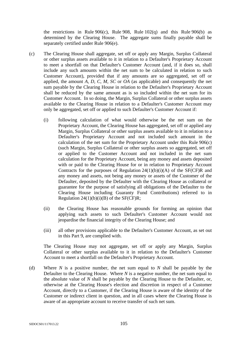the restrictions in Rule 906(c), Rule 908, Rule  $102(q)$  and this Rule 906(b) as determined by the Clearing House. The aggregate sums finally payable shall be separately certified under Rule 906(e).

- (c) The Clearing House shall aggregate, set off or apply any Margin, Surplus Collateral or other surplus assets available to it in relation to a Defaulter's Proprietary Account to meet a shortfall on that Defaulter's Customer Account (and, if it does so, shall include any such amounts within the net sum to be calculated in relation to such Customer Account), provided that if any amounts are so aggregated, set off or applied, the amount *A*, *D*, *C*, *M*, *SC* or *OA* (as applicable) and consequently the net sum payable by the Clearing House in relation to the Defaulter's Proprietary Account shall be reduced by the same amount as is so included within the net sum for its Customer Account. In so doing, the Margin, Surplus Collateral or other surplus assets available to the Clearing House in relation to a Defaulter's Customer Account may only be aggregated, set off or applied to such Defaulter's Customer Account if:
	- (i) following calculation of what would otherwise be the net sum on the Proprietary Account, the Clearing House has aggregated, set off or applied any Margin, Surplus Collateral or other surplus assets available to it in relation to a Defaulter's Proprietary Account and not included such amount in the calculation of the net sum for the Proprietary Account under this Rule 906(c) (such Margin, Surplus Collateral or other surplus assets so aggregated, set off or applied to the Customer Account and not included in the net sum calculation for the Proprietary Account, being any money and assets deposited with or paid to the Clearing House for or in relation to Proprietary Account Contracts for the purposes of Regulation  $24(1)(b)(i)(A)$  of the SF(CF)R and any money and assets, not being any money or assets of the Customer of the Defaulter, deposited by the Defaulter with the Clearing House as collateral or guarantee for the purpose of satisfying all obligations of the Defaulter to the Clearing House including Guaranty Fund Contributions) referred to in Regulation  $24(1)(b)(i)(B)$  of the SF(CF)R;
	- (ii) the Clearing House has reasonable grounds for forming an opinion that applying such assets to such Defaulter's Customer Account would not jeopardise the financial integrity of the Clearing House; and
	- (iii) all other provisions applicable to the Defaulter's Customer Account, as set out in this Part 9, are complied with.

The Clearing House may not aggregate, set off or apply any Margin, Surplus Collateral or other surplus available to it in relation to the Defaulter's Customer Account to meet a shortfall on the Defaulter's Proprietary Account.

(d) Where *N* is a positive number, the net sum equal to *N* shall be payable by the Defaulter to the Clearing House. Where *N* is a negative number, the net sum equal to the absolute value of *N* shall be payable by the Clearing House to the Defaulter, or, otherwise at the Clearing House's election and discretion in respect of a Customer Account, directly to a Customer, if the Clearing House is aware of the identity of the Customer or indirect client in question, and in all cases where the Clearing House is aware of an appropriate account to receive transfer of such net sum.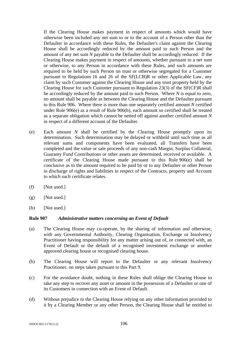If the Clearing House makes payment in respect of amounts which would have otherwise been included any net sum to or to the account of a Person other than the Defaulter in accordance with these Rules, the Defaulter's claim against the Clearing House shall be accordingly reduced by the amount paid to such Person and the amount of any net sum *N* payable to the Defaulter shall be accordingly reduced. If the Clearing House makes payment in respect of amounts, whether pursuant to a net sum or otherwise, to any Person in accordance with these Rules, and such amounts are required to be held by such Person on trust or otherwise segregated for a Customer pursuant to Regulations 16 and 26 of the SF(LCB)R or other Applicable Law, any claim by such Customer against the Clearing House and any trust property held by the Clearing House for such Customer pursuant to Regulation 23(3) of the SF(CF)R shall be accordingly reduced by the amount paid to such Person. Where *N* is equal to zero, no amount shall be payable as between the Clearing House and the Defaulter pursuant to this Rule 906. Where there is more than one separately certified amount *N* certified under Rule 906(e) as a result of Rule 906(b), each amount so certified shall be treated as a separate obligation which cannot be netted off against another certified amount *N*  in respect of a different account of the Defaulter.

- (e) Each amount *N* shall be certified by the Clearing House promptly upon its determination. Such determination may be delayed or withheld until such time as all relevant sums and components have been evaluated, all Transfers have been completed and the value or sale proceeds of any non-cash Margin, Surplus Collateral, Guaranty Fund Contributions or other assets are determined, received or available. A certificate of the Clearing House made pursuant to this Rule 906(e) shall be conclusive as to the amount required to be paid by or to any Defaulter or other Person in discharge of rights and liabilities in respect of the Contracts, property and Account to which such certificate relates.
- $(f)$  [Not used.]
- $(g)$  [Not used.]
- (h) [Not used.]

#### **Rule 907** *Administrative matters concerning an Event of Default*

- (a) The Clearing House may co-operate, by the sharing of information and otherwise, with any Governmental Authority, Clearing Organisation, Exchange or Insolvency Practitioner having responsibility for any matter arising out of, or connected with, an Event of Default or the default of a recognised investment exchange or another approved clearing house or recognised clearing house.
- (b) The Clearing House will report to the Defaulter or any relevant Insolvency Practitioner, on steps taken pursuant to this Part 9.
- (c) For the avoidance doubt, nothing in these Rules shall oblige the Clearing House to take any step to recover any asset or amount in the possession of a Defaulter or one of its Customers in connection with an Event of Default.
- (d) Without prejudice to the Clearing House relying on any other information provided to it by a Clearing Member or any other Person, the Clearing House shall be entitled to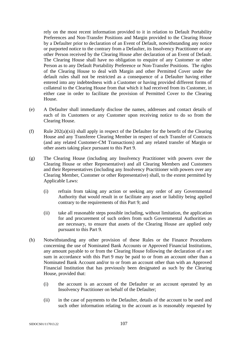rely on the most recent information provided to it in relation to Default Portability Preferences and Non-Transfer Positions and Margin provided to the Clearing House by a Defaulter prior to declaration of an Event of Default, notwithstanding any notice or purported notice to the contrary from a Defaulter, its Insolvency Practitioner or any other Person received by the Clearing House after declaration of an Event of Default. The Clearing House shall have no obligation to enquire of any Customer or other Person as to any Default Portability Preference or Non-Transfer Positions. The rights of the Clearing House to deal with Margin and other Permitted Cover under the default rules shall not be restricted as a consequence of a Defaulter having either entered into any indebtedness with a Customer or having provided different forms of collateral to the Clearing House from that which it had received from its Customer, in either case in order to facilitate the provision of Permitted Cover to the Clearing House.

- (e) A Defaulter shall immediately disclose the names, addresses and contact details of each of its Customers or any Customer upon receiving notice to do so from the Clearing House.
- (f) Rule  $202(a)(xii)$  shall apply in respect of the Defaulter for the benefit of the Clearing House and any Transferee Clearing Member in respect of each Transfer of Contracts (and any related Customer-CM Transactions) and any related transfer of Margin or other assets taking place pursuant to this Part 9.
- (g) The Clearing House (including any Insolvency Practitioner with powers over the Clearing House or other Representative) and all Clearing Members and Customers and their Representatives (including any Insolvency Practitioner with powers over any Clearing Member, Customer or other Representative) shall, to the extent permitted by Applicable Laws:
	- (i) refrain from taking any action or seeking any order of any Governmental Authority that would result in or facilitate any asset or liability being applied contrary to the requirements of this Part 9; and
	- (ii) take all reasonable steps possible including, without limitation, the application for and procurement of such orders from such Governmental Authorities as are necessary, to ensure that assets of the Clearing House are applied only pursuant to this Part 9.
- (h) Notwithstanding any other provision of these Rules or the Finance Procedures concerning the use of Nominated Bank Accounts or Approved Financial Institutions, any amount payable to or from the Clearing House following the declaration of a net sum in accordance with this Part 9 may be paid to or from an account other than a Nominated Bank Account and/or to or from an account other than with an Approved Financial Institution that has previously been designated as such by the Clearing House, provided that:
	- (i) the account is an account of the Defaulter or an account operated by an Insolvency Practitioner on behalf of the Defaulter;
	- (ii) in the case of payments to the Defaulter, details of the account to be used and such other information relating to the account as is reasonably requested by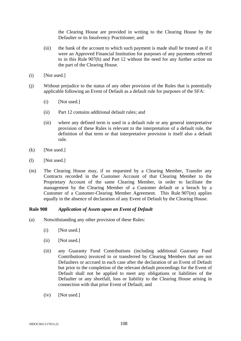the Clearing House are provided in writing to the Clearing House by the Defaulter or its Insolvency Practitioner; and

- (iii) the bank of the account to which such payment is made shall be treated as if it were an Approved Financial Institution for purposes of any payments referred to in this Rule 907(h) and Part 12 without the need for any further action on the part of the Clearing House.
- $(i)$  [Not used.]
- (j) Without prejudice to the status of any other provision of the Rules that is potentially applicable following an Event of Default as a default rule for purposes of the SFA:
	- (i) [Not used.]
	- (ii) Part 12 contains additional default rules; and
	- (iii) where any defined term is used in a default rule or any general interpretative provision of these Rules is relevant to the interpretation of a default rule, the definition of that term or that interpretative provision is itself also a default rule.
- $(k)$  [Not used.]
- (l) [Not used.]
- (m) The Clearing House may, if so requested by a Clearing Member, Transfer any Contracts recorded in the Customer Account of that Clearing Member to the Proprietary Account of the same Clearing Member, in order to facilitate the management by the Clearing Member of a Customer default or a breach by a Customer of a Customer-Clearing Member Agreement. This Rule 907(m) applies equally in the absence of declaration of any Event of Default by the Clearing House.

#### **Rule 908** *Application of Assets upon an Event of Default*

- (a) Notwithstanding any other provision of these Rules:
	- $(i)$  [Not used.]
	- (ii) [Not used.]
	- (iii) any Guaranty Fund Contributions (including additional Guaranty Fund Contributions) invoiced to or transferred by Clearing Members that are not Defaulters or accrued in each case after the declaration of an Event of Default but prior to the completion of the relevant default proceedings for the Event of Default shall not be applied to meet any obligations or liabilities of the Defaulter or any shortfall, loss or liability to the Clearing House arising in connection with that prior Event of Default; and
	- (iv) [Not used.]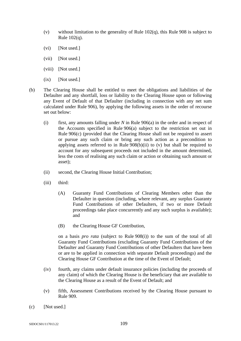- (v) without limitation to the generality of Rule 102(q), this Rule 908 is subject to Rule 102(q).
- (vi) [Not used.]
- (vii) [Not used.]
- (viii) [Not used.]
- (ix) [Not used.]
- (b) The Clearing House shall be entitled to meet the obligations and liabilities of the Defaulter and any shortfall, loss or liability to the Clearing House upon or following any Event of Default of that Defaulter (including in connection with any net sum calculated under Rule 906), by applying the following assets in the order of recourse set out below:
	- (i) first, any amounts falling under *N* in Rule 906(a) in the order and in respect of the Accounts specified in Rule 906(a) subject to the restriction set out in Rule 906(c) (provided that the Clearing House shall not be required to assert or pursue any such claim or bring any such action as a precondition to applying assets referred to in Rule  $908(b)(ii)$  to (v) but shall be required to account for any subsequent proceeds not included in the amount determined, less the costs of realising any such claim or action or obtaining such amount or asset);
	- (ii) second, the Clearing House Initial Contribution;
	- (iii) third:
		- (A) Guaranty Fund Contributions of Clearing Members other than the Defaulter in question (including, where relevant, any surplus Guaranty Fund Contributions of other Defaulters, if two or more Default proceedings take place concurrently and any such surplus is available); and
		- (B) the Clearing House GF Contribution,

on a basis *pro rata* (subject to Rule 908(i)) to the sum of the total of all Guaranty Fund Contributions (excluding Guaranty Fund Contributions of the Defaulter and Guaranty Fund Contributions of other Defaulters that have been or are to be applied in connection with separate Default proceedings) and the Clearing House GF Contribution at the time of the Event of Default;

- (iv) fourth, any claims under default insurance policies (including the proceeds of any claim) of which the Clearing House is the beneficiary that are available to the Clearing House as a result of the Event of Default; and
- (v) fifth, Assessment Contributions received by the Clearing House pursuant to Rule 909.
- (c) [Not used.]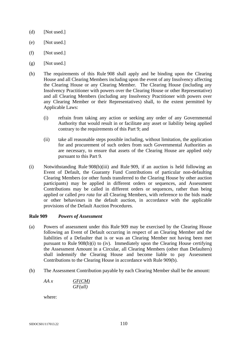- (d) [Not used.]
- (e) [Not used.]
- $(f)$  [Not used.]
- $(g)$  [Not used.]
- (h) The requirements of this Rule 908 shall apply and be binding upon the Clearing House and all Clearing Members including upon the event of any Insolvency affecting the Clearing House or any Clearing Member. The Clearing House (including any Insolvency Practitioner with powers over the Clearing House or other Representative) and all Clearing Members (including any Insolvency Practitioner with powers over any Clearing Member or their Representatives) shall, to the extent permitted by Applicable Laws:
	- (i) refrain from taking any action or seeking any order of any Governmental Authority that would result in or facilitate any asset or liability being applied contrary to the requirements of this Part 9; and
	- (ii) take all reasonable steps possible including, without limitation, the application for and procurement of such orders from such Governmental Authorities as are necessary, to ensure that assets of the Clearing House are applied only pursuant to this Part 9.
- (i) Notwithstanding Rule 908(b)(iii) and Rule 909, if an auction is held following an Event of Default, the Guaranty Fund Contributions of particular non-defaulting Clearing Members (or other funds transferred to the Clearing House by other auction participants) may be applied in different orders or sequences, and Assessment Contributions may be called in different orders or sequences, rather than being applied or called *pro rata* for all Clearing Members, with reference to the bids made or other behaviours in the default auction, in accordance with the applicable provisions of the Default Auction Procedures.

## **Rule 909** *Powers of Assessment*

- (a) Powers of assessment under this Rule 909 may be exercised by the Clearing House following an Event of Default occurring in respect of an Clearing Member and the liabilities of a Defaulter that is or was an Clearing Member not having been met pursuant to Rule 908(b)(i) to (iv). Immediately upon the Clearing House certifying the Assessment Amount in a Circular, all Clearing Members (other than Defaulters) shall indemnify the Clearing House and become liable to pay Assessment Contributions to the Clearing House in accordance with Rule 909(b).
- (b) The Assessment Contribution payable by each Clearing Member shall be the amount:

$$
AA x \qquad \qquad \frac{GF(CM)}{GF(al)}
$$

where: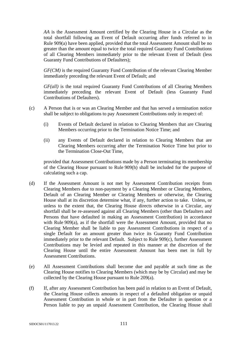*AA* is the Assessment Amount certified by the Clearing House in a Circular as the total shortfall following an Event of Default occurring after funds referred to in Rule 909(a) have been applied, provided that the total Assessment Amount shall be no greater than the amount equal to twice the total required Guaranty Fund Contributions of all Clearing Members immediately prior to the relevant Event of Default (less Guaranty Fund Contributions of Defaulters);

*GF(CM)* is the required Guaranty Fund Contribution of the relevant Clearing Member immediately preceding the relevant Event of Default; and

*GF(all)* is the total required Guaranty Fund Contributions of all Clearing Members immediately preceding the relevant Event of Default (less Guaranty Fund Contributions of Defaulters).

- (c) A Person that is or was an Clearing Member and that has served a termination notice shall be subject to obligations to pay Assessment Contributions only in respect of:
	- (i) Events of Default declared in relation to Clearing Members that are Clearing Members occurring prior to the Termination Notice Time; and
	- (ii) any Events of Default declared in relation to Clearing Members that are Clearing Members occurring after the Termination Notice Time but prior to the Termination Close-Out Time,

provided that Assessment Contributions made by a Person terminating its membership of the Clearing House pursuant to Rule 909(h) shall be included for the purpose of calculating such a cap.

- (d) If the Assessment Amount is not met by Assessment Contribution receipts from Clearing Members due to non-payment by a Clearing Member or Clearing Members, Default of an Clearing Member or Clearing Members or otherwise, the Clearing House shall at its discretion determine what, if any, further action to take. Unless, or unless to the extent that, the Clearing House directs otherwise in a Circular, any shortfall shall be re-assessed against all Clearing Members (other than Defaulters and Persons that have defaulted in making an Assessment Contribution) in accordance with Rule 909(a), as if the shortfall were the Assessment Amount, provided that no Clearing Member shall be liable to pay Assessment Contributions in respect of a single Default for an amount greater than twice its Guaranty Fund Contribution immediately prior to the relevant Default. Subject to Rule 909(c), further Assessment Contributions may be levied and repeated in this manner at the discretion of the Clearing House until the entire Assessment Amount has been met in full by Assessment Contributions.
- (e) All Assessment Contributions shall become due and payable at such time as the Clearing House notifies to Clearing Members (which may be by Circular) and may be collected by the Clearing House pursuant to Rule 209(a).
- (f) If, after any Assessment Contribution has been paid in relation to an Event of Default, the Clearing House collects amounts in respect of a defaulted obligation or unpaid Assessment Contribution in whole or in part from the Defaulter in question or a Person liable to pay an unpaid Assessment Contribution, the Clearing House shall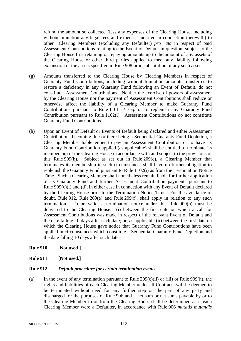refund the amount so collected (less any expenses of the Clearing House, including without limitation any legal fees and expenses incurred in connection therewith) to other Clearing Members (excluding any Defaulter) *pro rata* in respect of paid Assessment Contributions relating to the Event of Default in question, subject to the Clearing House first retaining or repaying amounts up to the amount of any assets of the Clearing House or other third parties applied to meet any liability following exhaustion of the assets specified in Rule 908 or in substitution of any such assets.

- (g) Amounts transferred to the Clearing House by Clearing Members in respect of Guaranty Fund Contributions, including without limitation amounts transferred to restore a deficiency in any Guaranty Fund following an Event of Default, do not constitute Assessment Contributions. Neither the exercise of powers of assessment by the Clearing House nor the payment of Assessment Contributions shall reduce or otherwise affect the liability of a Clearing Member to make Guaranty Fund Contributions pursuant to Rule 1101 *et seq*. or to replenish any Guaranty Fund Contribution pursuant to Rule 1102(i). Assessment Contributions do not constitute Guaranty Fund Contributions.
- (h) Upon an Event of Default or Events of Default being declared and either Assessment Contributions becoming due or there being a Sequential Guaranty Fund Depletion, a Clearing Member liable either to pay an Assessment Contribution or to have its Guaranty Fund Contribution applied (as applicable) shall be entitled to terminate its membership of the Clearing House in accordance with and subject to the provisions of this Rule 909(h). Subject as set out in Rule 209(e), a Clearing Member that terminates its membership in such circumstances shall have no further obligation to replenish the Guaranty Fund pursuant to Rule 1102(i) as from the Termination Notice Time. Such a Clearing Member shall nonetheless remain liable for further application of its Guaranty Fund and further Assessment Contribution payments pursuant to Rule 909(c)(i) and (d), in either case in connection with any Event of Default declared by the Clearing House prior to the Termination Notice Time. For the avoidance of doubt, Rule 912, Rule 209(e) and Rule 209(f), shall apply in relation to any such termination. To be valid, a termination notice under this Rule 909(h) must be delivered to the Clearing House: (i) between the first date on which a call for Assessment Contributions was made in respect of the relevant Event of Default and the date falling 10 days after such date; or, as applicable (ii) between the first date on which the Clearing House gave notice that Guaranty Fund Contributions have been applied in circumstances which constitute a Sequential Guaranty Fund Depletion and the date falling 10 days after such date.
- **Rule 910 [Not used.]**
- **Rule 911 [Not used.]**

# **Rule 912** *Default procedure for certain termination events*

(a) In the event of any termination pursuant to Rule  $209(c)(ii)$  or (iii) or Rule  $909(h)$ , the rights and liabilities of each Clearing Member under all Contracts will be deemed to be terminated without need for any further step on the part of any party and discharged for the purposes of Rule 906 and a net sum or net sums payable by or to the Clearing Member to or from the Clearing House shall be determined as if each Clearing Member were a Defaulter, in accordance with Rule 906 *mutatis mutandis*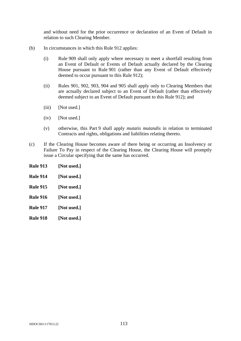and without need for the prior occurrence or declaration of an Event of Default in relation to such Clearing Member.

- (b) In circumstances in which this Rule 912 applies:
	- (i) Rule 909 shall only apply where necessary to meet a shortfall resulting from an Event of Default or Events of Default actually declared by the Clearing House pursuant to Rule 901 (rather than any Event of Default effectively deemed to occur pursuant to this Rule 912);
	- (ii) Rules 901, 902, 903, 904 and 905 shall apply only to Clearing Members that are actually declared subject to an Event of Default (rather than effectively deemed subject to an Event of Default pursuant to this Rule 912); and
	- (iii) [Not used.]
	- (iv) [Not used.]
	- (v) otherwise, this Part 9 shall apply *mutatis mutandis* in relation to terminated Contracts and rights, obligations and liabilities relating thereto.
- (c) If the Clearing House becomes aware of there being or occurring an Insolvency or Failure To Pay in respect of the Clearing House, the Clearing House will promptly issue a Circular specifying that the same has occurred.
- **Rule 913 [Not used.]**
- **Rule 914 [Not used.]**
- **Rule 915 [Not used.]**
- **Rule 916 [Not used.]**
- **Rule 917 [Not used.]**
- **Rule 918 [Not used.]**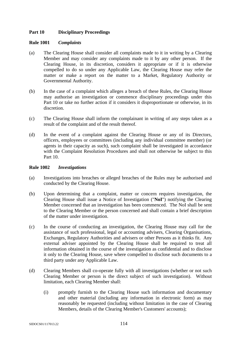## **Part 10 Disciplinary Proceedings**

### **Rule 1001** *Complaints*

- (a) The Clearing House shall consider all complaints made to it in writing by a Clearing Member and may consider any complaints made to it by any other person. If the Clearing House, in its discretion, considers it appropriate or if it is otherwise compelled to do so under any Applicable Law, the Clearing House may refer the matter or make a report on the matter to a Market, Regulatory Authority or Governmental Authority.
- (b) In the case of a complaint which alleges a breach of these Rules, the Clearing House may authorise an investigation or commence disciplinary proceedings under this Part 10 or take no further action if it considers it disproportionate or otherwise, in its discretion.
- (c) The Clearing House shall inform the complainant in writing of any steps taken as a result of the complaint and of the result thereof.
- (d) In the event of a complaint against the Clearing House or any of its Directors, officers, employees or committees (including any individual committee member) (or agents in their capacity as such), such complaint shall be investigated in accordance with the Complaint Resolution Procedures and shall not otherwise be subject to this Part 10.

## **Rule 1002** *Investigations*

- (a) Investigations into breaches or alleged breaches of the Rules may be authorised and conducted by the Clearing House.
- (b) Upon determining that a complaint, matter or concern requires investigation, the Clearing House shall issue a Notice of Investigation ("**NoI**") notifying the Clearing Member concerned that an investigation has been commenced. The NoI shall be sent to the Clearing Member or the person concerned and shall contain a brief description of the matter under investigation.
- (c) In the course of conducting an investigation, the Clearing House may call for the assistance of such professional, legal or accounting advisers, Clearing Organisations, Exchanges, Regulatory Authorities and advisers or other Persons as it thinks fit. Any external adviser appointed by the Clearing House shall be required to treat all information obtained in the course of the investigation as confidential and to disclose it only to the Clearing House, save where compelled to disclose such documents to a third party under any Applicable Law.
- (d) Clearing Members shall co-operate fully with all investigations (whether or not such Clearing Member or person is the direct subject of such investigation). Without limitation, each Clearing Member shall:
	- (i) promptly furnish to the Clearing House such information and documentary and other material (including any information in electronic form) as may reasonably be requested (including without limitation in the case of Clearing Members, details of the Clearing Member's Customers' accounts);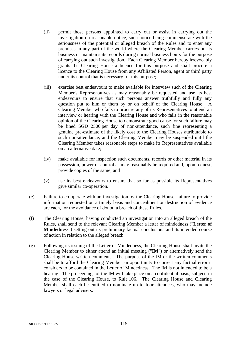- (ii) permit those persons appointed to carry out or assist in carrying out the investigation on reasonable notice, such notice being commensurate with the seriousness of the potential or alleged breach of the Rules and to enter any premises in any part of the world where the Clearing Member carries on its business or maintains its records during normal business hours for the purpose of carrying out such investigation. Each Clearing Member hereby irrevocably grants the Clearing House a licence for this purpose and shall procure a licence to the Clearing House from any Affiliated Person, agent or third party under its control that is necessary for this purpose;
- (iii) exercise best endeavours to make available for interview such of the Clearing Member's Representatives as may reasonably be requested and use its best endeavours to ensure that such persons answer truthfully and fully any question put to him or them by or on behalf of the Clearing House. A Clearing Member who fails to procure any of its Representatives to attend an interview or hearing with the Clearing House and who fails in the reasonable opinion of the Clearing House to demonstrate good cause for such failure may be fined SGD 2500 per day of non-attendance, such fine representing a genuine pre-estimate of the likely cost to the Clearing Houses attributable to such non-attendance, and the Clearing Member may be suspended until the Clearing Member takes reasonable steps to make its Representatives available on an alternative date;
- (iv) make available for inspection such documents, records or other material in its possession, power or control as may reasonably be required and, upon request, provide copies of the same; and
- (v) use its best endeavours to ensure that so far as possible its Representatives give similar co-operation.
- (e) Failure to co-operate with an investigation by the Clearing House, failure to provide information requested on a timely basis and concealment or destruction of evidence are each, for the avoidance of doubt, a breach of these Rules.
- (f) The Clearing House, having conducted an investigation into an alleged breach of the Rules, shall send to the relevant Clearing Member a letter of mindedness ("**Letter of Mindedness**") setting out its preliminary factual conclusions and its intended course of action in relation to the alleged breach.
- (g) Following its issuing of the Letter of Mindedness, the Clearing House shall invite the Clearing Member to either attend an initial meeting ("**IM**") or alternatively send the Clearing House written comments. The purpose of the IM or the written comments shall be to afford the Clearing Member an opportunity to correct any factual error it considers to be contained in the Letter of Mindedness. The IM is not intended to be a hearing. The proceedings of the IM will take place on a confidential basis, subject, in the case of the Clearing House, to Rule 106. The Clearing House and Clearing Member shall each be entitled to nominate up to four attendees, who may include lawyers or legal advisers.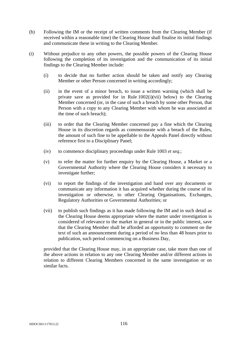- (h) Following the IM or the receipt of written comments from the Clearing Member (if received within a reasonable time) the Clearing House shall finalise its initial findings and communicate these in writing to the Clearing Member.
- (i) Without prejudice to any other powers, the possible powers of the Clearing House following the completion of its investigation and the communication of its initial findings to the Clearing Member include:
	- (i) to decide that no further action should be taken and notify any Clearing Member or other Person concerned in writing accordingly;
	- (ii) in the event of a minor breach, to issue a written warning (which shall be private save as provided for in Rule 1002(i)(vii) below) to the Clearing Member concerned (or, in the case of such a breach by some other Person, that Person with a copy to any Clearing Member with whom he was associated at the time of such breach);
	- (iii) to order that the Clearing Member concerned pay a fine which the Clearing House in its discretion regards as commensurate with a breach of the Rules, the amount of such fine to be appellable to the Appeals Panel directly without reference first to a Disciplinary Panel;
	- (iv) to commence disciplinary proceedings under Rule 1003 *et seq.*;
	- (v) to refer the matter for further enquiry by the Clearing House, a Market or a Governmental Authority where the Clearing House considers it necessary to investigate further;
	- (vi) to report the findings of the investigation and hand over any documents or communicate any information it has acquired whether during the course of its investigation or otherwise, to other Clearing Organisations, Exchanges, Regulatory Authorities or Governmental Authorities; or
	- (vii) to publish such findings as it has made following the IM and in such detail as the Clearing House deems appropriate where the matter under investigation is considered of relevance to the market in general or in the public interest, save that the Clearing Member shall be afforded an opportunity to comment on the text of such an announcement during a period of no less than 48 hours prior to publication, such period commencing on a Business Day,

provided that the Clearing House may, in an appropriate case, take more than one of the above actions in relation to any one Clearing Member and/or different actions in relation to different Clearing Members concerned in the same investigation or on similar facts.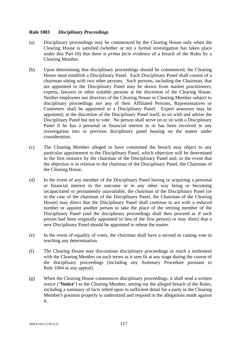## **Rule 1003** *Disciplinary Proceedings*

- (a) Disciplinary proceedings may be commenced by the Clearing House only when the Clearing House is satisfied (whether or not a formal investigation has taken place under this Part 10) that there is *prima facie* evidence of a breach of the Rules by a Clearing Member.
- (b) Upon determining that disciplinary proceedings should be commenced, the Clearing House must establish a Disciplinary Panel. Each Disciplinary Panel shall consist of a chairman sitting with two other persons. Such persons, including the Chairman, that are appointed to the Disciplinary Panel may be drawn from market practitioners, experts, lawyers or other suitable persons at the discretion of the Clearing House. Neither employees nor directors of the Clearing House or Clearing Member subject to disciplinary proceedings nor any of their Affiliated Persons, Representatives or Customers shall be appointed to a Disciplinary Panel. Expert assessors may be appointed, at the discretion of the Disciplinary Panel itself, to sit with and advise the Disciplinary Panel but not to vote. No person shall serve on or sit with a Disciplinary Panel if he has a personal or financial interest in or has been involved in any investigation into or previous disciplinary panel hearing on the matter under consideration.
- (c) The Clearing Member alleged to have committed the breach may object to any particular appointment to the Disciplinary Panel, which objection will be determined in the first instance by the chairman of the Disciplinary Panel and, in the event that the objection is in relation to the chairman of the Disciplinary Panel, the Chairman of the Clearing House.
- (d) In the event of any member of the Disciplinary Panel having or acquiring a personal or financial interest in the outcome or in any other way being or becoming incapacitated or permanently unavailable, the chairman of the Disciplinary Panel (or in the case of the chairman of the Disciplinary Panel, the Chairman of the Clearing House) may direct that the Disciplinary Panel shall continue to act with a reduced number or appoint another person to take the place of the retiring member of the Disciplinary Panel (and the disciplinary proceedings shall then proceed as if such person had been originally appointed in lieu of the first person) or may direct that a new Disciplinary Panel should be appointed to rehear the matter.
- (e) In the event of equality of votes, the chairman shall have a second or casting vote in reaching any determination.
- (f) The Clearing House may discontinue disciplinary proceedings or reach a settlement with the Clearing Member on such terms as it sees fit at any stage during the course of the disciplinary proceedings (including any Summary Procedure pursuant to Rule 1004 or any appeal).
- (g) When the Clearing House commences disciplinary proceedings, it shall send a written notice ("**Notice**") to the Clearing Member, setting out the alleged breach of the Rules, including a summary of facts relied upon in sufficient detail for a party in the Clearing Member's position properly to understand and respond to the allegations made against it.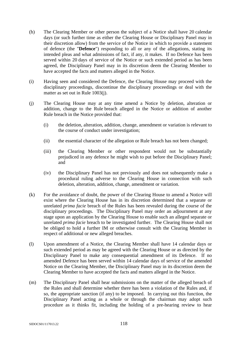- (h) The Clearing Member or other person the subject of a Notice shall have 20 calendar days (or such further time as either the Clearing House or Disciplinary Panel may in their discretion allow) from the service of the Notice in which to provide a statement of defence (the "**Defence**") responding to all or any of the allegations, stating its intended pleas and what admissions of fact, if any, it makes. If no Defence has been served within 20 days of service of the Notice or such extended period as has been agreed, the Disciplinary Panel may in its discretion deem the Clearing Member to have accepted the facts and matters alleged in the Notice.
- (i) Having seen and considered the Defence, the Clearing House may proceed with the disciplinary proceedings, discontinue the disciplinary proceedings or deal with the matter as set out in Rule 1003(j).
- (j) The Clearing House may at any time amend a Notice by deletion, alteration or addition, change to the Rule breach alleged in the Notice or addition of another Rule breach in the Notice provided that:
	- (i) the deletion, alteration, addition, change, amendment or variation is relevant to the course of conduct under investigation;
	- (ii) the essential character of the allegation or Rule breach has not been changed;
	- (iii) the Clearing Member or other respondent would not be substantially prejudiced in any defence he might wish to put before the Disciplinary Panel; and
	- (iv) the Disciplinary Panel has not previously and does not subsequently make a procedural ruling adverse to the Clearing House in connection with such deletion, alteration, addition, change, amendment or variation.
- (k) For the avoidance of doubt, the power of the Clearing House to amend a Notice will exist where the Clearing House has in its discretion determined that a separate or unrelated *prima facie* breach of the Rules has been revealed during the course of the disciplinary proceedings. The Disciplinary Panel may order an adjournment at any stage upon an application by the Clearing House to enable such an alleged separate or unrelated *prima facie* breach to be investigated further. The Clearing House shall not be obliged to hold a further IM or otherwise consult with the Clearing Member in respect of additional or new alleged breaches.
- (l) Upon amendment of a Notice, the Clearing Member shall have 14 calendar days or such extended period as may be agreed with the Clearing House or as directed by the Disciplinary Panel to make any consequential amendment of its Defence. If no amended Defence has been served within 14 calendar days of service of the amended Notice on the Clearing Member, the Disciplinary Panel may in its discretion deem the Clearing Member to have accepted the facts and matters alleged in the Notice.
- (m) The Disciplinary Panel shall hear submissions on the matter of the alleged breach of the Rules and shall determine whether there has been a violation of the Rules and, if so, the appropriate sanction (if any) to be imposed. In carrying out this function, the Disciplinary Panel acting as a whole or through the chairman may adopt such procedure as it thinks fit, including the holding of a pre-hearing review to hear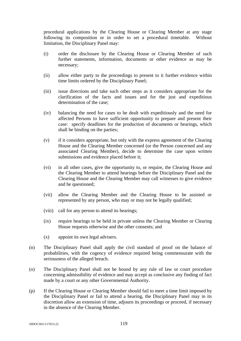procedural applications by the Clearing House or Clearing Member at any stage following its composition or in order to set a procedural timetable. Without limitation, the Disciplinary Panel may:

- (i) order the disclosure by the Clearing House or Clearing Member of such further statements, information, documents or other evidence as may be necessary;
- (ii) allow either party to the proceedings to present to it further evidence within time limits ordered by the Disciplinary Panel;
- (iii) issue directions and take such other steps as it considers appropriate for the clarification of the facts and issues and for the just and expeditious determination of the case;
- (iv) balancing the need for cases to be dealt with expeditiously and the need for affected Persons to have sufficient opportunity to prepare and present their case: specify deadlines for the production of documents or hearings, which shall be binding on the parties;
- (v) if it considers appropriate, but only with the express agreement of the Clearing House and the Clearing Member concerned (or the Person concerned and any associated Clearing Member), decide to determine the case upon written submissions and evidence placed before it;
- (vi) in all other cases, give the opportunity to, or require, the Clearing House and the Clearing Member to attend hearings before the Disciplinary Panel and the Clearing House and the Clearing Member may call witnesses to give evidence and be questioned;
- (vii) allow the Clearing Member and the Clearing House to be assisted or represented by any person, who may or may not be legally qualified;
- (viii) call for any person to attend its hearings;
- (ix) require hearings to be held in private unless the Clearing Member or Clearing House requests otherwise and the other consents; and
- (x) appoint its own legal advisers.
- (n) The Disciplinary Panel shall apply the civil standard of proof on the balance of probabilities, with the cogency of evidence required being commensurate with the seriousness of the alleged breach.
- (o) The Disciplinary Panel shall not be bound by any rule of law or court procedure concerning admissibility of evidence and may accept as conclusive any finding of fact made by a court or any other Governmental Authority.
- (p) If the Clearing House or Clearing Member should fail to meet a time limit imposed by the Disciplinary Panel or fail to attend a hearing, the Disciplinary Panel may in its discretion allow an extension of time, adjourn its proceedings or proceed, if necessary in the absence of the Clearing Member.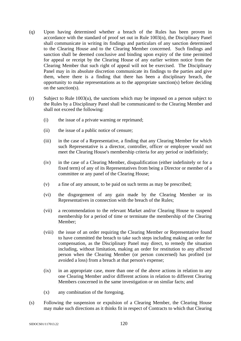- (q) Upon having determined whether a breach of the Rules has been proven in accordance with the standard of proof set out in Rule 1003(n), the Disciplinary Panel shall communicate in writing its findings and particulars of any sanction determined to the Clearing House and to the Clearing Member concerned. Such findings and sanction shall be deemed conclusive and binding upon expiry of the time permitted for appeal or receipt by the Clearing House of any earlier written notice from the Clearing Member that such right of appeal will not be exercised. The Disciplinary Panel may in its absolute discretion communicate its findings to the parties and give them, where there is a finding that there has been a disciplinary breach, the opportunity to make representations as to the appropriate sanction(s) before deciding on the sanction(s).
- (r) Subject to Rule 1003(u), the sanctions which may be imposed on a person subject to the Rules by a Disciplinary Panel shall be communicated to the Clearing Member and shall not exceed the following:
	- (i) the issue of a private warning or reprimand;
	- (ii) the issue of a public notice of censure;
	- (iii) in the case of a Representative, a finding that any Clearing Member for which such Representative is a director, controller, officer or employee would not meet the Clearing House's membership criteria for any period or indefinitely;
	- (iv) in the case of a Clearing Member, disqualification (either indefinitely or for a fixed term) of any of its Representatives from being a Director or member of a committee or any panel of the Clearing House;
	- (v) a fine of any amount, to be paid on such terms as may be prescribed;
	- (vi) the disgorgement of any gain made by the Clearing Member or its Representatives in connection with the breach of the Rules;
	- (vii) a recommendation to the relevant Market and/or Clearing House to suspend membership for a period of time or terminate the membership of the Clearing Member;
	- (viii) the issue of an order requiring the Clearing Member or Representative found to have committed the breach to take such steps including making an order for compensation, as the Disciplinary Panel may direct, to remedy the situation including, without limitation, making an order for restitution to any affected person when the Clearing Member (or person concerned) has profited (or avoided a loss) from a breach at that person's expense;
	- (ix) in an appropriate case, more than one of the above actions in relation to any one Clearing Member and/or different actions in relation to different Clearing Members concerned in the same investigation or on similar facts; and
	- (x) any combination of the foregoing.
- (s) Following the suspension or expulsion of a Clearing Member, the Clearing House may make such directions as it thinks fit in respect of Contracts to which that Clearing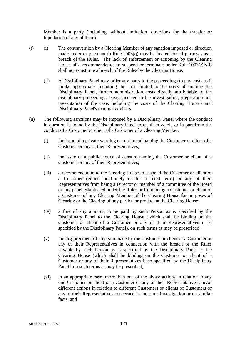Member is a party (including, without limitation, directions for the transfer or liquidation of any of them).

- (t) (i) The contravention by a Clearing Member of any sanction imposed or direction made under or pursuant to Rule 1003(q) may be treated for all purposes as a breach of the Rules. The lack of enforcement or actioning by the Clearing House of a recommendation to suspend or terminate under Rule  $1003(r)(vii)$ shall not constitute a breach of the Rules by the Clearing House.
	- (ii) A Disciplinary Panel may order any party to the proceedings to pay costs as it thinks appropriate, including, but not limited to the costs of running the Disciplinary Panel, further administration costs directly attributable to the disciplinary proceedings, costs incurred in the investigation, preparation and presentation of the case, including the costs of the Clearing House's and Disciplinary Panel's external advisers.
- (u) The following sanctions may be imposed by a Disciplinary Panel where the conduct in question is found by the Disciplinary Panel to result in whole or in part from the conduct of a Customer or client of a Customer of a Clearing Member:
	- (i) the issue of a private warning or reprimand naming the Customer or client of a Customer or any of their Representatives;
	- (ii) the issue of a public notice of censure naming the Customer or client of a Customer or any of their Representatives;
	- (iii) a recommendation to the Clearing House to suspend the Customer or client of a Customer (either indefinitely or for a fixed term) or any of their Representatives from being a Director or member of a committee of the Board or any panel established under the Rules or from being a Customer or client of a Customer of any Clearing Member of the Clearing House for purposes of Clearing or the Clearing of any particular product at the Clearing House;
	- (iv) a fine of any amount, to be paid by such Person as is specified by the Disciplinary Panel to the Clearing House (which shall be binding on the Customer or client of a Customer or any of their Representatives if so specified by the Disciplinary Panel), on such terms as may be prescribed;
	- (v) the disgorgement of any gain made by the Customer or client of a Customer or any of their Representatives in connection with the breach of the Rules payable by such Person as is specified by the Disciplinary Panel to the Clearing House (which shall be binding on the Customer or client of a Customer or any of their Representatives if so specified by the Disciplinary Panel), on such terms as may be prescribed;
	- (vi) in an appropriate case, more than one of the above actions in relation to any one Customer or client of a Customer or any of their Representatives and/or different actions in relation to different Customers or clients of Customers or any of their Representatives concerned in the same investigation or on similar facts; and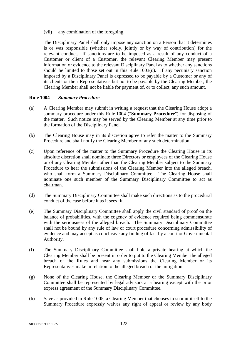(vii) any combination of the foregoing.

The Disciplinary Panel shall only impose any sanction on a Person that it determines is or was responsible (whether solely, jointly or by way of contribution) for the relevant conduct. If sanctions are to be imposed as a result of any conduct of a Customer or client of a Customer, the relevant Clearing Member may present information or evidence to the relevant Disciplinary Panel as to whether any sanctions should be limited to those set out in this Rule 1003(u). If any pecuniary sanction imposed by a Disciplinary Panel is expressed to be payable by a Customer or any of its clients or their Representatives but not to be payable by the Clearing Member, the Clearing Member shall not be liable for payment of, or to collect, any such amount.

### **Rule 1004** *Summary Procedure*

- (a) A Clearing Member may submit in writing a request that the Clearing House adopt a summary procedure under this Rule 1004 ("**Summary Procedure**") for disposing of the matter. Such notice may be served by the Clearing Member at any time prior to the formation of the Disciplinary Panel.
- (b) The Clearing House may in its discretion agree to refer the matter to the Summary Procedure and shall notify the Clearing Member of any such determination.
- (c) Upon reference of the matter to the Summary Procedure the Clearing House in its absolute discretion shall nominate three Directors or employees of the Clearing House or of any Clearing Member other than the Clearing Member subject to the Summary Procedure to hear the submissions of the Clearing Member into the alleged breach, who shall form a Summary Disciplinary Committee. The Clearing House shall nominate one such member of the Summary Disciplinary Committee to act as chairman.
- (d) The Summary Disciplinary Committee shall make such directions as to the procedural conduct of the case before it as it sees fit.
- (e) The Summary Disciplinary Committee shall apply the civil standard of proof on the balance of probabilities, with the cogency of evidence required being commensurate with the seriousness of the alleged breach. The Summary Disciplinary Committee shall not be bound by any rule of law or court procedure concerning admissibility of evidence and may accept as conclusive any finding of fact by a court or Governmental Authority.
- (f) The Summary Disciplinary Committee shall hold a private hearing at which the Clearing Member shall be present in order to put to the Clearing Member the alleged breach of the Rules and hear any submissions the Clearing Member or its Representatives make in relation to the alleged breach or the mitigation.
- (g) None of the Clearing House, the Clearing Member or the Summary Disciplinary Committee shall be represented by legal advisors at a hearing except with the prior express agreement of the Summary Disciplinary Committee.
- (h) Save as provided in Rule 1005, a Clearing Member that chooses to submit itself to the Summary Procedure expressly waives any right of appeal or review by any body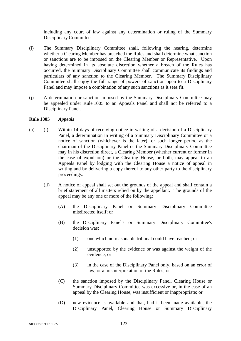including any court of law against any determination or ruling of the Summary Disciplinary Committee.

- (i) The Summary Disciplinary Committee shall, following the hearing, determine whether a Clearing Member has breached the Rules and shall determine what sanction or sanctions are to be imposed on the Clearing Member or Representative. Upon having determined in its absolute discretion whether a breach of the Rules has occurred, the Summary Disciplinary Committee shall communicate its findings and particulars of any sanction to the Clearing Member. The Summary Disciplinary Committee shall enjoy the full range of powers of sanction open to a Disciplinary Panel and may impose a combination of any such sanctions as it sees fit.
- (j) A determination or sanction imposed by the Summary Disciplinary Committee may be appealed under Rule 1005 to an Appeals Panel and shall not be referred to a Disciplinary Panel.

### **Rule 1005** *Appeals*

- (a) (i) Within 14 days of receiving notice in writing of a decision of a Disciplinary Panel, a determination in writing of a Summary Disciplinary Committee or a notice of sanction (whichever is the later), or such longer period as the chairman of the Disciplinary Panel or the Summary Disciplinary Committee may in his discretion direct, a Clearing Member (whether current or former in the case of expulsion) or the Clearing House, or both, may appeal to an Appeals Panel by lodging with the Clearing House a notice of appeal in writing and by delivering a copy thereof to any other party to the disciplinary proceedings.
	- (ii) A notice of appeal shall set out the grounds of the appeal and shall contain a brief statement of all matters relied on by the appellant. The grounds of the appeal may be any one or more of the following:
		- (A) the Disciplinary Panel or Summary Disciplinary Committee misdirected itself; or
		- (B) the Disciplinary Panel's or Summary Disciplinary Committee's decision was:
			- (1) one which no reasonable tribunal could have reached; or
			- (2) unsupported by the evidence or was against the weight of the evidence; or
			- (3) in the case of the Disciplinary Panel only, based on an error of law, or a misinterpretation of the Rules; or
		- (C) the sanction imposed by the Disciplinary Panel, Clearing House or Summary Disciplinary Committee was excessive or, in the case of an appeal by the Clearing House, was insufficient or inappropriate; or
		- (D) new evidence is available and that, had it been made available, the Disciplinary Panel, Clearing House or Summary Disciplinary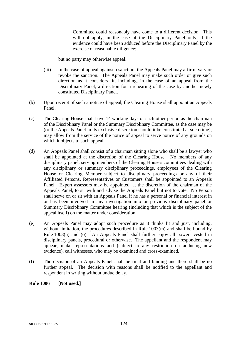Committee could reasonably have come to a different decision. This will not apply, in the case of the Disciplinary Panel only, if the evidence could have been adduced before the Disciplinary Panel by the exercise of reasonable diligence;

but no party may otherwise appeal.

- (iii) In the case of appeal against a sanction, the Appeals Panel may affirm, vary or revoke the sanction. The Appeals Panel may make such order or give such direction as it considers fit, including, in the case of an appeal from the Disciplinary Panel, a direction for a rehearing of the case by another newly constituted Disciplinary Panel.
- (b) Upon receipt of such a notice of appeal, the Clearing House shall appoint an Appeals Panel.
- (c) The Clearing House shall have 14 working days or such other period as the chairman of the Disciplinary Panel or the Summary Disciplinary Committee, as the case may be (or the Appeals Panel in its exclusive discretion should it be constituted at such time), may allow from the service of the notice of appeal to serve notice of any grounds on which it objects to such appeal.
- (d) An Appeals Panel shall consist of a chairman sitting alone who shall be a lawyer who shall be appointed at the discretion of the Clearing House. No members of any disciplinary panel, serving members of the Clearing House's committees dealing with any disciplinary or summary disciplinary proceedings, employees of the Clearing House or Clearing Member subject to disciplinary proceedings or any of their Affiliated Persons, Representatives or Customers shall be appointed to an Appeals Panel. Expert assessors may be appointed, at the discretion of the chairman of the Appeals Panel, to sit with and advise the Appeals Panel but not to vote. No Person shall serve on or sit with an Appeals Panel if he has a personal or financial interest in or has been involved in any investigation into or previous disciplinary panel or Summary Disciplinary Committee hearing (including that which is the subject of the appeal itself) on the matter under consideration.
- (e) An Appeals Panel may adopt such procedure as it thinks fit and just, including, without limitation, the procedures described in Rule 1003(m) and shall be bound by Rule 1003(n) and (o). An Appeals Panel shall further enjoy all powers vested in disciplinary panels, procedural or otherwise. The appellant and the respondent may appear, make representations and (subject to any restriction on adducing new evidence), call witnesses, who may be examined and cross-examined.
- (f) The decision of an Appeals Panel shall be final and binding and there shall be no further appeal. The decision with reasons shall be notified to the appellant and respondent in writing without undue delay.

**Rule 1006 [Not used.]**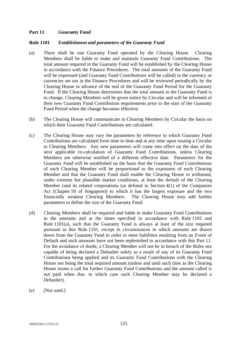## **Part 11 Guaranty Fund**

### **Rule 1101** *Establishment and parameters of the Guaranty Fund*

- (a) There shall be one Guaranty Fund operated by the Clearing House. Clearing Members shall be liable to make and maintain Guaranty Fund Contributions. The total amount required in the Guaranty Fund will be established by the Clearing House in accordance with the Finance Procedures. The total amounts of the Guaranty Fund will be expressed (and Guaranty Fund Contributions will be called) in the currency or currencies set out in the Finance Procedures and will be reviewed periodically by the Clearing House in advance of the end of the Guaranty Fund Period for the Guaranty Fund. If the Clearing House determines that the total amount in the Guaranty Fund is to change, Clearing Members will be given notice by Circular and will be informed of their new Guaranty Fund Contribution requirements prior to the start of the Guaranty Fund Period when the change becomes effective.
- (b) The Clearing House will communicate to Clearing Members by Circular the basis on which their Guaranty Fund Contributions are calculated.
- (c) The Clearing House may vary the parameters by reference to which Guaranty Fund Contributions are calculated from time to time and at any time upon issuing a Circular to Clearing Members. Any new parameters will come into effect on the date of the next applicable re-calculation of Guaranty Fund Contributions, unless Clearing Members are otherwise notified of a different effective date. Parameters for the Guaranty Fund will be established on the basis that the Guaranty Fund Contributions of each Clearing Member will be proportional to the exposures of each Clearing Member and that the Guaranty Fund shall enable the Clearing House to withstand, under extreme but plausible market conditions, at least the default of the Clearing Member (and its related corporations (as defined in Section 4(1) of the Companies Act (Chapter 50 of Singapore)) to which it has the largest exposure and the two financially weakest Clearing Members. The Clearing House may add further parameters to define the size of the Guaranty Fund.
- (d) Clearing Members shall be required and liable to make Guaranty Fund Contributions in the amounts and at the times specified in accordance with Rule 1102 and Rule  $1101(a)$ , such that the Guaranty Fund is always at least of the size required pursuant to this Rule 1101, except in circumstances in which amounts are drawn down from the Guaranty Fund in order to meet liabilities resulting from an Event of Default and such amounts have not been replenished in accordance with this Part 11. For the avoidance of doubt, a Clearing Member will not be in breach of the Rules nor capable of being declared a Defaulter solely as a result of any of its Guaranty Fund Contributions being applied and its Guaranty Fund Contributions with the Clearing House not being the total required amount (unless and until such time as the Clearing House issues a call for further Guaranty Fund Contributions and the amount called is not paid when due, in which case such Clearing Member may be declared a Defaulter).
- (e) [Not used.]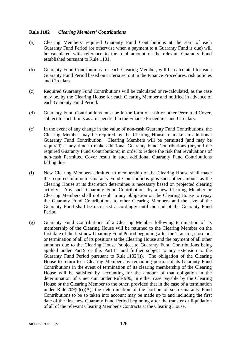## **Rule 1102** *Clearing Members' Contributions*

- (a) Clearing Members' required Guaranty Fund Contributions at the start of each Guaranty Fund Period (or otherwise when a payment to a Guaranty Fund is due) will be calculated with reference to the total amount of the relevant Guaranty Fund established pursuant to Rule 1101.
- (b) Guaranty Fund Contributions for each Clearing Member, will be calculated for each Guaranty Fund Period based on criteria set out in the Finance Procedures, risk policies and Circulars.
- (c) Required Guaranty Fund Contributions will be calculated or re-calculated, as the case may be, by the Clearing House for each Clearing Member and notified in advance of each Guaranty Fund Period.
- (d) Guaranty Fund Contributions must be in the form of cash or other Permitted Cover, subject to such limits as are specified in the Finance Procedures and Circulars.
- (e) In the event of any change in the value of non-cash Guaranty Fund Contributions, the Clearing Member may be required by the Clearing House to make an additional Guaranty Fund Contribution. Clearing Members will be permitted (and may be required) at any time to make additional Guaranty Fund Contributions (beyond the required Guaranty Fund Contributions) in order to reduce the risk that revaluations of non-cash Permitted Cover result in such additional Guaranty Fund Contributions falling due.
- (f) New Clearing Members admitted to membership of the Clearing House shall make the required minimum Guaranty Fund Contributions plus such other amount as the Clearing House at its discretion determines is necessary based on projected clearing activity. Any such Guaranty Fund Contributions by a new Clearing Member or Clearing Members shall not result in any obligation on the Clearing House to repay the Guaranty Fund Contributions to other Clearing Members and the size of the Guaranty Fund shall be increased accordingly until the end of the Guaranty Fund Period.
- (g) Guaranty Fund Contributions of a Clearing Member following termination of its membership of the Clearing House will be returned to the Clearing Member on the first date of the first new Guaranty Fund Period beginning after the Transfer, close out or termination of all of its positions at the Clearing House and the payment of all other amounts due to the Clearing House (subject to Guaranty Fund Contributions being applied under Part 9 or this Part 11 and further subject to any extension to the Guaranty Fund Period pursuant to Rule 1102(l)). The obligation of the Clearing House to return to a Clearing Member any remaining portion of its Guaranty Fund Contributions in the event of termination of its clearing membership of the Clearing House will be satisfied by accounting for the amount of that obligation in the determination of a net sum under Rule 906, in either case payable by the Clearing House or the Clearing Member to the other, provided that in the case of a termination under Rule  $209(c)(i)(A)$ , the determination of the portion of such Guaranty Fund Contributions to be so taken into account may be made up to and including the first date of the first new Guaranty Fund Period beginning after the transfer or liquidation of all of the relevant Clearing Member's Contracts at the Clearing House.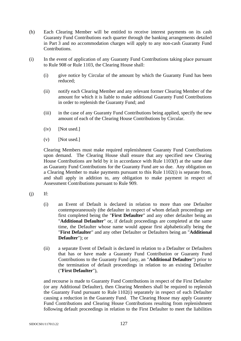- (h) Each Clearing Member will be entitled to receive interest payments on its cash Guaranty Fund Contributions each quarter through the banking arrangements detailed in Part 3 and no accommodation charges will apply to any non-cash Guaranty Fund Contributions.
- (i) In the event of application of any Guaranty Fund Contributions taking place pursuant to Rule 908 or Rule 1103, the Clearing House shall:
	- (i) give notice by Circular of the amount by which the Guaranty Fund has been reduced;
	- (ii) notify each Clearing Member and any relevant former Clearing Member of the amount for which it is liable to make additional Guaranty Fund Contributions in order to replenish the Guaranty Fund; and
	- (iii) in the case of any Guaranty Fund Contributions being applied, specify the new amount of each of the Clearing House Contributions by Circular.
	- (iv) [Not used.]
	- $(v)$  [Not used.]

Clearing Members must make required replenishment Guaranty Fund Contributions upon demand. The Clearing House shall ensure that any specified new Clearing House Contributions are held by it in accordance with Rule 1103(f) at the same date as Guaranty Fund Contributions for the Guaranty Fund are so due. Any obligation on a Clearing Member to make payments pursuant to this Rule 1102(i) is separate from, and shall apply in addition to, any obligation to make payment in respect of Assessment Contributions pursuant to Rule 909.

- $(i)$  If:
	- (i) an Event of Default is declared in relation to more than one Defaulter contemporaneously (the defaulter in respect of whom default proceedings are first completed being the "**First Defaulter**" and any other defaulter being an "**Additional Defaulter**" or, if default proceedings are completed at the same time, the Defaulter whose name would appear first alphabetically being the "**First Defaulter**" and any other Defaulter or Defaulters being an "**Additional Defaulter**"); or
	- (ii) a separate Event of Default is declared in relation to a Defaulter or Defaulters that has or have made a Guaranty Fund Contribution or Guaranty Fund Contributions to the Guaranty Fund (any, an "**Additional Defaulter**") prior to the termination of default proceedings in relation to an existing Defaulter ("**First Defaulter**"),

and recourse is made to Guaranty Fund Contributions in respect of the First Defaulter (or any Additional Defaulter), then Clearing Members shall be required to replenish the Guaranty Fund pursuant to Rule 1102(i) separately in respect of each Defaulter causing a reduction in the Guaranty Fund. The Clearing House may apply Guaranty Fund Contributions and Clearing House Contributions resulting from replenishment following default proceedings in relation to the First Defaulter to meet the liabilities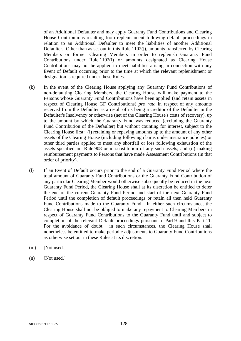of an Additional Defaulter and may apply Guaranty Fund Contributions and Clearing House Contributions resulting from replenishment following default proceedings in relation to an Additional Defaulter to meet the liabilities of another Additional Defaulter. Other than as set out in this Rule 1102(j), amounts transferred by Clearing Members or former Clearing Members in order to replenish Guaranty Fund Contributions under Rule 1102(i) or amounts designated as Clearing House Contributions may not be applied to meet liabilities arising in connection with any Event of Default occurring prior to the time at which the relevant replenishment or designation is required under these Rules.

- (k) In the event of the Clearing House applying any Guaranty Fund Contributions of non-defaulting Clearing Members, the Clearing House will make payment to the Persons whose Guaranty Fund Contributions have been applied (and retain assets in respect of Clearing House GF Contributions) *pro rata* in respect of any amounts received from the Defaulter as a result of its being a creditor of the Defaulter in the Defaulter's Insolvency or otherwise (net of the Clearing House's costs of recovery), up to the amount by which the Guaranty Fund was reduced (excluding the Guaranty Fund Contribution of the Defaulter) but without counting for interest, subject to the Clearing House first: (i) retaining or repaying amounts up to the amount of any other assets of the Clearing House (including following claims under insurance policies) or other third parties applied to meet any shortfall or loss following exhaustion of the assets specified in Rule 908 or in substitution of any such assets; and (ii) making reimbursement payments to Persons that have made Assessment Contributions (in that order of priority).
- (l) If an Event of Default occurs prior to the end of a Guaranty Fund Period where the total amount of Guaranty Fund Contributions or the Guaranty Fund Contribution of any particular Clearing Member would otherwise subsequently be reduced in the next Guaranty Fund Period, the Clearing House shall at its discretion be entitled to defer the end of the current Guaranty Fund Period and start of the next Guaranty Fund Period until the completion of default proceedings or retain all then held Guaranty Fund Contributions made to the Guaranty Fund. In either such circumstance, the Clearing House shall not be obliged to make any repayment to Clearing Members in respect of Guaranty Fund Contributions to the Guaranty Fund until and subject to completion of the relevant Default proceedings pursuant to Part 9 and this Part 11. For the avoidance of doubt: in such circumstances, the Clearing House shall nonetheless be entitled to make periodic adjustments to Guaranty Fund Contributions as otherwise set out in these Rules at its discretion.
- (m) [Not used.]
- (n) [Not used.]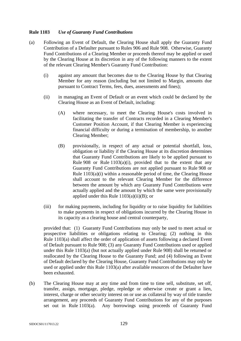## **Rule 1103** *Use of Guaranty Fund Contributions*

- (a) Following an Event of Default, the Clearing House shall apply the Guaranty Fund Contribution of a Defaulter pursuant to Rules 906 and Rule 908. Otherwise, Guaranty Fund Contributions of a Clearing Member or proceeds thereof may be applied or used by the Clearing House at its discretion in any of the following manners to the extent of the relevant Clearing Member's Guaranty Fund Contribution:
	- (i) against any amount that becomes due to the Clearing House by that Clearing Member for any reason (including but not limited to Margin, amounts due pursuant to Contract Terms, fees, dues, assessments and fines);
	- (ii) in managing an Event of Default or an event which could be declared by the Clearing House as an Event of Default, including:
		- (A) where necessary, to meet the Clearing House's costs involved in facilitating the transfer of Contracts recorded in a Clearing Member's Customer Position Account, if that Clearing Member is experiencing financial difficulty or during a termination of membership, to another Clearing Member;
		- (B) provisionally, in respect of any actual or potential shortfall, loss, obligation or liability if the Clearing House at its discretion determines that Guaranty Fund Contributions are likely to be applied pursuant to Rule 908 or Rule  $1103(a)(i)$ , provided that to the extent that any Guaranty Fund Contributions are not applied pursuant to Rule 908 or Rule 1103(a)(i) within a reasonable period of time, the Clearing House shall account to the relevant Clearing Member for the difference between the amount by which any Guaranty Fund Contributions were actually applied and the amount by which the same were provisionally applied under this Rule  $1103(a)(ii)(B)$ ; or
	- (iii) for making payments, including for liquidity or to raise liquidity for liabilities to make payments in respect of obligations incurred by the Clearing House in its capacity as a clearing house and central counterparty,

provided that: (1) Guaranty Fund Contributions may only be used to meet actual or prospective liabilities or obligations relating to Clearing; (2) nothing in this Rule 1103(a) shall affect the order of application of assets following a declared Event of Default pursuant to Rule 908; (3) any Guaranty Fund Contributions used or applied under this Rule 1103(a) (but not actually applied under Rule 908) shall be returned or reallocated by the Clearing House to the Guaranty Fund; and (4) following an Event of Default declared by the Clearing House, Guaranty Fund Contributions may only be used or applied under this Rule 1103(a) after available resources of the Defaulter have been exhausted.

(b) The Clearing House may at any time and from time to time sell, substitute, set off, transfer, assign, mortgage, pledge, repledge or otherwise create or grant a lien, interest, charge or other security interest on or use as collateral by way of title transfer arrangement, any proceeds of Guaranty Fund Contributions for any of the purposes set out in Rule 1103(a). Any borrowings using proceeds of Guaranty Fund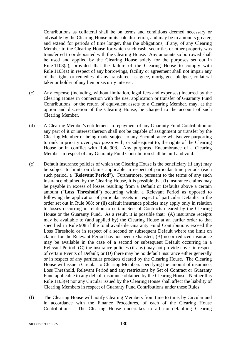Contributions as collateral shall be on terms and conditions deemed necessary or advisable by the Clearing House in its sole discretion, and may be in amounts greater, and extend for periods of time longer, than the obligations, if any, of any Clearing Member to the Clearing House for which such cash, securities or other property was transferred to or deposited with the Clearing House. Any amounts so borrowed shall be used and applied by the Clearing House solely for the purposes set out in Rule 1103(a); provided that the failure of the Clearing House to comply with Rule 1103(a) in respect of any borrowings, facility or agreement shall not impair any of the rights or remedies of any transferee, assignee, mortgagee, pledgee, collateral taker or holder of any lien or security interest.

- (c) Any expense (including, without limitation, legal fees and expenses) incurred by the Clearing House in connection with the use, application or transfer of Guaranty Fund Contributions, or the return of equivalent assets to a Clearing Member, may, at the option and discretion of the Clearing House, be charged to the account of such Clearing Member.
- (d) A Clearing Member's entitlement to repayment of any Guaranty Fund Contribution or any part of it or interest thereon shall not be capable of assignment or transfer by the Clearing Member or being made subject to any Encumbrance whatsoever purporting to rank in priority over, *pari passu* with, or subsequent to, the rights of the Clearing House or in conflict with Rule 908. Any purported Encumbrance of a Clearing Member in respect of any Guaranty Fund Contribution shall be null and void.
- (e) Default insurance policies of which the Clearing House is the beneficiary (if any) may be subject to limits on claims applicable in respect of particular time periods (each such period, a "**Relevant Period**"). Furthermore, pursuant to the terms of any such insurance obtained by the Clearing House, it is possible that (i) insurance claims may be payable in excess of losses resulting from a Default or Defaults above a certain amount ("**Loss Threshold**") occurring within a Relevant Period as opposed to following the application of particular assets in respect of particular Defaults in the order set out in Rule 908; or (ii) default insurance policies may apply only in relation to losses occurring in relation to certain Sets of Contracts cleared by the Clearing House or the Guaranty Fund. As a result, it is possible that: (A) insurance receipts may be available to (and applied by) the Clearing House at an earlier order to that specified in Rule 908 if the total available Guaranty Fund Contributions exceed the Loss Threshold or in respect of a second or subsequent Default where the limit on claims for the Relevant Period has not been exhausted; (B) no or reduced insurance may be available in the case of a second or subsequent Default occurring in a Relevant Period; (C) the insurance policies (if any) may not provide cover in respect of certain Events of Default; or (D) there may be no default insurance either generally or in respect of any particular products cleared by the Clearing House. The Clearing House will issue a Circular to Clearing Members specifying the amount of insurance, Loss Threshold, Relevant Period and any restrictions by Set of Contract or Guaranty Fund applicable to any default insurance obtained by the Clearing House. Neither this Rule 1103(e) nor any Circular issued by the Clearing House shall affect the liability of Clearing Members in respect of Guaranty Fund Contributions under these Rules.
- (f) The Clearing House will notify Clearing Members from time to time, by Circular and in accordance with the Finance Procedures, of each of the Clearing House Contributions. The Clearing House undertakes to all non-defaulting Clearing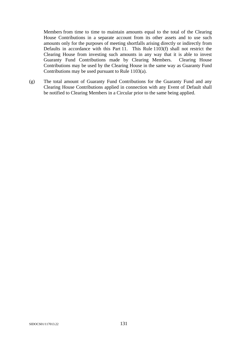Members from time to time to maintain amounts equal to the total of the Clearing House Contributions in a separate account from its other assets and to use such amounts only for the purposes of meeting shortfalls arising directly or indirectly from Defaults in accordance with this Part 11. This Rule 1103(f) shall not restrict the Clearing House from investing such amounts in any way that it is able to invest Guaranty Fund Contributions made by Clearing Members. Clearing House Contributions may be used by the Clearing House in the same way as Guaranty Fund Contributions may be used pursuant to Rule 1103(a).

(g) The total amount of Guaranty Fund Contributions for the Guaranty Fund and any Clearing House Contributions applied in connection with any Event of Default shall be notified to Clearing Members in a Circular prior to the same being applied.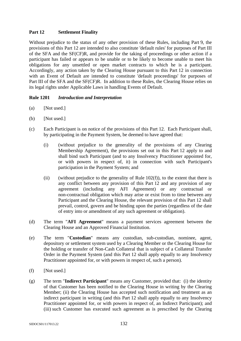# **Part 12 Settlement Finality**

Without prejudice to the status of any other provision of these Rules, including Part 9, the provisions of this Part 12 are intended to also constitute 'default rules' for purposes of Part III of the SFA and the SF(CF)R, and provide for the taking of proceedings or other action if a participant has failed or appears to be unable or to be likely to become unable to meet his obligations for any unsettled or open market contracts to which he is a participant. Accordingly, any action taken by the Clearing House pursuant to this Part 12 in connection with an Event of Default are intended to constitute 'default proceedings' for purposes of Part III of the SFA and the SF(CF)R. In addition to these Rules, the Clearing House relies on its legal rights under Applicable Laws in handling Events of Default.

## **Rule 1201** *Introduction and Interpretation*

- (a) [Not used.]
- (b) [Not used.]
- (c) Each Participant is on notice of the provisions of this Part 12. Each Participant shall, by participating in the Payment System, be deemed to have agreed that:
	- (i) (without prejudice to the generality of the provisions of any Clearing Membership Agreement), the provisions set out in this Part 12 apply to and shall bind such Participant (and to any Insolvency Practitioner appointed for, or with powers in respect of, it) in connection with such Participant's participation in the Payment System; and
	- (ii) (without prejudice to the generality of Rule  $102(f)$ ), to the extent that there is any conflict between any provision of this Part 12 and any provision of any agreement (including any AFI Agreement) or any contractual or non-contractual obligation which may arise or exist from to time between any Participant and the Clearing House, the relevant provision of this Part 12 shall prevail, control, govern and be binding upon the parties (regardless of the date of entry into or amendment of any such agreement or obligation).
- (d) The term "**AFI Agreement**" means a payment services agreement between the Clearing House and an Approved Financial Institution.
- (e) The term "**Custodian**" means any custodian, sub-custodian, nominee, agent, depository or settlement system used by a Clearing Member or the Clearing House for the holding or transfer of Non-Cash Collateral that is subject of a Collateral Transfer Order in the Payment System (and this Part 12 shall apply equally to any Insolvency Practitioner appointed for, or with powers in respect of, such a person).
- (f) [Not used.]
- (g) The term "**Indirect Participant**" means any Customer, provided that: (i) the identity of that Customer has been notified to the Clearing House in writing by the Clearing Member; (ii) the Clearing House has accepted such notification and treatment as an indirect participant in writing (and this Part 12 shall apply equally to any Insolvency Practitioner appointed for, or with powers in respect of, an Indirect Participant); and (iii) such Customer has executed such agreement as is prescribed by the Clearing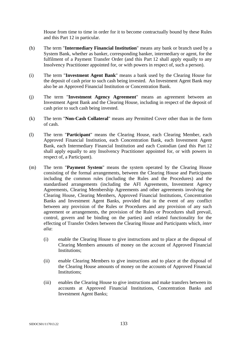House from time to time in order for it to become contractually bound by these Rules and this Part 12 in particular.

- (h) The term "**Intermediary Financial Institution**" means any bank or branch used by a System Bank, whether as banker, corresponding banker, intermediary or agent, for the fulfilment of a Payment Transfer Order (and this Part 12 shall apply equally to any Insolvency Practitioner appointed for, or with powers in respect of, such a person).
- (i) The term "**Investment Agent Bank**" means a bank used by the Clearing House for the deposit of cash prior to such cash being invested. An Investment Agent Bank may also be an Approved Financial Institution or Concentration Bank.
- (j) The term "**Investment Agency Agreement**" means an agreement between an Investment Agent Bank and the Clearing House, including in respect of the deposit of cash prior to such cash being invested.
- (k) The term "**Non-Cash Collateral**" means any Permitted Cover other than in the form of cash.
- (l) The term "**Participant**" means the Clearing House, each Clearing Member, each Approved Financial Institution, each Concentration Bank, each Investment Agent Bank, each Intermediary Financial Institution and each Custodian (and this Part 12 shall apply equally to any Insolvency Practitioner appointed for, or with powers in respect of, a Participant).
- (m) The term "**Payment System**" means the system operated by the Clearing House consisting of the formal arrangements, between the Clearing House and Participants including the common rules (including the Rules and the Procedures) and the standardised arrangements (including the AFI Agreements, Investment Agency Agreements, Clearing Membership Agreements and other agreements involving the Clearing House, Clearing Members, Approved Financial Institutions, Concentration Banks and Investment Agent Banks, provided that in the event of any conflict between any provision of the Rules or Procedures and any provision of any such agreement or arrangements, the provision of the Rules or Procedures shall prevail, control, govern and be binding on the parties) and related functionality for the effecting of Transfer Orders between the Clearing House and Participants which, *inter alia*:
	- (i) enable the Clearing House to give instructions and to place at the disposal of Clearing Members amounts of money on the account of Approved Financial Institutions;
	- (ii) enable Clearing Members to give instructions and to place at the disposal of the Clearing House amounts of money on the accounts of Approved Financial Institutions;
	- (iii) enables the Clearing House to give instructions and make transfers between its accounts at Approved Financial Institutions, Concentration Banks and Investment Agent Banks;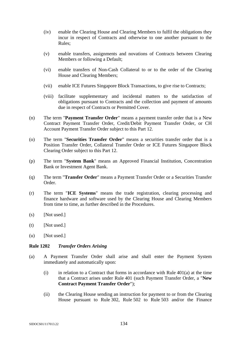- (iv) enable the Clearing House and Clearing Members to fulfil the obligations they incur in respect of Contracts and otherwise to one another pursuant to the Rules;
- (v) enable transfers, assignments and novations of Contracts between Clearing Members or following a Default;
- (vi) enable transfers of Non-Cash Collateral to or to the order of the Clearing House and Clearing Members;
- (vii) enable ICE Futures Singapore Block Transactions, to give rise to Contracts;
- (viii) facilitate supplementary and incidental matters to the satisfaction of obligations pursuant to Contracts and the collection and payment of amounts due in respect of Contracts or Permitted Cover.
- (n) The term "**Payment Transfer Order**" means a payment transfer order that is a New Contract Payment Transfer Order, Credit/Debit Payment Transfer Order, or CH Account Payment Transfer Order subject to this Part 12.
- (o) The term "**Securities Transfer Order**" means a securities transfer order that is a Position Transfer Order, Collateral Transfer Order or ICE Futures Singapore Block Clearing Order subject to this Part 12.
- (p) The term "**System Bank**" means an Approved Financial Institution, Concentration Bank or Investment Agent Bank.
- (q) The term "**Transfer Order**" means a Payment Transfer Order or a Securities Transfer Order.
- (r) The term "**ICE Systems**" means the trade registration, clearing processing and finance hardware and software used by the Clearing House and Clearing Members from time to time, as further described in the Procedures.
- $(s)$  [Not used.]
- $(t)$  [Not used.]
- (u) [Not used.]

#### **Rule 1202** *Transfer Orders Arising*

- (a) A Payment Transfer Order shall arise and shall enter the Payment System immediately and automatically upon:
	- (i) in relation to a Contract that forms in accordance with Rule  $401(a)$  at the time that a Contract arises under Rule 401 (such Payment Transfer Order, a "**New Contract Payment Transfer Order**");
	- (ii) the Clearing House sending an instruction for payment to or from the Clearing House pursuant to Rule 302, Rule 502 to Rule 503 and/or the Finance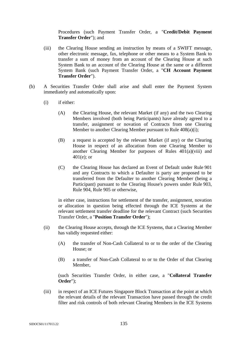Procedures (such Payment Transfer Order, a "**Credit/Debit Payment Transfer Order**"); and

- (iii) the Clearing House sending an instruction by means of a SWIFT message, other electronic message, fax, telephone or other means to a System Bank to transfer a sum of money from an account of the Clearing House at such System Bank to an account of the Clearing House at the same or a different System Bank (such Payment Transfer Order, a "**CH Account Payment Transfer Order**").
- (b) A Securities Transfer Order shall arise and shall enter the Payment System immediately and automatically upon:
	- (i) if either:
		- (A) the Clearing House, the relevant Market (if any) and the two Clearing Members involved (both being Participants) have already agreed to a transfer, assignment or novation of Contracts from one Clearing Member to another Clearing Member pursuant to Rule 408(a)(i);
		- (B) a request is accepted by the relevant Market (if any) or the Clearing House in respect of an allocation from one Clearing Member to another Clearing Member for purposes of Rules 401(a)(viii) and 401(e); or
		- (C) the Clearing House has declared an Event of Default under Rule 901 and any Contracts to which a Defaulter is party are proposed to be transferred from the Defaulter to another Clearing Member (being a Participant) pursuant to the Clearing House's powers under Rule 903, Rule 904, Rule 905 or otherwise,

in either case, instructions for settlement of the transfer, assignment, novation or allocation in question being effected through the ICE Systems at the relevant settlement transfer deadline for the relevant Contract (such Securities Transfer Order, a "**Position Transfer Order**");

- (ii) the Clearing House accepts, through the ICE Systems, that a Clearing Member has validly requested either:
	- (A) the transfer of Non-Cash Collateral to or to the order of the Clearing House; or
	- (B) a transfer of Non-Cash Collateral to or to the Order of that Clearing Member,

(such Securities Transfer Order, in either case, a "**Collateral Transfer Order**");

(iii) in respect of an ICE Futures Singapore Block Transaction at the point at which the relevant details of the relevant Transaction have passed through the credit filter and risk controls of both relevant Clearing Members in the ICE Systems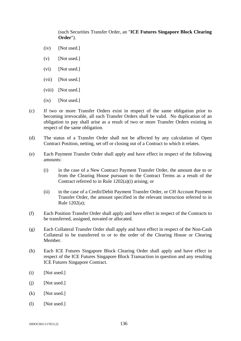(such Securities Transfer Order, an "**ICE Futures Singapore Block Clearing Order**").

- (iv) [Not used.]
- $(v)$  [Not used.]
- (vi) [Not used.]
- (vii) [Not used.]
- (viii) [Not used.]
- $(ix)$  [Not used.]
- (c) If two or more Transfer Orders exist in respect of the same obligation prior to becoming irrevocable, all such Transfer Orders shall be valid. No duplication of an obligation to pay shall arise as a result of two or more Transfer Orders existing in respect of the same obligation.
- (d) The status of a Transfer Order shall not be affected by any calculation of Open Contract Position, netting, set off or closing out of a Contract to which it relates.
- (e) Each Payment Transfer Order shall apply and have effect in respect of the following amounts:
	- (i) in the case of a New Contract Payment Transfer Order, the amount due to or from the Clearing House pursuant to the Contract Terms as a result of the Contract referred to in Rule 1202(a)(i) arising; or
	- (ii) in the case of a Credit/Debit Payment Transfer Order, or CH Account Payment Transfer Order, the amount specified in the relevant instruction referred to in Rule 1202(a);
- (f) Each Position Transfer Order shall apply and have effect in respect of the Contracts to be transferred, assigned, novated or allocated.
- (g) Each Collateral Transfer Order shall apply and have effect in respect of the Non-Cash Collateral to be transferred to or to the order of the Clearing House or Clearing Member.
- (h) Each ICE Futures Singapore Block Clearing Order shall apply and have effect in respect of the ICE Futures Singapore Block Transaction in question and any resulting ICE Futures Singapore Contract.
- (i) [Not used.]
- (i) [Not used.]
- (k) [Not used.]
- (l) [Not used.]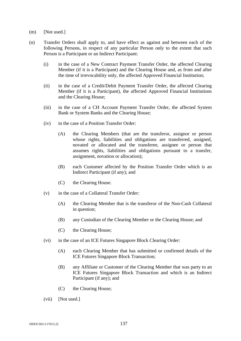- (m) [Not used.]
- (n) Transfer Orders shall apply to, and have effect as against and between each of the following Persons, in respect of any particular Person only to the extent that such Person is a Participant or an Indirect Participant:
	- (i) in the case of a New Contract Payment Transfer Order, the affected Clearing Member (if it is a Participant) and the Clearing House and, as from and after the time of irrevocability only, the affected Approved Financial Institution;
	- (ii) in the case of a Credit/Debit Payment Transfer Order, the affected Clearing Member (if it is a Participant), the affected Approved Financial Institutions and the Clearing House;
	- (iii) in the case of a CH Account Payment Transfer Order, the affected System Bank or System Banks and the Clearing House;
	- (iv) in the case of a Position Transfer Order:
		- (A) the Clearing Members (that are the transferor, assignor or person whose rights, liabilities and obligations are transferred, assigned, novated or allocated and the transferee, assignee or person that assumes rights, liabilities and obligations pursuant to a transfer, assignment, novation or allocation);
		- (B) each Customer affected by the Position Transfer Order which is an Indirect Participant (if any); and
		- (C) the Clearing House.
	- (v) in the case of a Collateral Transfer Order:
		- (A) the Clearing Member that is the transferor of the Non-Cash Collateral in question;
		- (B) any Custodian of the Clearing Member or the Clearing House; and
		- (C) the Clearing House;
	- (vi) in the case of an ICE Futures Singapore Block Clearing Order:
		- (A) each Clearing Member that has submitted or confirmed details of the ICE Futures Singapore Block Transaction;
		- (B) any Affiliate or Customer of the Clearing Member that was party to an ICE Futures Singapore Block Transaction and which is an Indirect Participant (if any); and
		- (C) the Clearing House;
	- (vii) [Not used.]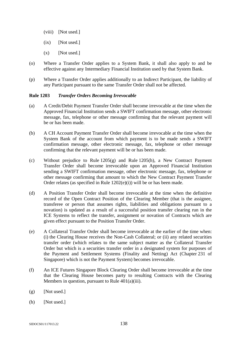- (viii) [Not used.]
- $(ix)$  [Not used.]
- $(x)$  [Not used.]
- (o) Where a Transfer Order applies to a System Bank, it shall also apply to and be effective against any Intermediary Financial Institution used by that System Bank.
- (p) Where a Transfer Order applies additionally to an Indirect Participant, the liability of any Participant pursuant to the same Transfer Order shall not be affected.

## **Rule 1203** *Transfer Orders Becoming Irrevocable*

- (a) A Credit/Debit Payment Transfer Order shall become irrevocable at the time when the Approved Financial Institution sends a SWIFT confirmation message, other electronic message, fax, telephone or other message confirming that the relevant payment will be or has been made.
- (b) A CH Account Payment Transfer Order shall become irrevocable at the time when the System Bank of the account from which payment is to be made sends a SWIFT confirmation message, other electronic message, fax, telephone or other message confirming that the relevant payment will be or has been made.
- (c) Without prejudice to Rule 1205(g) and Rule 1205(h), a New Contract Payment Transfer Order shall become irrevocable upon an Approved Financial Institution sending a SWIFT confirmation message, other electronic message, fax, telephone or other message confirming that amount to which the New Contract Payment Transfer Order relates (as specified in Rule 1202(e)(i)) will be or has been made.
- (d) A Position Transfer Order shall become irrevocable at the time when the definitive record of the Open Contract Position of the Clearing Member (that is the assignee, transferee or person that assumes rights, liabilities and obligations pursuant to a novation) is updated as a result of a successful position transfer clearing run in the ICE Systems to reflect the transfer, assignment or novation of Contracts which are given effect pursuant to the Position Transfer Order.
- (e) A Collateral Transfer Order shall become irrevocable at the earlier of the time when: (i) the Clearing House receives the Non-Cash Collateral; or (ii) any related securities transfer order (which relates to the same subject matter as the Collateral Transfer Order but which is a securities transfer order in a designated system for purposes of the Payment and Settlement Systems (Finality and Netting) Act (Chapter 231 of Singapore) which is not the Payment System) becomes irrevocable.
- (f) An ICE Futures Singapore Block Clearing Order shall become irrevocable at the time that the Clearing House becomes party to resulting Contracts with the Clearing Members in question, pursuant to Rule 401(a)(iii).
- $(g)$  [Not used.]
- (h) [Not used.]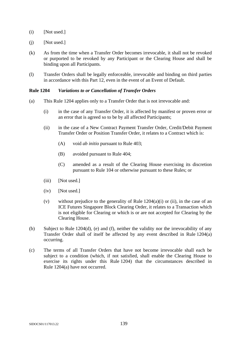- $(i)$  [Not used.]
- (j) [Not used.]
- (k) As from the time when a Transfer Order becomes irrevocable, it shall not be revoked or purported to be revoked by any Participant or the Clearing House and shall be binding upon all Participants.
- (l) Transfer Orders shall be legally enforceable, irrevocable and binding on third parties in accordance with this Part 12, even in the event of an Event of Default.

### **Rule 1204** *Variations to or Cancellation of Transfer Orders*

- (a) This Rule 1204 applies only to a Transfer Order that is not irrevocable and:
	- (i) in the case of any Transfer Order, it is affected by manifest or proven error or an error that is agreed so to be by all affected Participants;
	- (ii) in the case of a New Contract Payment Transfer Order, Credit/Debit Payment Transfer Order or Position Transfer Order, it relates to a Contract which is:
		- (A) void *ab initio* pursuant to Rule 403;
		- (B) avoided pursuant to Rule 404;
		- (C) amended as a result of the Clearing House exercising its discretion pursuant to Rule 104 or otherwise pursuant to these Rules; or
	- (iii) [Not used.]
	- (iv) [Not used.]
	- (v) without prejudice to the generality of Rule  $1204(a)(i)$  or (ii), in the case of an ICE Futures Singapore Block Clearing Order, it relates to a Transaction which is not eligible for Clearing or which is or are not accepted for Clearing by the Clearing House.
- (b) Subject to Rule 1204(d), (e) and (f), neither the validity nor the irrevocability of any Transfer Order shall of itself be affected by any event described in Rule 1204(a) occurring.
- (c) The terms of all Transfer Orders that have not become irrevocable shall each be subject to a condition (which, if not satisfied, shall enable the Clearing House to exercise its rights under this Rule 1204) that the circumstances described in Rule 1204(a) have not occurred.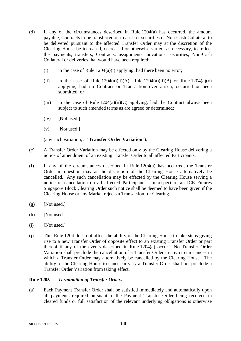- (d) If any of the circumstances described in Rule 1204(a) has occurred, the amount payable, Contracts to be transferred or to arise or securities or Non-Cash Collateral to be delivered pursuant to the affected Transfer Order may at the discretion of the Clearing House be increased, decreased or otherwise varied, as necessary, to reflect the payments, transfers, Contracts, assignments, novations, securities, Non-Cash Collateral or deliveries that would have been required:
	- (i) in the case of Rule  $1204(a)(i)$  applying, had there been no error;
	- (ii) in the case of Rule  $1204(a)(ii)(A)$ , Rule  $1204(a)(ii)(B)$  or Rule  $1204(a)(v)$ applying, had no Contract or Transaction ever arisen, occurred or been submitted; or
	- (iii) in the case of Rule  $1204(a)(ii)(C)$  applying, had the Contract always been subject to such amended terms as are agreed or determined;
	- (iv) [Not used.]
	- $(v)$  [Not used.]

(any such variation, a "**Transfer Order Variation**").

- (e) A Transfer Order Variation may be effected only by the Clearing House delivering a notice of amendment of an existing Transfer Order to all affected Participants.
- (f) If any of the circumstances described in Rule 1204(a) has occurred, the Transfer Order in question may at the discretion of the Clearing House alternatively be cancelled. Any such cancellation may be effected by the Clearing House serving a notice of cancellation on all affected Participants. In respect of an ICE Futures Singapore Block Clearing Order such notice shall be deemed to have been given if the Clearing House or any Market rejects a Transaction for Clearing.
- $(g)$  [Not used.]
- (h) [Not used.]
- $(i)$  [Not used.]
- (j) This Rule 1204 does not affect the ability of the Clearing House to take steps giving rise to a new Transfer Order of opposite effect to an existing Transfer Order or part thereof if any of the events described in Rule 1204(a) occur. No Transfer Order Variation shall preclude the cancellation of a Transfer Order in any circumstances in which a Transfer Order may alternatively be cancelled by the Clearing House. The ability of the Clearing House to cancel or vary a Transfer Order shall not preclude a Transfer Order Variation from taking effect.

## **Rule 1205** *Termination of Transfer Orders*

(a) Each Payment Transfer Order shall be satisfied immediately and automatically upon all payments required pursuant to the Payment Transfer Order being received in cleared funds or full satisfaction of the relevant underlying obligations is otherwise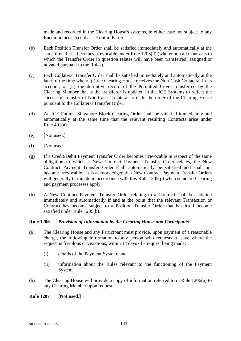made and recorded in the Clearing House's systems, in either case not subject to any Encumbrances except as set out in Part 5.

- (b) Each Position Transfer Order shall be satisfied immediately and automatically at the same time that it becomes irrevocable under Rule 1203(d) (whereupon all Contracts to which the Transfer Order in question relates will have been transferred, assigned or novated pursuant to the Rules).
- (c) Each Collateral Transfer Order shall be satisfied immediately and automatically at the later of the time when: (i) the Clearing House receives the Non-Cash Collateral in its account; or (ii) the definitive record of the Permitted Cover transferred by the Clearing Member that is the transferor is updated in the ICE Systems to reflect the successful transfer of Non-Cash Collateral to or to the order of the Clearing House pursuant to the Collateral Transfer Order.
- (d) An ICE Futures Singapore Block Clearing Order shall be satisfied immediately and automatically at the same time that the relevant resulting Contracts arise under Rule 401(a).
- (e) [Not used.]
- $(f)$  [Not used.]
- (g) If a Credit/Debit Payment Transfer Order becomes irrevocable in respect of the same obligation to which a New Contract Payment Transfer Order relates, the New Contract Payment Transfer Order shall automatically be satisfied and shall not become irrevocable. It is acknowledged that New Contract Payment Transfer Orders will generally terminate in accordance with this Rule 1205(g) when standard Clearing and payment processes apply.
- (h) A New Contract Payment Transfer Order relating to a Contract shall be satisfied immediately and automatically if and at the point that the relevant Transaction or Contract has become subject to a Position Transfer Order that has itself become satisfied under Rule 1205(b).

## **Rule 1206** *Provision of Information by the Clearing House and Participants*

- (a) The Clearing House and any Participant must provide, upon payment of a reasonable charge, the following information to any person who requests it, save where the request is frivolous or vexatious, within 14 days of a request being made:
	- (i) details of the Payment System; and
	- (ii) information about the Rules relevant to the functioning of the Payment System.
- (b) The Clearing House will provide a copy of information referred to in Rule 1206(a) to any Clearing Member upon request.

**Rule 1207 [Not used.]**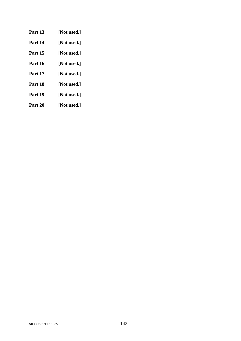- **Part 13 [Not used.] Part 14 [Not used.] Part 15 [Not used.] Part 16 [Not used.] Part 17 [Not used.] Part 18 [Not used.] Part 19 [Not used.]**
- 
- **Part 20 [Not used.]**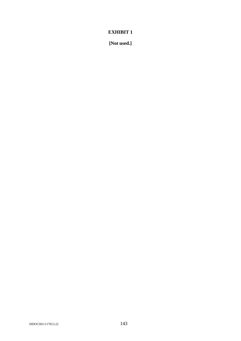**[Not used.]**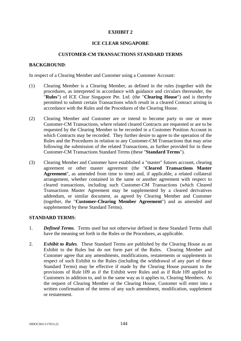### **ICE CLEAR SINGAPORE**

### **CUSTOMER-CM TRANSACTIONS STANDARD TERMS**

### **BACKGROUND**:

In respect of a Clearing Member and Customer using a Customer Account:

- (1) Clearing Member is a Clearing Member, as defined in the rules (together with the procedures, as interpreted in accordance with guidance and circulars thereunder, the "**Rules**") of ICE Clear Singapore Pte. Ltd. (the "**Clearing House**") and is thereby permitted to submit certain Transactions which result in a cleared Contract arising in accordance with the Rules and the Procedures of the Clearing House.
- (2) Clearing Member and Customer are or intend to become party to one or more Customer-CM Transactions, where related cleared Contracts are requested or are to be requested by the Clearing Member to be recorded in a Customer Position Account in which Contracts may be recorded. They further desire to agree to the operation of the Rules and the Procedures in relation to any Customer-CM Transactions that may arise following the submission of the related Transactions, as further provided for in these Customer-CM Transactions Standard Terms (these "**Standard Terms**").
- (3) Clearing Member and Customer have established a "master" futures account, clearing agreement or other master agreement (the "**Cleared Transactions Master Agreement**", as amended from time to time) and, if applicable, a related collateral arrangement, whether contained in the same or another agreement with respect to cleared transactions, including such Customer-CM Transactions (which Cleared Transactions Master Agreement may be supplemented by a cleared derivatives addendum, or similar document, as agreed by Clearing Member and Customer (together, the "**Customer-Clearing Member Agreement**") and as amended and supplemented by these Standard Terms).

# **STANDARD TERMS**:

- 1. *Defined Terms*. Terms used but not otherwise defined in these Standard Terms shall have the meaning set forth in the Rules or the Procedures, as applicable.
- 2. *Exhibit to Rules*. These Standard Terms are published by the Clearing House as an Exhibit to the Rules but do not form part of the Rules. Clearing Member and Customer agree that any amendments, modifications, restatements or supplements in respect of such Exhibit to the Rules (including the withdrawal of any part of these Standard Terms) may be effective if made by the Clearing House pursuant to the provisions of Rule 109 as if the Exhibit were Rules and as if Rule 109 applied to Customers in addition to, and in the same way as it applies to, Clearing Members. At the request of Clearing Member or the Clearing House, Customer will enter into a written confirmation of the terms of any such amendment, modification, supplement or restatement.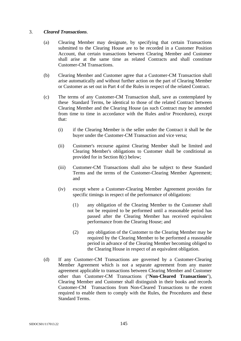# 3. *Cleared Transactions*.

- (a) Clearing Member may designate, by specifying that certain Transactions submitted to the Clearing House are to be recorded in a Customer Position Account, that certain transactions between Clearing Member and Customer shall arise at the same time as related Contracts and shall constitute Customer-CM Transactions.
- (b) Clearing Member and Customer agree that a Customer-CM Transaction shall arise automatically and without further action on the part of Clearing Member or Customer as set out in Part 4 of the Rules in respect of the related Contract.
- (c) The terms of any Customer-CM Transaction shall, save as contemplated by these Standard Terms, be identical to those of the related Contract between Clearing Member and the Clearing House (as such Contract may be amended from time to time in accordance with the Rules and/or Procedures), except that:
	- (i) if the Clearing Member is the seller under the Contract it shall be the buyer under the Customer-CM Transaction and vice versa;
	- (ii) Customer's recourse against Clearing Member shall be limited and Clearing Member's obligations to Customer shall be conditional as provided for in Section 8(c) below;
	- (iii) Customer-CM Transactions shall also be subject to these Standard Terms and the terms of the Customer-Clearing Member Agreement; and
	- (iv) except where a Customer-Clearing Member Agreement provides for specific timings in respect of the performance of obligations:
		- (1) any obligation of the Clearing Member to the Customer shall not be required to be performed until a reasonable period has passed after the Clearing Member has received equivalent performance from the Clearing House; and
		- (2) any obligation of the Customer to the Clearing Member may be required by the Clearing Member to be performed a reasonable period in advance of the Clearing Member becoming obliged to the Clearing House in respect of an equivalent obligation.
- (d) If any Customer-CM Transactions are governed by a Customer-Clearing Member Agreement which is not a separate agreement from any master agreement applicable to transactions between Clearing Member and Customer other than Customer-CM Transactions ("**Non-Cleared Transactions**"), Clearing Member and Customer shall distinguish in their books and records Customer-CM Transactions from Non-Cleared Transactions to the extent required to enable them to comply with the Rules, the Procedures and these Standard Terms.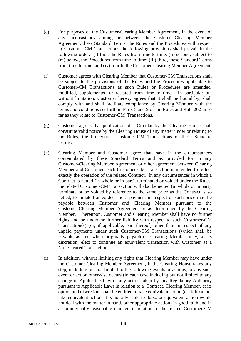- (e) For purposes of the Customer-Clearing Member Agreement, in the event of any inconsistency among or between the Customer-Clearing Member Agreement, these Standard Terms, the Rules and the Procedures with respect to Customer-CM Transactions the following provisions shall prevail in the following order: (i) first, the Rules from time to time; (ii) second, subject to (m) below, the Procedures from time to time; (iii) third, these Standard Terms from time to time; and (iv) fourth, the Customer-Clearing Member Agreement.
- (f) Customer agrees with Clearing Member that Customer-CM Transactions shall be subject to the provisions of the Rules and the Procedures applicable to Customer-CM Transactions as such Rules or Procedures are amended, modified, supplemented or restated from time to time. In particular but without limitation, Customer hereby agrees that it shall be bound by, shall comply with and shall facilitate compliance by Clearing Member with the terms and conditions set forth in Parts 5 and 9 of the Rules and Rule 202 in so far as they relate to Customer-CM Transactions.
- (g) Customer agrees that publication of a Circular by the Clearing House shall constitute valid notice by the Clearing House of any matter under or relating to the Rules, the Procedures, Customer-CM Transactions or these Standard Terms.
- (h) Clearing Member and Customer agree that, save in the circumstances contemplated by these Standard Terms and as provided for in any Customer-Clearing Member Agreement or other agreement between Clearing Member and Customer, each Customer-CM Transaction is intended to reflect exactly the operation of the related Contract. In any circumstances in which a Contract is netted (in whole or in part), terminated or voided under the Rules, the related Customer-CM Transaction will also be netted (in whole or in part), terminate or be voided by reference to the same price as the Contract is so netted, terminated or voided and a payment in respect of such price may be payable between Customer and Clearing Member pursuant to the Customer-Clearing Member Agreement or as determined by the Clearing Member. Thereupon, Customer and Clearing Member shall have no further rights and be under no further liability with respect to such Customer-CM Transaction(s) (or, if applicable, part thereof) other than in respect of any unpaid payments under such Customer-CM Transactions (which shall be payable as and when originally payable). Clearing Member may, at its discretion, elect to continue an equivalent transaction with Customer as a Non-Cleared Transaction.
- (i) In addition, without limiting any rights that Clearing Member may have under the Customer-Clearing Member Agreement, if the Clearing House takes any step, including but not limited to the following events or actions, or any such event or action otherwise occurs (in each case including but not limited to any change in Applicable Law or any action taken by any Regulatory Authority pursuant to Applicable Law) in relation to a Contract, Clearing Member, at its option and discretion, shall be entitled to take equivalent action (or, if it cannot take equivalent action, it is not advisable to do so or equivalent action would not deal with the matter in hand, other appropriate action) in good faith and in a commercially reasonable manner, in relation to the related Customer-CM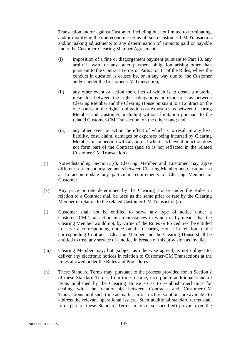Transaction and/or against Customer, including but not limited to terminating, and/or modifying the non-economic terms of, such Customer-CM Transaction and/or making adjustments to any determination of amounts paid or payable under the Customer-Clearing Member Agreement:

- (i) imposition of a fine or disgorgement payment pursuant to Part 10, any arbitral award or any other payment obligation arising other than pursuant to the Contract Terms or Parts 5 or 11 of the Rules, where the conduct in question is caused by, or in any way due to, the Customer and/or under the Customer-CM Transaction;
- (ii) any other event or action the effect of which is to create a material mismatch between the rights, obligations or exposures as between Clearing Member and the Clearing House pursuant to a Contract on the one hand and the rights, obligations or exposures as between Clearing Member and Customer, including without limitation pursuant to the related Customer-CM Transaction, on the other hand; and
- (iii) any other event or action the effect of which is to result in any loss, liability, cost, claim, damages or expenses being incurred by Clearing Member in connection with a Contract where such event or action does not form part of the Contract (and so is not reflected in the related Customer-CM Transaction).
- (j) Notwithstanding Section 3(c), Clearing Member and Customer may agree different settlement arrangements between Clearing Member and Customer so as to accommodate any particular requirements of Clearing Member or Customer.
- (k) Any price or rate determined by the Clearing House under the Rules in relation to a Contract shall be used as the same price or rate by the Clearing Member in relation to the related Customer-CM Transaction(s).
- (l) Customer shall not be entitled to serve any type of notice under a Customer-CM Transaction in circumstances in which or by means that the Clearing Member would not, by virtue of the Rules or Procedures, be entitled to serve a corresponding notice on the Clearing House in relation to the corresponding Contract. Clearing Member and the Clearing House shall be entitled to treat any service of a notice in breach of this provision as invalid.
- (m) Clearing Member may, but (subject as otherwise agreed) is not obliged to, deliver any electronic notices in relation to Customer-CM Transactions at the times allowed under the Rules and Procedures.
- (n) These Standard Terms may, pursuant to the process provided for in Section 2 of these Standard Terms, from time to time, incorporate additional standard terms published by the Clearing House so as to establish mechanics for dealing with the relationship between Contracts and Customer-CM Transactions until such time as market infrastructure solutions are available to address the relevant operational issues. Such additional standard terms shall form part of these Standard Terms, may (if so specified) prevail over the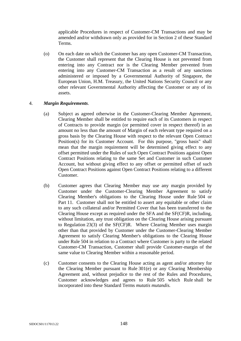applicable Procedures in respect of Customer-CM Transactions and may be amended and/or withdrawn only as provided for in Section 2 of these Standard Terms.

(o) On each date on which the Customer has any open Customer-CM Transaction, the Customer shall represent that the Clearing House is not prevented from entering into any Contract nor is the Clearing Member prevented from entering into any Customer-CM Transaction as a result of any sanctions administered or imposed by a Governmental Authority of Singapore, the European Union, H.M. Treasury, the United Nations Security Council or any other relevant Governmental Authority affecting the Customer or any of its assets.

# 4. *Margin Requirements*.

- (a) Subject as agreed otherwise in the Customer-Clearing Member Agreement, Clearing Member shall be entitled to require each of its Customers in respect of Contracts to provide margin (or permitted cover in respect thereof) in an amount no less than the amount of Margin of each relevant type required on a gross basis by the Clearing House with respect to the relevant Open Contract Position(s) for its Customer Account. For this purpose, "gross basis" shall mean that the margin requirement will be determined giving effect to any offset permitted under the Rules of such Open Contract Positions against Open Contract Positions relating to the same Set and Customer in such Customer Account, but without giving effect to any offset or permitted offset of such Open Contract Positions against Open Contract Positions relating to a different Customer.
- (b) Customer agrees that Clearing Member may use any margin provided by Customer under the Customer-Clearing Member Agreement to satisfy Clearing Member's obligations to the Clearing House under Rule 504 or Part 11. Customer shall not be entitled to assert any equitable or other claim to any such collateral and/or Permitted Cover that has been transferred to the Clearing House except as required under the SFA and the SF(CF)R, including, without limitation, any trust obligation on the Clearing House arising pursuant to Regulation 23(3) of the SF(CF)R. Where Clearing Member uses margin other than that provided by Customer under the Customer-Clearing Member Agreement to satisfy Clearing Member's obligations to the Clearing House under Rule 504 in relation to a Contract where Customer is party to the related Customer-CM Transaction, Customer shall provide Customer-margin of the same value to Clearing Member within a reasonable period.
- (c) Customer consents to the Clearing House acting as agent and/or attorney for the Clearing Member pursuant to Rule 301(e) or any Clearing Membership Agreement and, without prejudice to the rest of the Rules and Procedures, Customer acknowledges and agrees to Rule 505 which Rule shall be incorporated into these Standard Terms *mutatis mutandis.*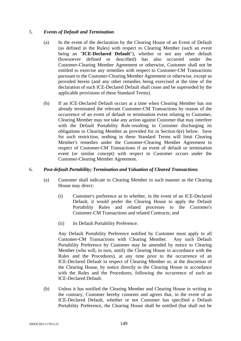# 5. *Events of Default and Termination*.

- (a) In the event of the declaration by the Clearing House of an Event of Default (as defined in the Rules) with respect to Clearing Member (such an event being an "**ICE-Declared Default**"), whether or not any other default (howsoever defined or described) has also occurred under the Customer-Clearing Member Agreement or otherwise, Customer shall not be entitled to exercise any remedies with respect to Customer-CM Transactions pursuant to the Customer-Clearing Member Agreement or otherwise, except as provided herein (and any other remedies being exercised at the time of the declaration of such ICE-Declared Default shall cease and be superseded by the applicable provisions of these Standard Terms).
- (b) If an ICE-Declared Default occurs at a time when Clearing Member has not already terminated the relevant Customer-CM Transactions by reason of the occurrence of an event of default or termination event relating to Customer, Clearing Member may not take any action against Customer that may interfere with the Default Portability Rule resulting in Customer discharging its obligations to Clearing Member as provided for in Section 6(e) below. Save for such restriction, nothing in these Standard Terms will limit Clearing Member's remedies under the Customer-Clearing Member Agreement in respect of Customer-CM Transactions if an event of default or termination event (or similar concept) with respect to Customer occurs under the Customer-Clearing Member Agreement.

# 6. *Post-default Portability; Termination and Valuation of Cleared Transactions*.

- (a) Customer shall indicate to Clearing Member in such manner as the Clearing House may direct:
	- (i) Customer's preference as to whether, in the event of an ICE-Declared Default, it would prefer the Clearing House to apply the Default Portability Rules and related processes to the Customer's Customer-CM Transactions and related Contracts; and
	- (ii) its Default Portability Preference.

Any Default Portability Preference notified by Customer must apply to all Customer-CM Transactions with Clearing Member. Any such Default Portability Preference by Customer may be amended by notice to Clearing Member (who will, in turn, notify the Clearing House in accordance with the Rules and the Procedures), at any time prior to the occurrence of an ICE-Declared Default in respect of Clearing Member or, at the discretion of the Clearing House, by notice directly to the Clearing House in accordance with the Rules and the Procedures, following the occurrence of such an ICE-Declared Default.

(b) Unless it has notified the Clearing Member and Clearing House in writing to the contrary, Customer hereby consents and agrees that, in the event of an ICE-Declared Default, whether or not Customer has specified a Default Portability Preference, the Clearing House shall be entitled (but shall not be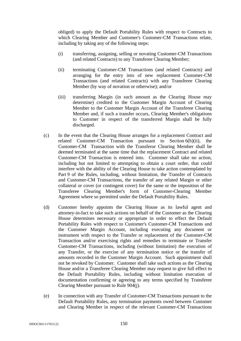obliged) to apply the Default Portability Rules with respect to Contracts to which Clearing Member and Customer's Customer-CM Transactions relate, including by taking any of the following steps:

- (i) transferring, assigning, selling or novating Customer-CM Transactions (and related Contracts) to any Transferee Clearing Member;
- (ii) terminating Customer-CM Transactions (and related Contracts) and arranging for the entry into of new replacement Customer-CM Transactions (and related Contracts) with any Transferee Clearing Member (by way of novation or otherwise); and/or
- (iii) transferring Margin (in such amount as the Clearing House may determine) credited to the Customer Margin Account of Clearing Member to the Customer Margin Account of the Transferee Clearing Member and, if such a transfer occurs, Clearing Member's obligations to Customer in respect of the transferred Margin shall be fully discharged.
- (c) In the event that the Clearing House arranges for a replacement Contract and related Customer-CM Transaction pursuant to Section 6(b)(ii), the Customer-CM Transaction with the Transferor Clearing Member shall be deemed terminated at the same time that the replacement Contract and related Customer-CM Transaction is entered into. Customer shall take no action, including but not limited to attempting to obtain a court order, that could interfere with the ability of the Clearing House to take action contemplated by Part 9 of the Rules, including, without limitation, the Transfer of Contracts and Customer-CM Transactions, the transfer of any related Margin or other collateral or cover (or contingent cover) for the same or the imposition of the Transferee Clearing Member's form of Customer-Clearing Member Agreement where so permitted under the Default Portability Rules.
- (d) Customer hereby appoints the Clearing House as its lawful agent and attorney-in-fact to take such actions on behalf of the Customer as the Clearing House determines necessary or appropriate in order to effect the Default Portability Rules with respect to Customer's Customer-CM Transactions and the Customer Margin Account, including executing any document or instrument with respect to the Transfer or replacement of the Customer-CM Transaction and/or exercising rights and remedies to terminate or Transfer Customer-CM Transactions, including (without limitation) the execution of any Transfer, or the exercise of any termination notice or the transfer of amounts recorded in the Customer Margin Account. Such appointment shall not be revoked by Customer. Customer shall take such actions as the Clearing House and/or a Transferee Clearing Member may request to give full effect to the Default Portability Rules, including without limitation execution of documentation confirming or agreeing to any terms specified by Transferee Clearing Member pursuant to Rule 904(j).
- (e) In connection with any Transfer of Customer-CM Transactions pursuant to the Default Portability Rules, any termination payments owed between Customer and Clearing Member in respect of the relevant Customer-CM Transactions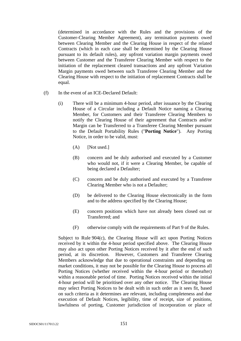(determined in accordance with the Rules and the provisions of the Customer-Clearing Member Agreement), any termination payments owed between Clearing Member and the Clearing House in respect of the related Contracts (which in each case shall be determined by the Clearing House pursuant to its default rules), any upfront variation margin payments owed between Customer and the Transferee Clearing Member with respect to the initiation of the replacement cleared transactions and any upfront Variation Margin payments owed between such Transferee Clearing Member and the Clearing House with respect to the initiation of replacement Contracts shall be equal.

- (f) In the event of an ICE-Declared Default:
	- (i) There will be a minimum 4-hour period, after issuance by the Clearing House of a Circular including a Default Notice naming a Clearing Member, for Customers and their Transferee Clearing Members to notify the Clearing House of their agreement that Contracts and/or Margin can be Transferred to a Transferee Clearing Member pursuant to the Default Portability Rules ("**Porting Notice**"). Any Porting Notice, in order to be valid, must:
		- (A) [Not used.]
		- (B) concern and be duly authorised and executed by a Customer who would not, if it were a Clearing Member, be capable of being declared a Defaulter;
		- (C) concern and be duly authorised and executed by a Transferee Clearing Member who is not a Defaulter;
		- (D) be delivered to the Clearing House electronically in the form and to the address specified by the Clearing House;
		- (E) concern positions which have not already been closed out or Transferred; and
		- (F) otherwise comply with the requirements of Part 9 of the Rules.

Subject to Rule 904(c), the Clearing House will act upon Porting Notices received by it within the 4-hour period specified above. The Clearing House may also act upon other Porting Notices received by it after the end of such period, at its discretion. However, Customers and Transferee Clearing Members acknowledge that due to operational constraints and depending on market conditions, it may not be possible for the Clearing House to process all Porting Notices (whether received within the 4-hour period or thereafter) within a reasonable period of time. Porting Notices received within the initial 4-hour period will be prioritised over any other notice. The Clearing House may select Porting Notices to be dealt with in such order as it sees fit, based on such criteria as it determines are relevant, including completeness and due execution of Default Notices, legibility, time of receipt, size of positions, lawfulness of porting, Customer jurisdiction of incorporation or place of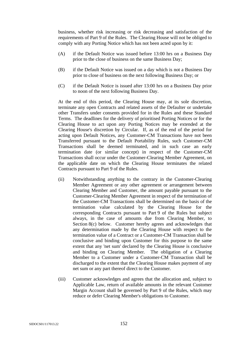business, whether risk increasing or risk decreasing and satisfaction of the requirements of Part 9 of the Rules. The Clearing House will not be obliged to comply with any Porting Notice which has not been acted upon by it:

- (A) if the Default Notice was issued before 13:00 hrs on a Business Day prior to the close of business on the same Business Day;
- (B) if the Default Notice was issued on a day which is not a Business Day prior to close of business on the next following Business Day; or
- (C) if the Default Notice is issued after 13:00 hrs on a Business Day prior to noon of the next following Business Day.

At the end of this period, the Clearing House may, at its sole discretion, terminate any open Contracts and related assets of the Defaulter or undertake other Transfers under consents provided for in the Rules and these Standard Terms. The deadlines for the delivery of prioritised Porting Notices or for the Clearing House to act upon any Porting Notices may be extended at the Clearing House's discretion by Circular. If, as of the end of the period for acting upon Default Notices, any Customer-CM Transactions have not been Transferred pursuant to the Default Portability Rules, such Customer-CM Transactions shall be deemed terminated, and in such case an early termination date (or similar concept) in respect of the Customer-CM Transactions shall occur under the Customer-Clearing Member Agreement, on the applicable date on which the Clearing House terminates the related Contracts pursuant to Part 9 of the Rules.

- (ii) Notwithstanding anything to the contrary in the Customer-Clearing Member Agreement or any other agreement or arrangement between Clearing Member and Customer, the amount payable pursuant to the Customer-Clearing Member Agreement in respect of the termination of the Customer-CM Transactions shall be determined on the basis of the termination value calculated by the Clearing House for the corresponding Contracts pursuant to Part 9 of the Rules but subject always, in the case of amounts due from Clearing Member, to Section 8(c) below. Customer hereby agrees and acknowledges that any determination made by the Clearing House with respect to the termination value of a Contract or a Customer-CM Transaction shall be conclusive and binding upon Customer for this purpose to the same extent that any 'net sum' declared by the Clearing House is conclusive and binding on Clearing Member. The obligation of a Clearing Member to a Customer under a Customer-CM Transaction shall be discharged to the extent that the Clearing House makes payment of any net sum or any part thereof direct to the Customer.
- (iii) Customer acknowledges and agrees that the allocation and, subject to Applicable Law, return of available amounts in the relevant Customer Margin Account shall be governed by Part 9 of the Rules, which may reduce or defer Clearing Member's obligations to Customer.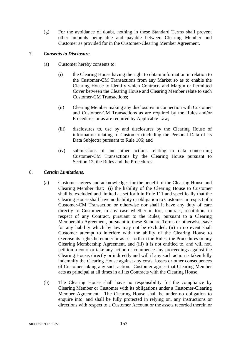(g) For the avoidance of doubt, nothing in these Standard Terms shall prevent other amounts being due and payable between Clearing Member and Customer as provided for in the Customer-Clearing Member Agreement.

# 7. *Consents to Disclosure*.

- (a) Customer hereby consents to:
	- (i) the Clearing House having the right to obtain information in relation to the Customer-CM Transactions from any Market so as to enable the Clearing House to identify which Contracts and Margin or Permitted Cover between the Clearing House and Clearing Member relate to such Customer-CM Transactions;
	- (ii) Clearing Member making any disclosures in connection with Customer and Customer-CM Transactions as are required by the Rules and/or Procedures or as are required by Applicable Law;
	- (iii) disclosures to, use by and disclosures by the Clearing House of information relating to Customer (including the Personal Data of its Data Subjects) pursuant to Rule 106; and
	- (iv) submissions of and other actions relating to data concerning Customer-CM Transactions by the Clearing House pursuant to Section 12, the Rules and the Procedures.

# 8. *Certain Limitations*.

- (a) Customer agrees and acknowledges for the benefit of the Clearing House and Clearing Member that: (i) the liability of the Clearing House to Customer shall be excluded and limited as set forth in Rule 111 and specifically that the Clearing House shall have no liability or obligation to Customer in respect of a Customer-CM Transaction or otherwise nor shall it have any duty of care directly to Customer, in any case whether in tort, contract, restitution, in respect of any Contract, pursuant to the Rules, pursuant to a Clearing Membership Agreement, pursuant to these Standard Terms or otherwise, save for any liability which by law may not be excluded, (ii) in no event shall Customer attempt to interfere with the ability of the Clearing House to exercise its rights hereunder or as set forth in the Rules, the Procedures or any Clearing Membership Agreement, and (iii) it is not entitled to, and will not, petition a court or take any action or commence any proceedings against the Clearing House, directly or indirectly and will if any such action is taken fully indemnify the Clearing House against any costs, losses or other consequences of Customer taking any such action. Customer agrees that Clearing Member acts as principal at all times in all its Contracts with the Clearing House.
- (b) The Clearing House shall have no responsibility for the compliance by Clearing Member or Customer with its obligations under a Customer-Clearing Member Agreement. The Clearing House shall be under no obligation to enquire into, and shall be fully protected in relying on, any instructions or directions with respect to a Customer Account or the assets recorded therein or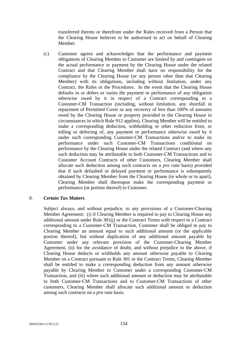transferred thereto or therefrom under the Rules received from a Person that the Clearing House believes to be authorised to act on behalf of Clearing Member.

(c) Customer agrees and acknowledges that the performance and payment obligations of Clearing Member to Customer are limited by and contingent on the actual performance or payment by the Clearing House under the related Contract and that Clearing Member shall have no responsibility for the compliance by the Clearing House (or any person other than that Clearing Member) with its obligations, including without limitation, under any Contract, the Rules or the Procedures. In the event that the Clearing House defaults in or defers or varies the payment or performance of any obligation otherwise owed by it in respect of a Contract corresponding to a Customer-CM Transaction (including, without limitation, any shortfall in repayment of Permitted Cover or any recovery of less than 100% of amounts owed by the Clearing House or property provided to the Clearing House in circumstances in which Rule 912 applies), Clearing Member will be entitled to make a corresponding deduction, withholding or other reduction from, or tolling or deferring of, any payment or performance otherwise owed by it under such corresponding Customer-CM Transactions and/or to make its performance under such Customer-CM Transactions conditional on performance by the Clearing House under the related Contract (and where any such deduction may be attributable to both Customer-CM Transactions and to Customer Account Contracts of other Customers, Clearing Member shall allocate such deduction among such contracts on a *pro rata* basis) provided that if such defaulted or delayed payment or performance is subsequently obtained by Clearing Member from the Clearing House (in whole or in apart), Clearing Member shall thereupon make the corresponding payment or performance (or portion thereof) to Customer.

# 9. *Certain Tax Matters*.

Subject always, and without prejudice, to any provisions of a Customer-Clearing Member Agreement: (i) if Clearing Member is required to pay to Clearing House any additional amount under Rule 301(j) or the Contract Terms with respect to a Contract corresponding to a Customer-CM Transaction, Customer shall be obliged to pay to Clearing Member an amount equal to such additional amount (or the applicable portion thereof), but without duplication of any additional amount payable by Customer under any relevant provision of the Customer-Clearing Member Agreement, (ii) for the avoidance of doubt, and without prejudice to the above, if Clearing House deducts or withholds any amount otherwise payable to Clearing Member on a Contract pursuant to Rule 301 or the Contract Terms, Clearing Member shall be entitled to make a corresponding deduction from any amount otherwise payable by Clearing Member to Customer under a corresponding Customer-CM Transaction, and (iii) where such additional amount or deduction may be attributable to both Customer-CM Transactions and to Customer-CM Transactions of other customers, Clearing Member shall allocate such additional amount or deduction among such contracts on a *pro rata* basis.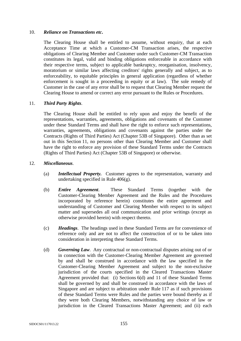### 10. *Reliance on Transactions etc***.**

The Clearing House shall be entitled to assume, without enquiry, that at each Acceptance Time at which a Customer-CM Transaction arises, the respective obligations of Clearing Member and Customer under such Customer-CM Transaction constitutes its legal, valid and binding obligations enforceable in accordance with their respective terms, subject to applicable bankruptcy, reorganisation, insolvency, moratorium or similar laws affecting creditors' rights generally and subject, as to enforceability, to equitable principles in general application (regardless of whether enforcement is sought in a proceeding in equity or at law). The sole remedy of Customer in the case of any error shall be to request that Clearing Member request the Clearing House to amend or correct any error pursuant to the Rules or Procedures.

# 11. *Third Party Rights*.

The Clearing House shall be entitled to rely upon and enjoy the benefit of the representations, warranties, agreements, obligations and covenants of the Customer under these Standard Terms and shall have the right to enforce such representations, warranties, agreements, obligations and covenants against the parties under the Contracts (Rights of Third Parties) Act (Chapter 53B of Singapore). Other than as set out in this Section 11, no persons other than Clearing Member and Customer shall have the right to enforce any provision of these Standard Terms under the Contracts (Rights of Third Parties) Act (Chapter 53B of Singapore) or otherwise.

#### 12. *Miscellaneous*.

- (a) *Intellectual Property.* Customer agrees to the representation, warranty and undertaking specified in Rule 406(g).
- (b) *Entire Agreement*. These Standard Terms (together with the Customer-Clearing Member Agreement and the Rules and the Procedures incorporated by reference herein) constitutes the entire agreement and understanding of Customer and Clearing Member with respect to its subject matter and supersedes all oral communication and prior writings (except as otherwise provided herein) with respect thereto.
- (c) *Headings*. The headings used in these Standard Terms are for convenience of reference only and are not to affect the construction of or to be taken into consideration in interpreting these Standard Terms.
- (d) *Governing Law*. Any contractual or non-contractual disputes arising out of or in connection with the Customer-Clearing Member Agreement are governed by and shall be construed in accordance with the law specified in the Customer-Clearing Member Agreement and subject to the non-exclusive jurisdiction of the courts specified in the Cleared Transactions Master Agreement provided that: (i) Sections 6(d) and 11 of these Standard Terms shall be governed by and shall be construed in accordance with the laws of Singapore and are subject to arbitration under Rule 117 as if such provisions of these Standard Terms were Rules and the parties were bound thereby as if they were both Clearing Members, notwithstanding any choice of law or jurisdiction in the Cleared Transactions Master Agreement; and (ii) each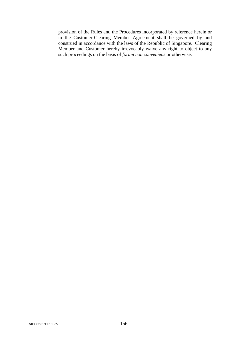provision of the Rules and the Procedures incorporated by reference herein or in the Customer-Clearing Member Agreement shall be governed by and construed in accordance with the laws of the Republic of Singapore. Clearing Member and Customer hereby irrevocably waive any right to object to any such proceedings on the basis of *forum non conveniens* or otherwise.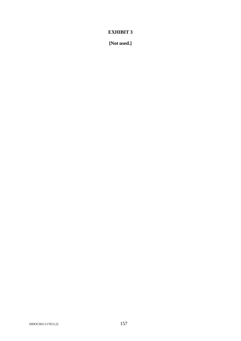**[Not used.]**